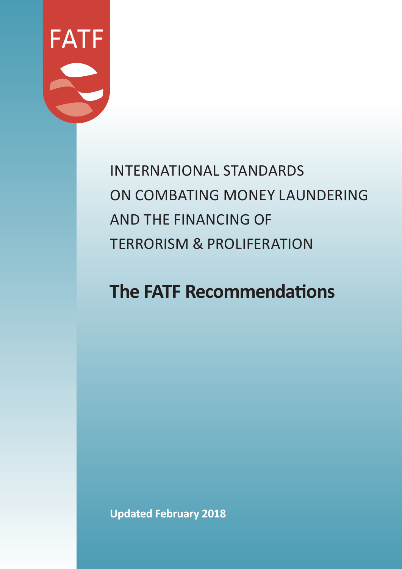

# **The FATF Recommendations**

**Updated February 2018**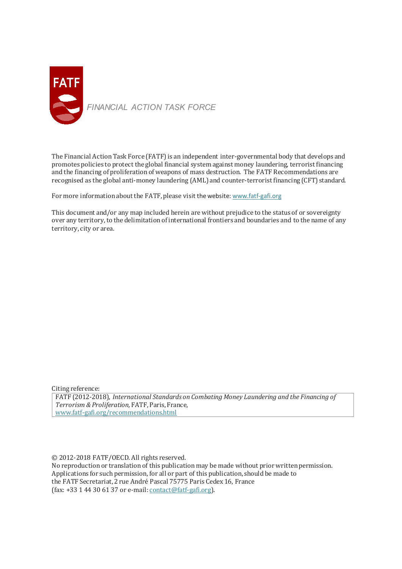

The Financial Action Task Force (FATF) is an independent inter-governmental body that develops and promotes policies to protect the global financial system against money laundering, terrorist financing and the financing of proliferation of weapons of mass destruction. The FATF Recommendations are recognised as the global anti-money laundering (AML) and counter-terrorist financing (CFT) standard.

For more information about the FATF, please visit the website: [www.fatf-gafi.org](http://www.fatf-gafi.org/)

This document and/or any map included herein are without prejudice to the status of or sovereignty over any territory, to the delimitation of international frontiers and boundaries and to the name of any territory, city or area.

Citing reference:

FATF (2012-2018), *International Standards on Combating Money Laundering and the Financing of Terrorism & Proliferation,* FATF, Paris, France, [www.fatf-gafi.org/recommendations.html](http://www.fatf-gafi.org/recommendations.html)

© 2012-2018 FATF/OECD. All rights reserved.

No reproduction or translation of this publication may be made without prior written permission. Applications for such permission, for all or part of this publication, should be made to the FATF Secretariat, 2 rue André Pascal 75775 Paris Cedex 16, France (fax: +33 1 44 30 61 37 or e-mail[: contact@fatf-gafi.org\)](mailto:contact@fatf-gafi.org).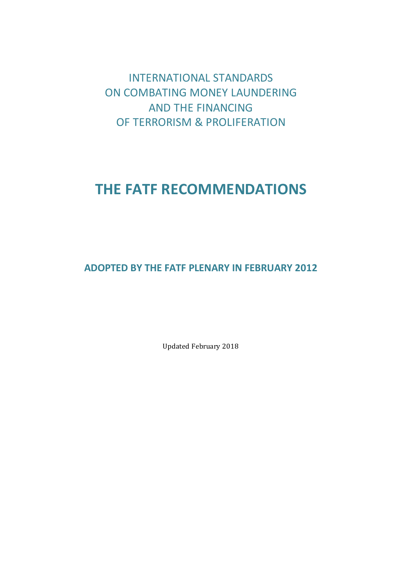## **THE FATF RECOMMENDATIONS**

**ADOPTED BY THE FATF PLENARY IN FEBRUARY 2012**

Updated February 2018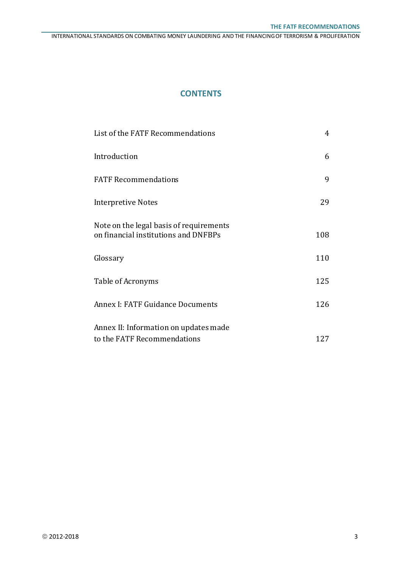### **CONTENTS**

| List of the FATF Recommendations                                                | 4   |
|---------------------------------------------------------------------------------|-----|
| Introduction                                                                    | 6   |
| <b>FATF Recommendations</b>                                                     | 9   |
| <b>Interpretive Notes</b>                                                       | 29  |
| Note on the legal basis of requirements<br>on financial institutions and DNFBPs | 108 |
| Glossary                                                                        | 110 |
| Table of Acronyms                                                               | 125 |
| <b>Annex I: FATF Guidance Documents</b>                                         | 126 |
| Annex II: Information on updates made<br>to the FATF Recommendations            | 127 |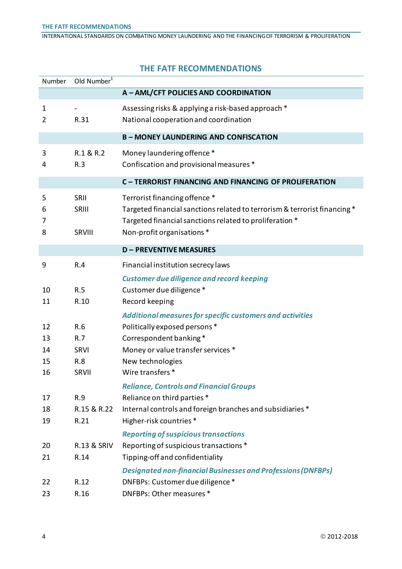### **THE FATF RECOMMENDATIONS**

<span id="page-4-0"></span>

| Number       | Old Number <sup>1</sup> |                                                                                                         |
|--------------|-------------------------|---------------------------------------------------------------------------------------------------------|
|              |                         | A - AML/CFT POLICIES AND COORDINATION                                                                   |
| $\mathbf{1}$ |                         | Assessing risks & applying a risk-based approach *                                                      |
| 2            | R.31                    | National cooperation and coordination                                                                   |
|              |                         | <b>B-MONEY LAUNDERING AND CONFISCATION</b>                                                              |
| 3            | R.1 & R.2               | Money laundering offence *                                                                              |
| 4            | R.3                     | Confiscation and provisional measures *                                                                 |
|              |                         | C-TERRORIST FINANCING AND FINANCING OF PROLIFERATION                                                    |
| 5            | SRII                    | Terrorist financing offence *                                                                           |
| 6            | SRIII                   | Targeted financial sanctions related to terrorism & terrorist financing *                               |
| 7            |                         | Targeted financial sanctions related to proliferation *                                                 |
| 8            | SRVIII                  | Non-profit organisations *                                                                              |
|              |                         | <b>D-PREVENTIVE MEASURES</b>                                                                            |
| 9            | R.4                     | Financial institution secrecy laws                                                                      |
|              |                         | <b>Customer due diligence and record keeping</b>                                                        |
| 10           | R.5                     | Customer due diligence *                                                                                |
| 11           | R.10                    | Record keeping                                                                                          |
|              |                         | Additional measures for specific customers and activities                                               |
| 12           | R.6                     | Politically exposed persons*                                                                            |
| 13           | R.7                     | Correspondent banking*                                                                                  |
| 14           | <b>SRVI</b>             | Money or value transfer services *                                                                      |
| 15           | R.8                     | New technologies                                                                                        |
| 16           | <b>SRVII</b>            | Wire transfers *                                                                                        |
|              |                         | <b>Reliance, Controls and Financial Groups</b>                                                          |
| 17<br>18     | R.9<br>R.15 & R.22      | Reliance on third parties *                                                                             |
| 19           | R.21                    | Internal controls and foreign branches and subsidiaries *<br>Higher-risk countries *                    |
|              |                         |                                                                                                         |
| 20           | <b>R.13 &amp; SRIV</b>  | <b>Reporting of suspicious transactions</b><br>Reporting of suspicious transactions *                   |
| 21           | R.14                    | Tipping-off and confidentiality                                                                         |
|              |                         |                                                                                                         |
| 22           | R.12                    | <b>Designated non-financial Businesses and Professions (DNFBPs)</b><br>DNFBPs: Customer due diligence * |
| 23           | R.16                    | DNFBPs: Other measures *                                                                                |
|              |                         |                                                                                                         |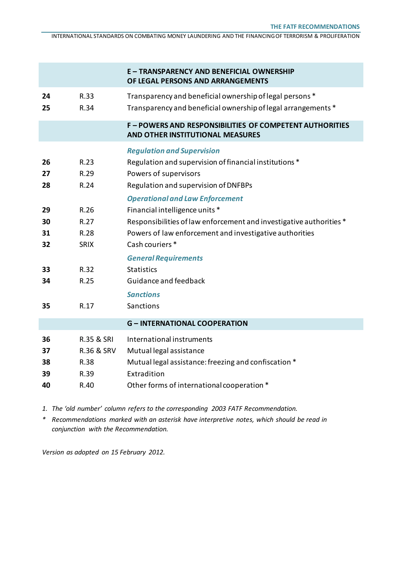|    |                       | <b>E-TRANSPARENCY AND BENEFICIAL OWNERSHIP</b><br>OF LEGAL PERSONS AND ARRANGEMENTS          |
|----|-----------------------|----------------------------------------------------------------------------------------------|
| 24 | R.33                  | Transparency and beneficial ownership of legal persons *                                     |
| 25 | R.34                  | Transparency and beneficial ownership of legal arrangements *                                |
|    |                       | F - POWERS AND RESPONSIBILITIES OF COMPETENT AUTHORITIES<br>AND OTHER INSTITUTIONAL MEASURES |
|    |                       | <b>Regulation and Supervision</b>                                                            |
| 26 | R.23                  | Regulation and supervision of financial institutions *                                       |
| 27 | R.29                  | Powers of supervisors                                                                        |
| 28 | R.24                  | Regulation and supervision of DNFBPs                                                         |
|    |                       | <b>Operational and Law Enforcement</b>                                                       |
| 29 | R.26                  | Financial intelligence units *                                                               |
| 30 | R.27                  | Responsibilities of law enforcement and investigative authorities *                          |
| 31 | R.28                  | Powers of law enforcement and investigative authorities                                      |
| 32 | <b>SRIX</b>           | Cash couriers *                                                                              |
|    |                       | <b>General Requirements</b>                                                                  |
| 33 | R.32                  | <b>Statistics</b>                                                                            |
| 34 | R.25                  | Guidance and feedback                                                                        |
|    |                       | <b>Sanctions</b>                                                                             |
| 35 | R.17                  | Sanctions                                                                                    |
|    |                       | <b>G-INTERNATIONAL COOPERATION</b>                                                           |
| 36 | R.35 & SRI            | International instruments                                                                    |
| 37 | <b>R.36 &amp; SRV</b> | Mutual legal assistance                                                                      |
| 38 | R.38                  | Mutual legal assistance: freezing and confiscation *                                         |
| 39 | R.39                  | Extradition                                                                                  |
| 40 | R.40                  | Other forms of international cooperation *                                                   |

*1. The 'old number' column refers to the corresponding 2003 FATF Recommendation.*

*\* Recommendations marked with an asterisk have interpretive notes, which should be read in conjunction with the Recommendation.*

*Version as adopted on 15 February 2012.*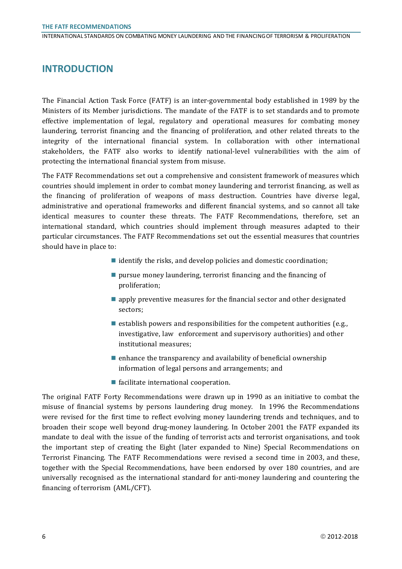### <span id="page-6-0"></span>**INTRODUCTION**

The Financial Action Task Force (FATF) is an inter-governmental body established in 1989 by the Ministers of its Member jurisdictions. The mandate of the FATF is to set standards and to promote effective implementation of legal, regulatory and operational measures for combating money laundering, terrorist financing and the financing of proliferation, and other related threats to the integrity of the international financial system. In collaboration with other international stakeholders, the FATF also works to identify national-level vulnerabilities with the aim of protecting the international financial system from misuse.

The FATF Recommendations set out a comprehensive and consistent framework of measures which countries should implement in order to combat money laundering and terrorist financing, as well as the financing of proliferation of weapons of mass destruction. Countries have diverse legal, administrative and operational frameworks and different financial systems, and so cannot all take identical measures to counter these threats. The FATF Recommendations, therefore, set an international standard, which countries should implement through measures adapted to their particular circumstances. The FATF Recommendations set out the essential measures that countries should have in place to:

- $\blacksquare$  identify the risks, and develop policies and domestic coordination;
- **pursue money laundering, terrorist financing and the financing of** proliferation;
- **E** apply preventive measures for the financial sector and other designated sectors;
- **Example 3** establish powers and responsibilities for the competent authorities (e.g., investigative, law enforcement and supervisory authorities) and other institutional measures;
- $\blacksquare$  enhance the transparency and availability of beneficial ownership information of legal persons and arrangements; and
- facilitate international cooperation.

The original FATF Forty Recommendations were drawn up in 1990 as an initiative to combat the misuse of financial systems by persons laundering drug money. In 1996 the Recommendations were revised for the first time to reflect evolving money laundering trends and techniques, and to broaden their scope well beyond drug-money laundering. In October 2001 the FATF expanded its mandate to deal with the issue of the funding of terrorist acts and terrorist organisations, and took the important step of creating the Eight (later expanded to Nine) Special Recommendations on Terrorist Financing. The FATF Recommendations were revised a second time in 2003, and these, together with the Special Recommendations, have been endorsed by over 180 countries, and are universally recognised as the international standard for anti-money laundering and countering the financing of terrorism (AML/CFT).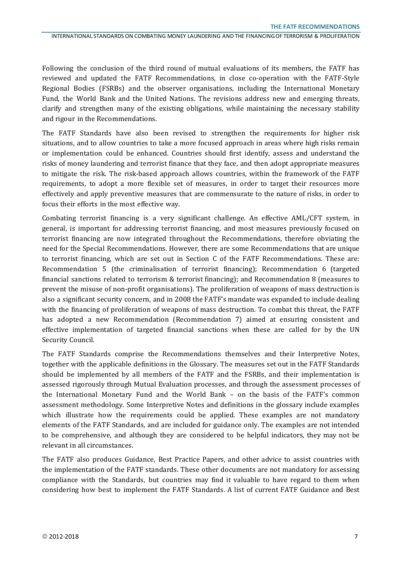Following the conclusion of the third round of mutual evaluations of its members, the FATF has reviewed and updated the FATF Recommendations, in close co-operation with the FATF-Style Regional Bodies (FSRBs) and the observer organisations, including the International Monetary Fund, the World Bank and the United Nations. The revisions address new and emerging threats, clarify and strengthen many of the existing obligations, while maintaining the necessary stability and rigour in the Recommendations.

The FATF Standards have also been revised to strengthen the requirements for higher risk situations, and to allow countries to take a more focused approach in areas where high risks remain or implementation could be enhanced. Countries should first identify, assess and understand the risks of money laundering and terrorist finance that they face, and then adopt appropriate measures to mitigate the risk. The risk-based approach allows countries, within the framework of the FATF requirements, to adopt a more flexible set of measures, in order to target their resources more effectively and apply preventive measures that are commensurate to the nature of risks, in order to focus their efforts in the most effective way.

Combating terrorist financing is a very significant challenge. An effective AML/CFT system, in general, is important for addressing terrorist financing, and most measures previously focused on terrorist financing are now integrated throughout the Recommendations, therefore obviating the need for the Special Recommendations. However, there are some Recommendations that are unique to terrorist financing, which are set out in Section C of the FATF Recommendations. These are: Recommendation 5 (the criminalisation of terrorist financing); Recommendation 6 (targeted financial sanctions related to terrorism & terrorist financing); and Recommendation 8 (measures to prevent the misuse of non-profit organisations). The proliferation of weapons of mass destruction is also a significant security concern, and in 2008 the FATF's mandate was expanded to include dealing with the financing of proliferation of weapons of mass destruction. To combat this threat, the FATF has adopted a new Recommendation (Recommendation 7) aimed at ensuring consistent and effective implementation of targeted financial sanctions when these are called for by the UN Security Council.

The FATF Standards comprise the Recommendations themselves and their Interpretive Notes, together with the applicable definitions in the Glossary. The measures set out in the FATF Standards should be implemented by all members of the FATF and the FSRBs, and their implementation is assessed rigorously through Mutual Evaluation processes, and through the assessment processes of the International Monetary Fund and the World Bank – on the basis of the FATF's common assessment methodology. Some Interpretive Notes and definitions in the glossary include examples which illustrate how the requirements could be applied. These examples are not mandatory elements of the FATF Standards, and are included for guidance only. The examples are not intended to be comprehensive, and although they are considered to be helpful indicators, they may not be relevant in all circumstances.

The FATF also produces Guidance, Best Practice Papers, and other advice to assist countries with the implementation of the FATF standards. These other documents are not mandatory for assessing compliance with the Standards, but countries may find it valuable to have regard to them when considering how best to implement the FATF Standards. A list of current FATF Guidance and Best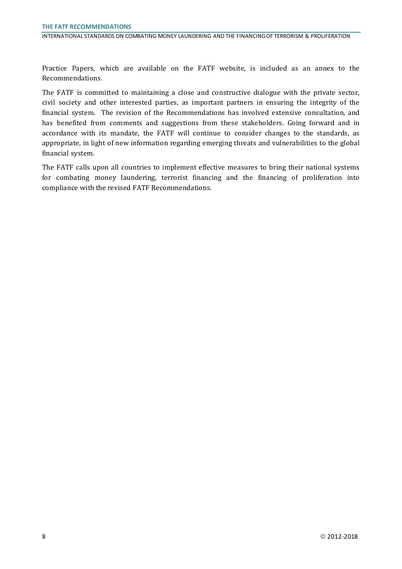Practice Papers, which are available on the FATF website, is included as an annex to the Recommendations.

The FATF is committed to maintaining a close and constructive dialogue with the private sector, civil society and other interested parties, as important partners in ensuring the integrity of the financial system. The revision of the Recommendations has involved extensive consultation, and has benefited from comments and suggestions from these stakeholders. Going forward and in accordance with its mandate, the FATF will continue to consider changes to the standards, as appropriate, in light of new information regarding emerging threats and vulnerabilities to the global financial system.

The FATF calls upon all countries to implement effective measures to bring their national systems for combating money laundering, terrorist financing and the financing of proliferation into compliance with the revised FATF Recommendations.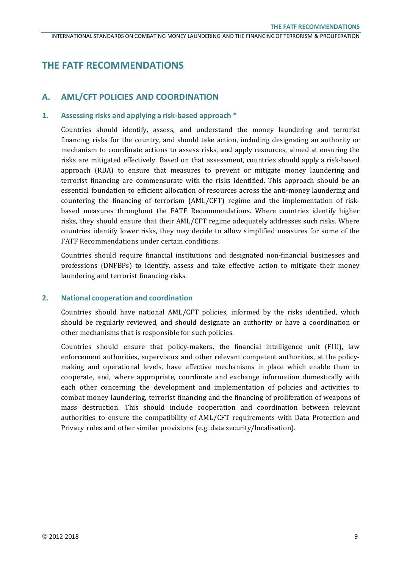### <span id="page-9-0"></span>**THE FATF RECOMMENDATIONS**

### **A. AML/CFT POLICIES AND COORDINATION**

### **1. Assessing risks and applying a risk-based approach \***

Countries should identify, assess, and understand the money laundering and terrorist financing risks for the country, and should take action, including designating an authority or mechanism to coordinate actions to assess risks, and apply resources, aimed at ensuring the risks are mitigated effectively. Based on that assessment, countries should apply a risk-based approach (RBA) to ensure that measures to prevent or mitigate money laundering and terrorist financing are commensurate with the risks identified. This approach should be an essential foundation to efficient allocation of resources across the anti-money laundering and countering the financing of terrorism (AML/CFT) regime and the implementation of riskbased measures throughout the FATF Recommendations. Where countries identify higher risks, they should ensure that their AML/CFT regime adequately addresses such risks. Where countries identify lower risks, they may decide to allow simplified measures for some of the FATF Recommendations under certain conditions.

Countries should require financial institutions and designated non-financial businesses and professions (DNFBPs) to identify, assess and take effective action to mitigate their money laundering and terrorist financing risks.

#### **2. National cooperation and coordination**

Countries should have national AML/CFT policies, informed by the risks identified, which should be regularly reviewed, and should designate an authority or have a coordination or other mechanisms that is responsible for such policies.

Countries should ensure that policy-makers, the financial intelligence unit (FIU), law enforcement authorities, supervisors and other relevant competent authorities, at the policymaking and operational levels, have effective mechanisms in place which enable them to cooperate, and, where appropriate, coordinate and exchange information domestically with each other concerning the development and implementation of policies and activities to combat money laundering, terrorist financing and the financing of proliferation of weapons of mass destruction. This should include cooperation and coordination between relevant authorities to ensure the compatibility of AML/CFT requirements with Data Protection and Privacy rules and other similar provisions (e.g. data security/localisation).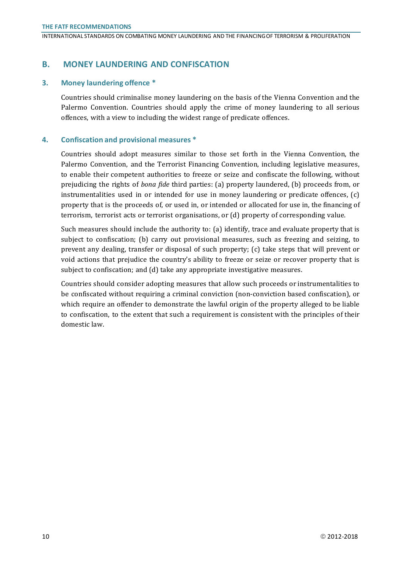### **B. MONEY LAUNDERING AND CONFISCATION**

### **3. Money laundering offence \***

Countries should criminalise money laundering on the basis of the Vienna Convention and the Palermo Convention. Countries should apply the crime of money laundering to all serious offences, with a view to including the widest range of predicate offences.

### **4. Confiscation and provisional measures \***

Countries should adopt measures similar to those set forth in the Vienna Convention, the Palermo Convention, and the Terrorist Financing Convention, including legislative measures, to enable their competent authorities to freeze or seize and confiscate the following, without prejudicing the rights of *bona fide* third parties: (a) property laundered, (b) proceeds from, or instrumentalities used in or intended for use in money laundering or predicate offences, (c) property that is the proceeds of, or used in, or intended or allocated for use in, the financing of terrorism, terrorist acts or terrorist organisations, or (d) property of corresponding value.

Such measures should include the authority to: (a) identify, trace and evaluate property that is subject to confiscation; (b) carry out provisional measures, such as freezing and seizing, to prevent any dealing, transfer or disposal of such property; (c) take steps that will prevent or void actions that prejudice the country's ability to freeze or seize or recover property that is subject to confiscation; and (d) take any appropriate investigative measures.

Countries should consider adopting measures that allow such proceeds or instrumentalities to be confiscated without requiring a criminal conviction (non-conviction based confiscation), or which require an offender to demonstrate the lawful origin of the property alleged to be liable to confiscation, to the extent that such a requirement is consistent with the principles of their domestic law.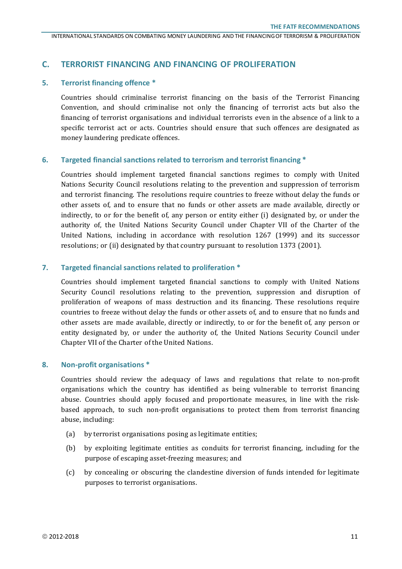### **C. TERRORIST FINANCING AND FINANCING OF PROLIFERATION**

### **5. Terrorist financing offence \***

Countries should criminalise terrorist financing on the basis of the Terrorist Financing Convention, and should criminalise not only the financing of terrorist acts but also the financing of terrorist organisations and individual terrorists even in the absence of a link to a specific terrorist act or acts. Countries should ensure that such offences are designated as money laundering predicate offences.

### **6. Targeted financial sanctions related to terrorism and terrorist financing \***

Countries should implement targeted financial sanctions regimes to comply with United Nations Security Council resolutions relating to the prevention and suppression of terrorism and terrorist financing. The resolutions require countries to freeze without delay the funds or other assets of, and to ensure that no funds or other assets are made available, directly or indirectly, to or for the benefit of, any person or entity either (i) designated by, or under the authority of, the United Nations Security Council under Chapter VII of the Charter of the United Nations, including in accordance with resolution 1267 (1999) and its successor resolutions; or (ii) designated by that country pursuant to resolution 1373 (2001).

### **7. Targeted financial sanctions related to proliferation \***

Countries should implement targeted financial sanctions to comply with United Nations Security Council resolutions relating to the prevention, suppression and disruption of proliferation of weapons of mass destruction and its financing. These resolutions require countries to freeze without delay the funds or other assets of, and to ensure that no funds and other assets are made available, directly or indirectly, to or for the benefit of, any person or entity designated by, or under the authority of, the United Nations Security Council under Chapter VII of the Charter of the United Nations.

#### **8. Non-profit organisations \***

Countries should review the adequacy of laws and regulations that relate to non-profit organisations which the country has identified as being vulnerable to terrorist financing abuse. Countries should apply focused and proportionate measures, in line with the riskbased approach, to such non-profit organisations to protect them from terrorist financing abuse, including:

- (a) by terrorist organisations posing as legitimate entities;
- (b) by exploiting legitimate entities as conduits for terrorist financing, including for the purpose of escaping asset-freezing measures; and
- (c) by concealing or obscuring the clandestine diversion of funds intended for legitimate purposes to terrorist organisations.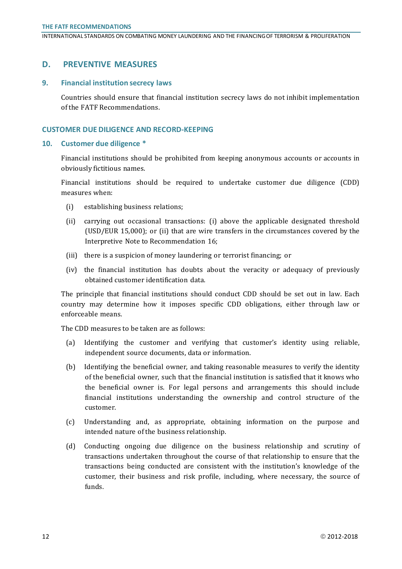### **D. PREVENTIVE MEASURES**

### **9. Financial institution secrecy laws**

Countries should ensure that financial institution secrecy laws do not inhibit implementation of the FATF Recommendations.

### **CUSTOMER DUE DILIGENCE AND RECORD-KEEPING**

### **10. Customer due diligence \***

Financial institutions should be prohibited from keeping anonymous accounts or accounts in obviously fictitious names.

Financial institutions should be required to undertake customer due diligence (CDD) measures when:

- (i) establishing business relations;
- (ii) carrying out occasional transactions: (i) above the applicable designated threshold (USD/EUR 15,000); or (ii) that are wire transfers in the circumstances covered by the Interpretive Note to Recommendation 16;
- (iii) there is a suspicion of money laundering or terrorist financing; or
- (iv) the financial institution has doubts about the veracity or adequacy of previously obtained customer identification data.

The principle that financial institutions should conduct CDD should be set out in law. Each country may determine how it imposes specific CDD obligations, either through law or enforceable means.

The CDD measures to be taken are as follows:

- (a) Identifying the customer and verifying that customer's identity using reliable, independent source documents, data or information.
- (b) Identifying the beneficial owner, and taking reasonable measures to verify the identity of the beneficial owner, such that the financial institution is satisfied that it knows who the beneficial owner is. For legal persons and arrangements this should include financial institutions understanding the ownership and control structure of the customer.
- (c) Understanding and, as appropriate, obtaining information on the purpose and intended nature of the business relationship.
- (d) Conducting ongoing due diligence on the business relationship and scrutiny of transactions undertaken throughout the course of that relationship to ensure that the transactions being conducted are consistent with the institution's knowledge of the customer, their business and risk profile, including, where necessary, the source of funds.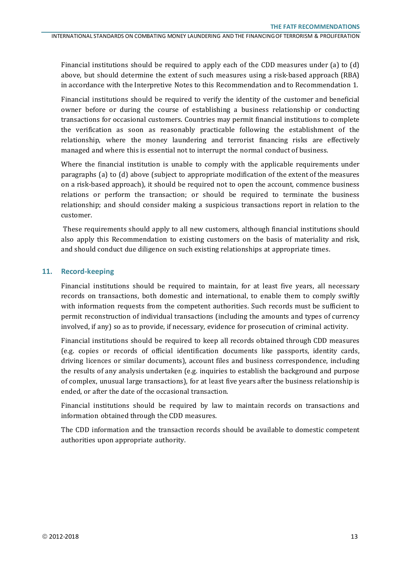Financial institutions should be required to apply each of the CDD measures under (a) to (d) above, but should determine the extent of such measures using a risk-based approach (RBA) in accordance with the Interpretive Notes to this Recommendation and to Recommendation 1.

Financial institutions should be required to verify the identity of the customer and beneficial owner before or during the course of establishing a business relationship or conducting transactions for occasional customers. Countries may permit financial institutions to complete the verification as soon as reasonably practicable following the establishment of the relationship, where the money laundering and terrorist financing risks are effectively managed and where this is essential not to interrupt the normal conduct of business.

Where the financial institution is unable to comply with the applicable requirements under paragraphs (a) to (d) above (subject to appropriate modification of the extent of the measures on a risk-based approach), it should be required not to open the account, commence business relations or perform the transaction; or should be required to terminate the business relationship; and should consider making a suspicious transactions report in relation to the customer.

These requirements should apply to all new customers, although financial institutions should also apply this Recommendation to existing customers on the basis of materiality and risk, and should conduct due diligence on such existing relationships at appropriate times.

#### **11. Record-keeping**

Financial institutions should be required to maintain, for at least five years, all necessary records on transactions, both domestic and international, to enable them to comply swiftly with information requests from the competent authorities. Such records must be sufficient to permit reconstruction of individual transactions (including the amounts and types of currency involved, if any) so as to provide, if necessary, evidence for prosecution of criminal activity.

Financial institutions should be required to keep all records obtained through CDD measures (e.g. copies or records of official identification documents like passports, identity cards, driving licences or similar documents), account files and business correspondence, including the results of any analysis undertaken (e.g. inquiries to establish the background and purpose of complex, unusual large transactions), for at least five years after the business relationship is ended, or after the date of the occasional transaction.

Financial institutions should be required by law to maintain records on transactions and information obtained through the CDD measures.

The CDD information and the transaction records should be available to domestic competent authorities upon appropriate authority.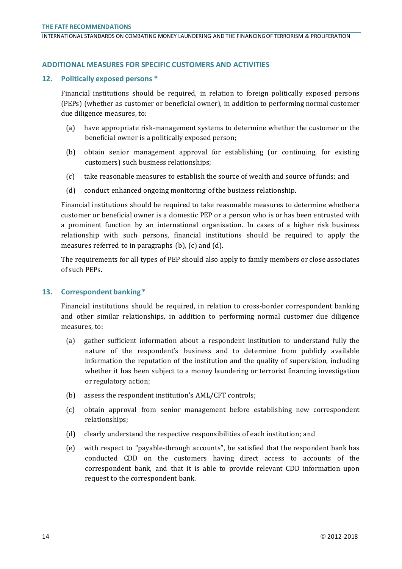### **ADDITIONAL MEASURES FOR SPECIFIC CUSTOMERS AND ACTIVITIES**

### **12. Politically exposed persons \***

Financial institutions should be required, in relation to foreign politically exposed persons (PEPs) (whether as customer or beneficial owner), in addition to performing normal customer due diligence measures, to:

- (a) have appropriate risk-management systems to determine whether the customer or the beneficial owner is a politically exposed person;
- (b) obtain senior management approval for establishing (or continuing, for existing customers) such business relationships;
- (c) take reasonable measures to establish the source of wealth and source of funds; and
- (d) conduct enhanced ongoing monitoring of the business relationship.

Financial institutions should be required to take reasonable measures to determine whether a customer or beneficial owner is a domestic PEP or a person who is or has been entrusted with a prominent function by an international organisation. In cases of a higher risk business relationship with such persons, financial institutions should be required to apply the measures referred to in paragraphs (b), (c) and (d).

The requirements for all types of PEP should also apply to family members or close associates of such PEPs.

### **13. Correspondent banking \***

Financial institutions should be required, in relation to cross-border correspondent banking and other similar relationships, in addition to performing normal customer due diligence measures, to:

- (a) gather sufficient information about a respondent institution to understand fully the nature of the respondent's business and to determine from publicly available information the reputation of the institution and the quality of supervision, including whether it has been subject to a money laundering or terrorist financing investigation or regulatory action;
- (b) assess the respondent institution's AML/CFT controls;
- (c) obtain approval from senior management before establishing new correspondent relationships;
- (d) clearly understand the respective responsibilities of each institution; and
- (e) with respect to "payable-through accounts", be satisfied that the respondent bank has conducted CDD on the customers having direct access to accounts of the correspondent bank, and that it is able to provide relevant CDD information upon request to the correspondent bank.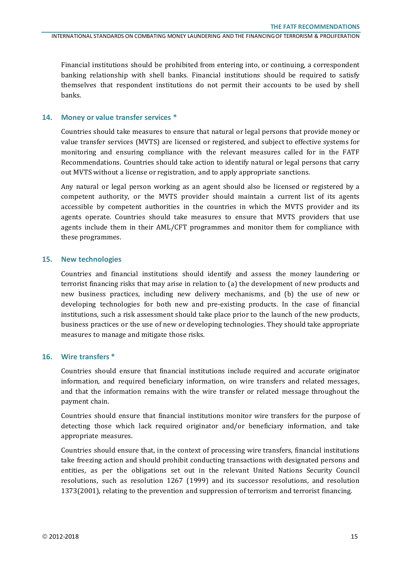Financial institutions should be prohibited from entering into, or continuing, a correspondent banking relationship with shell banks. Financial institutions should be required to satisfy themselves that respondent institutions do not permit their accounts to be used by shell banks.

#### **14. Money or value transfer services \***

Countries should take measures to ensure that natural or legal persons that provide money or value transfer services (MVTS) are licensed or registered, and subject to effective systems for monitoring and ensuring compliance with the relevant measures called for in the FATF Recommendations. Countries should take action to identify natural or legal persons that carry out MVTS without a license or registration, and to apply appropriate sanctions.

Any natural or legal person working as an agent should also be licensed or registered by a competent authority, or the MVTS provider should maintain a current list of its agents accessible by competent authorities in the countries in which the MVTS provider and its agents operate. Countries should take measures to ensure that MVTS providers that use agents include them in their AML/CFT programmes and monitor them for compliance with these programmes.

#### **15. New technologies**

Countries and financial institutions should identify and assess the money laundering or terrorist financing risks that may arise in relation to (a) the development of new products and new business practices, including new delivery mechanisms, and (b) the use of new or developing technologies for both new and pre-existing products. In the case of financial institutions, such a risk assessment should take place prior to the launch of the new products, business practices or the use of new or developing technologies. They should take appropriate measures to manage and mitigate those risks.

### **16. Wire transfers \***

Countries should ensure that financial institutions include required and accurate originator information, and required beneficiary information, on wire transfers and related messages, and that the information remains with the wire transfer or related message throughout the payment chain.

Countries should ensure that financial institutions monitor wire transfers for the purpose of detecting those which lack required originator and/or beneficiary information, and take appropriate measures.

Countries should ensure that, in the context of processing wire transfers, financial institutions take freezing action and should prohibit conducting transactions with designated persons and entities, as per the obligations set out in the relevant United Nations Security Council resolutions, such as resolution 1267 (1999) and its successor resolutions, and resolution 1373(2001), relating to the prevention and suppression of terrorism and terrorist financing.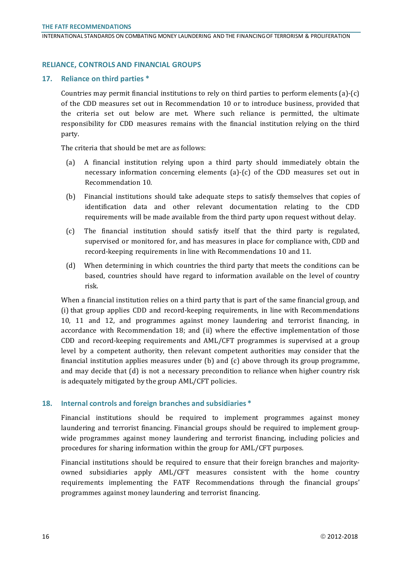### **RELIANCE, CONTROLS AND FINANCIAL GROUPS**

### **17. Reliance on third parties \***

Countries may permit financial institutions to rely on third parties to perform elements (a)-(c) of the CDD measures set out in Recommendation 10 or to introduce business, provided that the criteria set out below are met. Where such reliance is permitted, the ultimate responsibility for CDD measures remains with the financial institution relying on the third party.

The criteria that should be met are as follows:

- (a) A financial institution relying upon a third party should immediately obtain the necessary information concerning elements (a)-(c) of the CDD measures set out in Recommendation 10.
- (b) Financial institutions should take adequate steps to satisfy themselves that copies of identification data and other relevant documentation relating to the CDD requirements will be made available from the third party upon request without delay.
- (c) The financial institution should satisfy itself that the third party is regulated, supervised or monitored for, and has measures in place for compliance with, CDD and record-keeping requirements in line with Recommendations 10 and 11.
- (d) When determining in which countries the third party that meets the conditions can be based, countries should have regard to information available on the level of country risk.

When a financial institution relies on a third party that is part of the same financial group, and (i) that group applies CDD and record-keeping requirements, in line with Recommendations 10, 11 and 12, and programmes against money laundering and terrorist financing, in accordance with Recommendation 18; and (ii) where the effective implementation of those CDD and record-keeping requirements and AML/CFT programmes is supervised at a group level by a competent authority, then relevant competent authorities may consider that the financial institution applies measures under (b) and (c) above through its group programme, and may decide that (d) is not a necessary precondition to reliance when higher country risk is adequately mitigated by the group AML/CFT policies.

### **18. Internal controls and foreign branches and subsidiaries \***

Financial institutions should be required to implement programmes against money laundering and terrorist financing. Financial groups should be required to implement groupwide programmes against money laundering and terrorist financing, including policies and procedures for sharing information within the group for AML/CFT purposes.

Financial institutions should be required to ensure that their foreign branches and majorityowned subsidiaries apply AML/CFT measures consistent with the home country requirements implementing the FATF Recommendations through the financial groups' programmes against money laundering and terrorist financing.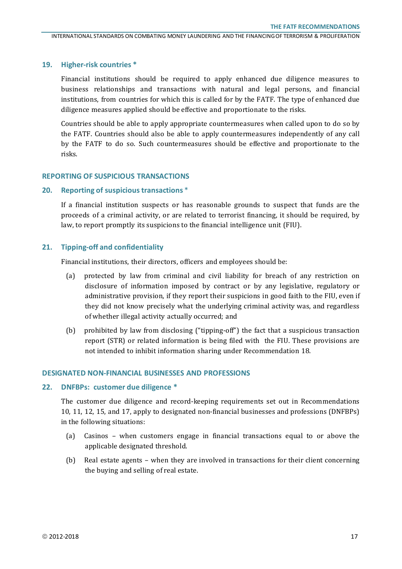### **19. Higher-risk countries \***

Financial institutions should be required to apply enhanced due diligence measures to business relationships and transactions with natural and legal persons, and financial institutions, from countries for which this is called for by the FATF. The type of enhanced due diligence measures applied should be effective and proportionate to the risks.

Countries should be able to apply appropriate countermeasures when called upon to do so by the FATF. Countries should also be able to apply countermeasures independently of any call by the FATF to do so. Such countermeasures should be effective and proportionate to the risks.

### **REPORTING OF SUSPICIOUS TRANSACTIONS**

### **20. Reporting of suspicious transactions** \*

If a financial institution suspects or has reasonable grounds to suspect that funds are the proceeds of a criminal activity, or are related to terrorist financing, it should be required, by law, to report promptly its suspicions to the financial intelligence unit (FIU).

### **21. Tipping-off and confidentiality**

Financial institutions, their directors, officers and employees should be:

- (a) protected by law from criminal and civil liability for breach of any restriction on disclosure of information imposed by contract or by any legislative, regulatory or administrative provision, if they report their suspicions in good faith to the FIU, even if they did not know precisely what the underlying criminal activity was, and regardless of whether illegal activity actually occurred; and
- (b) prohibited by law from disclosing ("tipping-off") the fact that a suspicious transaction report (STR) or related information is being filed with the FIU. These provisions are not intended to inhibit information sharing under Recommendation 18.

### **DESIGNATED NON-FINANCIAL BUSINESSES AND PROFESSIONS**

#### **22. DNFBPs: customer due diligence \***

The customer due diligence and record-keeping requirements set out in Recommendations 10, 11, 12, 15, and 17, apply to designated non-financial businesses and professions (DNFBPs) in the following situations:

- (a) Casinos when customers engage in financial transactions equal to or above the applicable designated threshold.
- (b) Real estate agents when they are involved in transactions for their client concerning the buying and selling of real estate.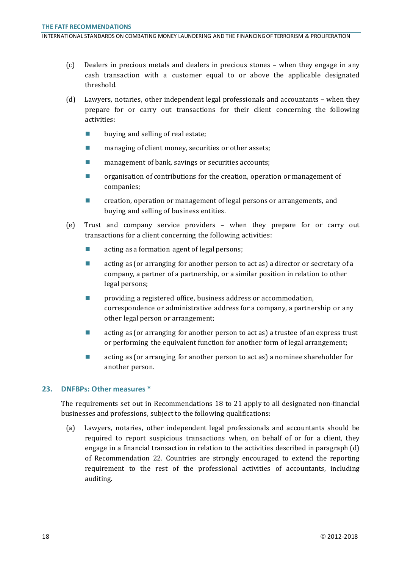- (c) Dealers in precious metals and dealers in precious stones when they engage in any cash transaction with a customer equal to or above the applicable designated threshold.
- (d) Lawyers, notaries, other independent legal professionals and accountants when they prepare for or carry out transactions for their client concerning the following activities:
	- **buying and selling of real estate;**
	- **n** managing of client money, securities or other assets;
	- **n** management of bank, savings or securities accounts;
	- **E** organisation of contributions for the creation, operation or management of companies;
	- **E** creation, operation or management of legal persons or arrangements, and buying and selling of business entities.
- (e) Trust and company service providers when they prepare for or carry out transactions for a client concerning the following activities:
	- $\blacksquare$  acting as a formation agent of legal persons;
	- acting as (or arranging for another person to act as) a director or secretary of a company, a partner of a partnership, or a similar position in relation to other legal persons;
	- **Part** providing a registered office, business address or accommodation, correspondence or administrative address for a company, a partnership or any other legal person or arrangement;
	- **acting as (or arranging for another person to act as) a trustee of an express trust** or performing the equivalent function for another form of legal arrangement;
	- **acting as (or arranging for another person to act as) a nominee shareholder for** another person.

### **23. DNFBPs: Other measures \***

The requirements set out in Recommendations 18 to 21 apply to all designated non-financial businesses and professions, subject to the following qualifications:

(a) Lawyers, notaries, other independent legal professionals and accountants should be required to report suspicious transactions when, on behalf of or for a client, they engage in a financial transaction in relation to the activities described in paragraph (d) of Recommendation 22. Countries are strongly encouraged to extend the reporting requirement to the rest of the professional activities of accountants, including auditing.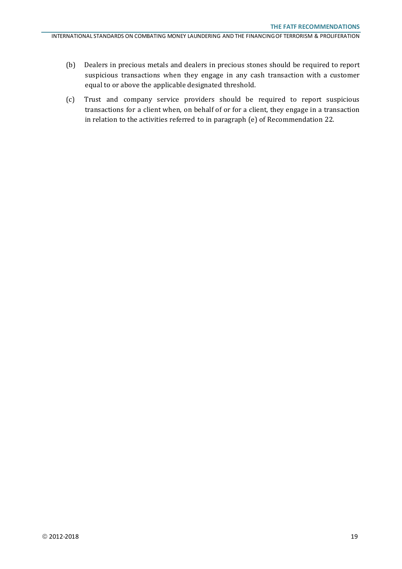- (b) Dealers in precious metals and dealers in precious stones should be required to report suspicious transactions when they engage in any cash transaction with a customer equal to or above the applicable designated threshold.
- (c) Trust and company service providers should be required to report suspicious transactions for a client when, on behalf of or for a client, they engage in a transaction in relation to the activities referred to in paragraph (e) of Recommendation 22.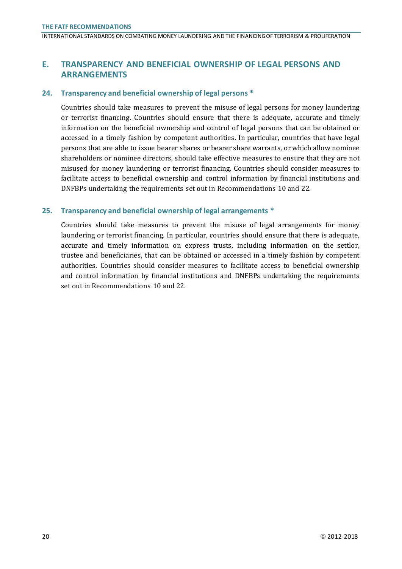### **E. TRANSPARENCY AND BENEFICIAL OWNERSHIP OF LEGAL PERSONS AND ARRANGEMENTS**

### **24. Transparency and beneficial ownership of legal persons \***

Countries should take measures to prevent the misuse of legal persons for money laundering or terrorist financing. Countries should ensure that there is adequate, accurate and timely information on the beneficial ownership and control of legal persons that can be obtained or accessed in a timely fashion by competent authorities. In particular, countries that have legal persons that are able to issue bearer shares or bearer share warrants, or which allow nominee shareholders or nominee directors, should take effective measures to ensure that they are not misused for money laundering or terrorist financing. Countries should consider measures to facilitate access to beneficial ownership and control information by financial institutions and DNFBPs undertaking the requirements set out in Recommendations 10 and 22.

### **25. Transparency and beneficial ownership of legal arrangements \***

Countries should take measures to prevent the misuse of legal arrangements for money laundering or terrorist financing. In particular, countries should ensure that there is adequate, accurate and timely information on express trusts, including information on the settlor, trustee and beneficiaries, that can be obtained or accessed in a timely fashion by competent authorities. Countries should consider measures to facilitate access to beneficial ownership and control information by financial institutions and DNFBPs undertaking the requirements set out in Recommendations 10 and 22.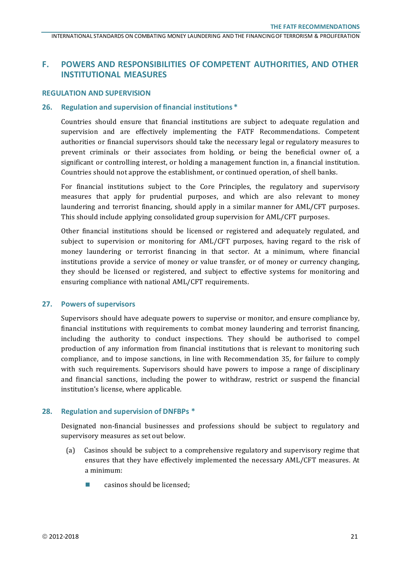### **F. POWERS AND RESPONSIBILITIES OF COMPETENT AUTHORITIES, AND OTHER INSTITUTIONAL MEASURES**

### **REGULATION AND SUPERVISION**

### **26. Regulation and supervision of financial institutions \***

Countries should ensure that financial institutions are subject to adequate regulation and supervision and are effectively implementing the FATF Recommendations. Competent authorities or financial supervisors should take the necessary legal or regulatory measures to prevent criminals or their associates from holding, or being the beneficial owner of, a significant or controlling interest, or holding a management function in, a financial institution. Countries should not approve the establishment, or continued operation, of shell banks.

For financial institutions subject to the Core Principles, the regulatory and supervisory measures that apply for prudential purposes, and which are also relevant to money laundering and terrorist financing, should apply in a similar manner for AML/CFT purposes. This should include applying consolidated group supervision for AML/CFT purposes.

Other financial institutions should be licensed or registered and adequately regulated, and subject to supervision or monitoring for AML/CFT purposes, having regard to the risk of money laundering or terrorist financing in that sector. At a minimum, where financial institutions provide a service of money or value transfer, or of money or currency changing, they should be licensed or registered, and subject to effective systems for monitoring and ensuring compliance with national AML/CFT requirements.

#### **27. Powers of supervisors**

Supervisors should have adequate powers to supervise or monitor, and ensure compliance by, financial institutions with requirements to combat money laundering and terrorist financing, including the authority to conduct inspections. They should be authorised to compel production of any information from financial institutions that is relevant to monitoring such compliance, and to impose sanctions, in line with Recommendation 35, for failure to comply with such requirements. Supervisors should have powers to impose a range of disciplinary and financial sanctions, including the power to withdraw, restrict or suspend the financial institution's license, where applicable.

### **28. Regulation and supervision of DNFBPs \***

Designated non-financial businesses and professions should be subject to regulatory and supervisory measures as set out below.

- (a) Casinos should be subject to a comprehensive regulatory and supervisory regime that ensures that they have effectively implemented the necessary AML/CFT measures. At a minimum:
	- **Example 2** casinos should be licensed;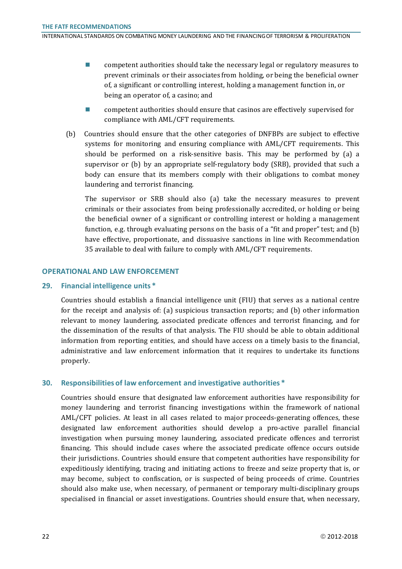- **EXECO** competent authorities should take the necessary legal or regulatory measures to prevent criminals or their associates from holding, or being the beneficial owner of, a significant or controlling interest, holding a management function in, or being an operator of, a casino; and
- competent authorities should ensure that casinos are effectively supervised for compliance with AML/CFT requirements.
- (b) Countries should ensure that the other categories of DNFBPs are subject to effective systems for monitoring and ensuring compliance with AML/CFT requirements. This should be performed on a risk-sensitive basis. This may be performed by (a) a supervisor or (b) by an appropriate self-regulatory body (SRB), provided that such a body can ensure that its members comply with their obligations to combat money laundering and terrorist financing.

The supervisor or SRB should also (a) take the necessary measures to prevent criminals or their associates from being professionally accredited, or holding or being the beneficial owner of a significant or controlling interest or holding a management function, e.g. through evaluating persons on the basis of a "fit and proper" test; and (b) have effective, proportionate, and dissuasive sanctions in line with Recommendation 35 available to deal with failure to comply with AML/CFT requirements.

### **OPERATIONAL AND LAW ENFORCEMENT**

#### **29. Financial intelligence units \***

Countries should establish a financial intelligence unit (FIU) that serves as a national centre for the receipt and analysis of: (a) suspicious transaction reports; and (b) other information relevant to money laundering, associated predicate offences and terrorist financing, and for the dissemination of the results of that analysis. The FIU should be able to obtain additional information from reporting entities, and should have access on a timely basis to the financial, administrative and law enforcement information that it requires to undertake its functions properly.

### **30. Responsibilities of law enforcement and investigative authorities \***

Countries should ensure that designated law enforcement authorities have responsibility for money laundering and terrorist financing investigations within the framework of national AML/CFT policies. At least in all cases related to major proceeds-generating offences, these designated law enforcement authorities should develop a pro-active parallel financial investigation when pursuing money laundering, associated predicate offences and terrorist financing. This should include cases where the associated predicate offence occurs outside their jurisdictions. Countries should ensure that competent authorities have responsibility for expeditiously identifying, tracing and initiating actions to freeze and seize property that is, or may become, subject to confiscation, or is suspected of being proceeds of crime. Countries should also make use, when necessary, of permanent or temporary multi-disciplinary groups specialised in financial or asset investigations. Countries should ensure that, when necessary,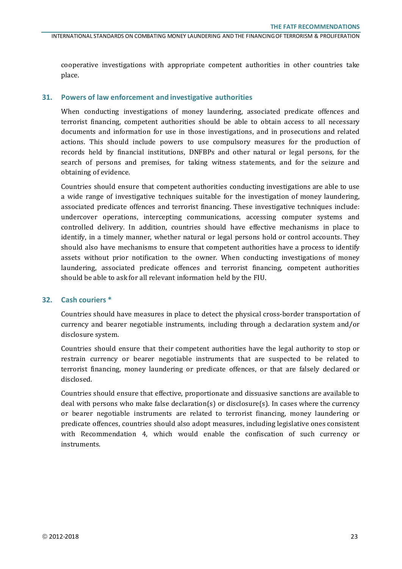cooperative investigations with appropriate competent authorities in other countries take place.

### **31. Powers of law enforcement and investigative authorities**

When conducting investigations of money laundering, associated predicate offences and terrorist financing, competent authorities should be able to obtain access to all necessary documents and information for use in those investigations, and in prosecutions and related actions. This should include powers to use compulsory measures for the production of records held by financial institutions, DNFBPs and other natural or legal persons, for the search of persons and premises, for taking witness statements, and for the seizure and obtaining of evidence.

Countries should ensure that competent authorities conducting investigations are able to use a wide range of investigative techniques suitable for the investigation of money laundering, associated predicate offences and terrorist financing. These investigative techniques include: undercover operations, intercepting communications, accessing computer systems and controlled delivery. In addition, countries should have effective mechanisms in place to identify, in a timely manner, whether natural or legal persons hold or control accounts. They should also have mechanisms to ensure that competent authorities have a process to identify assets without prior notification to the owner. When conducting investigations of money laundering, associated predicate offences and terrorist financing, competent authorities should be able to ask for all relevant information held by the FIU.

### **32. Cash couriers \***

Countries should have measures in place to detect the physical cross-border transportation of currency and bearer negotiable instruments, including through a declaration system and/or disclosure system.

Countries should ensure that their competent authorities have the legal authority to stop or restrain currency or bearer negotiable instruments that are suspected to be related to terrorist financing, money laundering or predicate offences, or that are falsely declared or disclosed.

Countries should ensure that effective, proportionate and dissuasive sanctions are available to deal with persons who make false declaration(s) or disclosure(s). In cases where the currency or bearer negotiable instruments are related to terrorist financing, money laundering or predicate offences, countries should also adopt measures, including legislative ones consistent with Recommendation 4, which would enable the confiscation of such currency or instruments.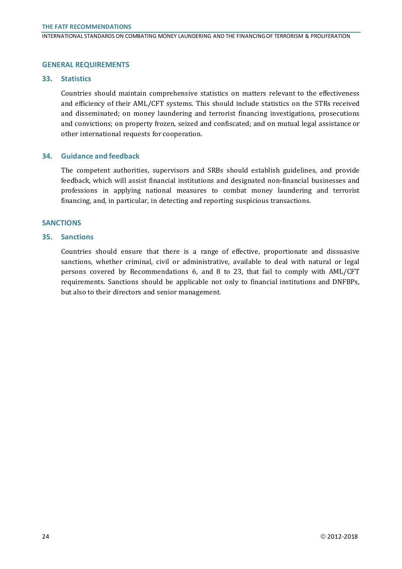### **GENERAL REQUIREMENTS**

### **33. Statistics**

Countries should maintain comprehensive statistics on matters relevant to the effectiveness and efficiency of their AML/CFT systems. This should include statistics on the STRs received and disseminated; on money laundering and terrorist financing investigations, prosecutions and convictions; on property frozen, seized and confiscated; and on mutual legal assistance or other international requests for cooperation.

### **34. Guidance and feedback**

The competent authorities, supervisors and SRBs should establish guidelines, and provide feedback, which will assist financial institutions and designated non-financial businesses and professions in applying national measures to combat money laundering and terrorist financing, and, in particular, in detecting and reporting suspicious transactions.

### **SANCTIONS**

### **35. Sanctions**

Countries should ensure that there is a range of effective, proportionate and dissuasive sanctions, whether criminal, civil or administrative, available to deal with natural or legal persons covered by Recommendations 6, and 8 to 23, that fail to comply with AML/CFT requirements. Sanctions should be applicable not only to financial institutions and DNFBPs, but also to their directors and senior management.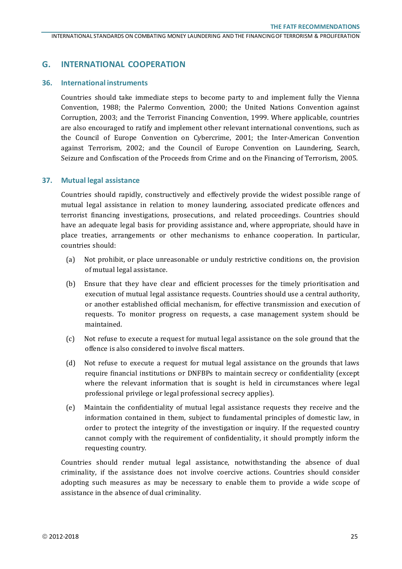### **G. INTERNATIONAL COOPERATION**

#### **36. International instruments**

Countries should take immediate steps to become party to and implement fully the Vienna Convention, 1988; the Palermo Convention, 2000; the United Nations Convention against Corruption, 2003; and the Terrorist Financing Convention, 1999. Where applicable, countries are also encouraged to ratify and implement other relevant international conventions, such as the Council of Europe Convention on Cybercrime, 2001; the Inter-American Convention against Terrorism, 2002; and the Council of Europe Convention on Laundering, Search, Seizure and Confiscation of the Proceeds from Crime and on the Financing of Terrorism, 2005.

#### **37. Mutual legal assistance**

Countries should rapidly, constructively and effectively provide the widest possible range of mutual legal assistance in relation to money laundering, associated predicate offences and terrorist financing investigations, prosecutions, and related proceedings. Countries should have an adequate legal basis for providing assistance and, where appropriate, should have in place treaties, arrangements or other mechanisms to enhance cooperation. In particular, countries should:

- (a) Not prohibit, or place unreasonable or unduly restrictive conditions on, the provision of mutual legal assistance.
- (b) Ensure that they have clear and efficient processes for the timely prioritisation and execution of mutual legal assistance requests. Countries should use a central authority, or another established official mechanism, for effective transmission and execution of requests. To monitor progress on requests, a case management system should be maintained.
- (c) Not refuse to execute a request for mutual legal assistance on the sole ground that the offence is also considered to involve fiscal matters.
- (d) Not refuse to execute a request for mutual legal assistance on the grounds that laws require financial institutions or DNFBPs to maintain secrecy or confidentiality (except where the relevant information that is sought is held in circumstances where legal professional privilege or legal professional secrecy applies).
- (e) Maintain the confidentiality of mutual legal assistance requests they receive and the information contained in them, subject to fundamental principles of domestic law, in order to protect the integrity of the investigation or inquiry. If the requested country cannot comply with the requirement of confidentiality, it should promptly inform the requesting country.

Countries should render mutual legal assistance, notwithstanding the absence of dual criminality, if the assistance does not involve coercive actions. Countries should consider adopting such measures as may be necessary to enable them to provide a wide scope of assistance in the absence of dual criminality.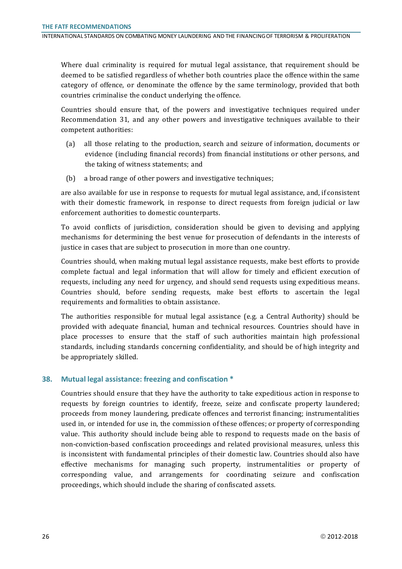Where dual criminality is required for mutual legal assistance, that requirement should be deemed to be satisfied regardless of whether both countries place the offence within the same category of offence, or denominate the offence by the same terminology, provided that both countries criminalise the conduct underlying the offence.

Countries should ensure that, of the powers and investigative techniques required under Recommendation 31, and any other powers and investigative techniques available to their competent authorities:

- (a) all those relating to the production, search and seizure of information, documents or evidence (including financial records) from financial institutions or other persons, and the taking of witness statements; and
- (b) a broad range of other powers and investigative techniques;

are also available for use in response to requests for mutual legal assistance, and, if consistent with their domestic framework, in response to direct requests from foreign judicial or law enforcement authorities to domestic counterparts.

To avoid conflicts of jurisdiction, consideration should be given to devising and applying mechanisms for determining the best venue for prosecution of defendants in the interests of justice in cases that are subject to prosecution in more than one country.

Countries should, when making mutual legal assistance requests, make best efforts to provide complete factual and legal information that will allow for timely and efficient execution of requests, including any need for urgency, and should send requests using expeditious means. Countries should, before sending requests, make best efforts to ascertain the legal requirements and formalities to obtain assistance.

The authorities responsible for mutual legal assistance (e.g. a Central Authority) should be provided with adequate financial, human and technical resources. Countries should have in place processes to ensure that the staff of such authorities maintain high professional standards, including standards concerning confidentiality, and should be of high integrity and be appropriately skilled.

### **38. Mutual legal assistance: freezing and confiscation \***

Countries should ensure that they have the authority to take expeditious action in response to requests by foreign countries to identify, freeze, seize and confiscate property laundered; proceeds from money laundering, predicate offences and terrorist financing; instrumentalities used in, or intended for use in, the commission of these offences; or property of corresponding value. This authority should include being able to respond to requests made on the basis of non-conviction-based confiscation proceedings and related provisional measures, unless this is inconsistent with fundamental principles of their domestic law. Countries should also have effective mechanisms for managing such property, instrumentalities or property of corresponding value, and arrangements for coordinating seizure and confiscation proceedings, which should include the sharing of confiscated assets.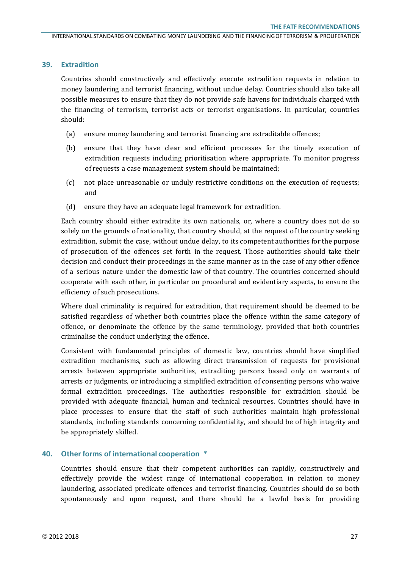### **39. Extradition**

Countries should constructively and effectively execute extradition requests in relation to money laundering and terrorist financing, without undue delay. Countries should also take all possible measures to ensure that they do not provide safe havens for individuals charged with the financing of terrorism, terrorist acts or terrorist organisations. In particular, countries should:

- (a) ensure money laundering and terrorist financing are extraditable offences;
- (b) ensure that they have clear and efficient processes for the timely execution of extradition requests including prioritisation where appropriate. To monitor progress of requests a case management system should be maintained;
- (c) not place unreasonable or unduly restrictive conditions on the execution of requests; and
- (d) ensure they have an adequate legal framework for extradition.

Each country should either extradite its own nationals, or, where a country does not do so solely on the grounds of nationality, that country should, at the request of the country seeking extradition, submit the case, without undue delay, to its competent authorities for the purpose of prosecution of the offences set forth in the request. Those authorities should take their decision and conduct their proceedings in the same manner as in the case of any other offence of a serious nature under the domestic law of that country. The countries concerned should cooperate with each other, in particular on procedural and evidentiary aspects, to ensure the efficiency of such prosecutions.

Where dual criminality is required for extradition, that requirement should be deemed to be satisfied regardless of whether both countries place the offence within the same category of offence, or denominate the offence by the same terminology, provided that both countries criminalise the conduct underlying the offence.

Consistent with fundamental principles of domestic law, countries should have simplified extradition mechanisms, such as allowing direct transmission of requests for provisional arrests between appropriate authorities, extraditing persons based only on warrants of arrests or judgments, or introducing a simplified extradition of consenting persons who waive formal extradition proceedings. The authorities responsible for extradition should be provided with adequate financial, human and technical resources. Countries should have in place processes to ensure that the staff of such authorities maintain high professional standards, including standards concerning confidentiality, and should be of high integrity and be appropriately skilled.

#### **40. Other forms of international cooperation \***

Countries should ensure that their competent authorities can rapidly, constructively and effectively provide the widest range of international cooperation in relation to money laundering, associated predicate offences and terrorist financing. Countries should do so both spontaneously and upon request, and there should be a lawful basis for providing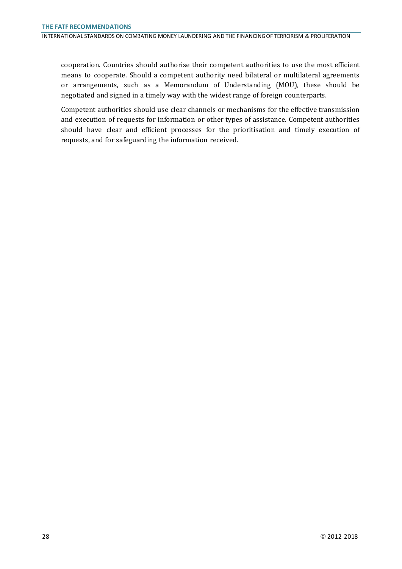cooperation. Countries should authorise their competent authorities to use the most efficient means to cooperate. Should a competent authority need bilateral or multilateral agreements or arrangements, such as a Memorandum of Understanding (MOU), these should be negotiated and signed in a timely way with the widest range of foreign counterparts.

Competent authorities should use clear channels or mechanisms for the effective transmission and execution of requests for information or other types of assistance. Competent authorities should have clear and efficient processes for the prioritisation and timely execution of requests, and for safeguarding the information received.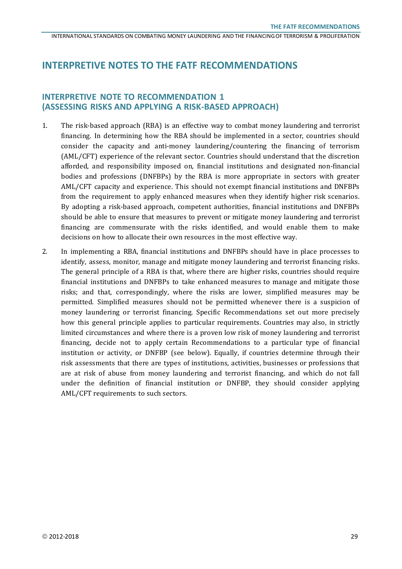### <span id="page-29-0"></span>**INTERPRETIVE NOTES TO THE FATF RECOMMENDATIONS**

### **INTERPRETIVE NOTE TO RECOMMENDATION 1 (ASSESSING RISKS AND APPLYING A RISK-BASED APPROACH)**

- 1. The risk-based approach (RBA) is an effective way to combat money laundering and terrorist financing. In determining how the RBA should be implemented in a sector, countries should consider the capacity and anti-money laundering/countering the financing of terrorism (AML/CFT) experience of the relevant sector. Countries should understand that the discretion afforded, and responsibility imposed on, financial institutions and designated non-financial bodies and professions (DNFBPs) by the RBA is more appropriate in sectors with greater AML/CFT capacity and experience. This should not exempt financial institutions and DNFBPs from the requirement to apply enhanced measures when they identify higher risk scenarios. By adopting a risk-based approach, competent authorities, financial institutions and DNFBPs should be able to ensure that measures to prevent or mitigate money laundering and terrorist financing are commensurate with the risks identified, and would enable them to make decisions on how to allocate their own resources in the most effective way.
- 2. In implementing a RBA, financial institutions and DNFBPs should have in place processes to identify, assess, monitor, manage and mitigate money laundering and terrorist financing risks. The general principle of a RBA is that, where there are higher risks, countries should require financial institutions and DNFBPs to take enhanced measures to manage and mitigate those risks; and that, correspondingly, where the risks are lower, simplified measures may be permitted. Simplified measures should not be permitted whenever there is a suspicion of money laundering or terrorist financing. Specific Recommendations set out more precisely how this general principle applies to particular requirements. Countries may also, in strictly limited circumstances and where there is a proven low risk of money laundering and terrorist financing, decide not to apply certain Recommendations to a particular type of financial institution or activity, or DNFBP (see below). Equally, if countries determine through their risk assessments that there are types of institutions, activities, businesses or professions that are at risk of abuse from money laundering and terrorist financing, and which do not fall under the definition of financial institution or DNFBP, they should consider applying AML/CFT requirements to such sectors.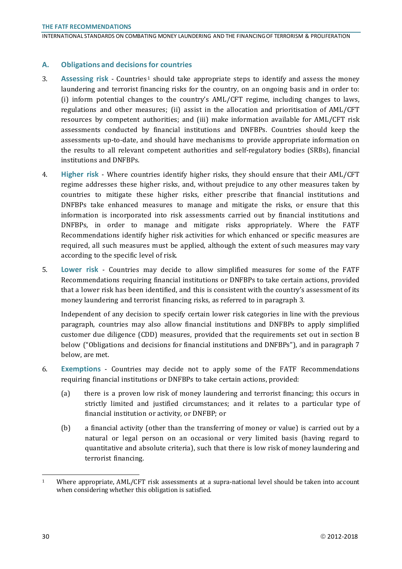### **A. Obligations and decisions for countries**

- 3. **Assessing risk** Countries[1](#page-30-0) should take appropriate steps to identify and assess the money laundering and terrorist financing risks for the country, on an ongoing basis and in order to: (i) inform potential changes to the country's AML/CFT regime, including changes to laws, regulations and other measures; (ii) assist in the allocation and prioritisation of AML/CFT resources by competent authorities; and (iii) make information available for AML/CFT risk assessments conducted by financial institutions and DNFBPs. Countries should keep the assessments up-to-date, and should have mechanisms to provide appropriate information on the results to all relevant competent authorities and self-regulatory bodies (SRBs), financial institutions and DNFBPs.
- 4. **Higher risk** Where countries identify higher risks, they should ensure that their AML/CFT regime addresses these higher risks, and, without prejudice to any other measures taken by countries to mitigate these higher risks, either prescribe that financial institutions and DNFBPs take enhanced measures to manage and mitigate the risks, or ensure that this information is incorporated into risk assessments carried out by financial institutions and DNFBPs, in order to manage and mitigate risks appropriately. Where the FATF Recommendations identify higher risk activities for which enhanced or specific measures are required, all such measures must be applied, although the extent of such measures may vary according to the specific level of risk.
- 5. **Lower risk** Countries may decide to allow simplified measures for some of the FATF Recommendations requiring financial institutions or DNFBPs to take certain actions, provided that a lower risk has been identified, and this is consistent with the country's assessment of its money laundering and terrorist financing risks, as referred to in paragraph 3.

Independent of any decision to specify certain lower risk categories in line with the previous paragraph, countries may also allow financial institutions and DNFBPs to apply simplified customer due diligence (CDD) measures, provided that the requirements set out in section B below ("Obligations and decisions for financial institutions and DNFBPs"), and in paragraph 7 below, are met.

- 6. **Exemptions** Countries may decide not to apply some of the FATF Recommendations requiring financial institutions or DNFBPs to take certain actions, provided:
	- (a) there is a proven low risk of money laundering and terrorist financing; this occurs in strictly limited and justified circumstances; and it relates to a particular type of financial institution or activity, or DNFBP; or
	- (b) a financial activity (other than the transferring of money or value) is carried out by a natural or legal person on an occasional or very limited basis (having regard to quantitative and absolute criteria), such that there is low risk of money laundering and terrorist financing.

 $\ddot{ }$ 

<span id="page-30-0"></span><sup>1</sup> Where appropriate, AML/CFT risk assessments at a supra-national level should be taken into account when considering whether this obligation is satisfied.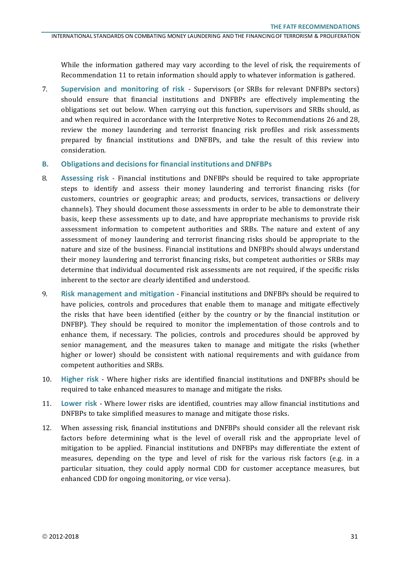While the information gathered may vary according to the level of risk, the requirements of Recommendation 11 to retain information should apply to whatever information is gathered.

7. **Supervision and monitoring of risk** - Supervisors (or SRBs for relevant DNFBPs sectors) should ensure that financial institutions and DNFBPs are effectively implementing the obligations set out below. When carrying out this function, supervisors and SRBs should, as and when required in accordance with the Interpretive Notes to Recommendations 26 and 28, review the money laundering and terrorist financing risk profiles and risk assessments prepared by financial institutions and DNFBPs, and take the result of this review into consideration.

### **B. Obligations and decisions for financial institutions and DNFBPs**

- 8. **Assessing risk** Financial institutions and DNFBPs should be required to take appropriate steps to identify and assess their money laundering and terrorist financing risks (for customers, countries or geographic areas; and products, services, transactions or delivery channels). They should document those assessments in order to be able to demonstrate their basis, keep these assessments up to date, and have appropriate mechanisms to provide risk assessment information to competent authorities and SRBs. The nature and extent of any assessment of money laundering and terrorist financing risks should be appropriate to the nature and size of the business. Financial institutions and DNFBPs should always understand their money laundering and terrorist financing risks, but competent authorities or SRBs may determine that individual documented risk assessments are not required, if the specific risks inherent to the sector are clearly identified and understood.
- 9. **Risk management and mitigation** Financial institutions and DNFBPs should be required to have policies, controls and procedures that enable them to manage and mitigate effectively the risks that have been identified (either by the country or by the financial institution or DNFBP). They should be required to monitor the implementation of those controls and to enhance them, if necessary. The policies, controls and procedures should be approved by senior management, and the measures taken to manage and mitigate the risks (whether higher or lower) should be consistent with national requirements and with guidance from competent authorities and SRBs.
- 10. **Higher risk** Where higher risks are identified financial institutions and DNFBPs should be required to take enhanced measures to manage and mitigate the risks.
- 11. **Lower risk** Where lower risks are identified, countries may allow financial institutions and DNFBPs to take simplified measures to manage and mitigate those risks.
- 12. When assessing risk, financial institutions and DNFBPs should consider all the relevant risk factors before determining what is the level of overall risk and the appropriate level of mitigation to be applied. Financial institutions and DNFBPs may differentiate the extent of measures, depending on the type and level of risk for the various risk factors (e.g. in a particular situation, they could apply normal CDD for customer acceptance measures, but enhanced CDD for ongoing monitoring, or vice versa).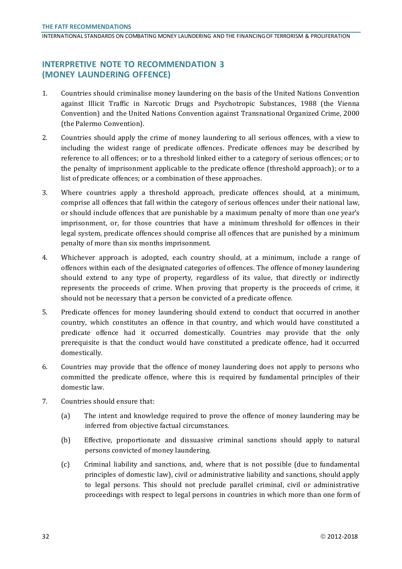### **INTERPRETIVE NOTE TO RECOMMENDATION 3 (MONEY LAUNDERING OFFENCE)**

- 1. Countries should criminalise money laundering on the basis of the United Nations Convention against Illicit Traffic in Narcotic Drugs and Psychotropic Substances, 1988 (the Vienna Convention) and the United Nations Convention against Transnational Organized Crime, 2000 (the Palermo Convention).
- 2. Countries should apply the crime of money laundering to all serious offences, with a view to including the widest range of predicate offences. Predicate offences may be described by reference to all offences; or to a threshold linked either to a category of serious offences; or to the penalty of imprisonment applicable to the predicate offence (threshold approach); or to a list of predicate offences; or a combination of these approaches.
- 3. Where countries apply a threshold approach, predicate offences should, at a minimum, comprise all offences that fall within the category of serious offences under their national law, or should include offences that are punishable by a maximum penalty of more than one year's imprisonment, or, for those countries that have a minimum threshold for offences in their legal system, predicate offences should comprise all offences that are punished by a minimum penalty of more than six months imprisonment.
- 4. Whichever approach is adopted, each country should, at a minimum, include a range of offences within each of the designated categories of offences. The offence of money laundering should extend to any type of property, regardless of its value, that directly or indirectly represents the proceeds of crime. When proving that property is the proceeds of crime, it should not be necessary that a person be convicted of a predicate offence.
- 5. Predicate offences for money laundering should extend to conduct that occurred in another country, which constitutes an offence in that country, and which would have constituted a predicate offence had it occurred domestically. Countries may provide that the only prerequisite is that the conduct would have constituted a predicate offence, had it occurred domestically.
- 6. Countries may provide that the offence of money laundering does not apply to persons who committed the predicate offence, where this is required by fundamental principles of their domestic law.
- 7. Countries should ensure that:
	- (a) The intent and knowledge required to prove the offence of money laundering may be inferred from objective factual circumstances.
	- (b) Effective, proportionate and dissuasive criminal sanctions should apply to natural persons convicted of money laundering.
	- (c) Criminal liability and sanctions, and, where that is not possible (due to fundamental principles of domestic law), civil or administrative liability and sanctions, should apply to legal persons. This should not preclude parallel criminal, civil or administrative proceedings with respect to legal persons in countries in which more than one form of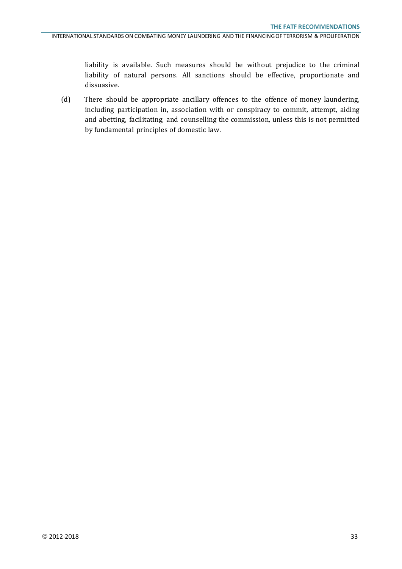liability is available. Such measures should be without prejudice to the criminal liability of natural persons. All sanctions should be effective, proportionate and dissuasive.

(d) There should be appropriate ancillary offences to the offence of money laundering, including participation in, association with or conspiracy to commit, attempt, aiding and abetting, facilitating, and counselling the commission, unless this is not permitted by fundamental principles of domestic law.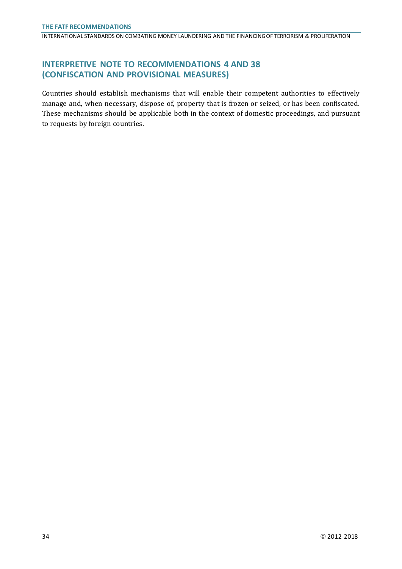### **INTERPRETIVE NOTE TO RECOMMENDATIONS 4 AND 38 (CONFISCATION AND PROVISIONAL MEASURES)**

Countries should establish mechanisms that will enable their competent authorities to effectively manage and, when necessary, dispose of, property that is frozen or seized, or has been confiscated. These mechanisms should be applicable both in the context of domestic proceedings, and pursuant to requests by foreign countries.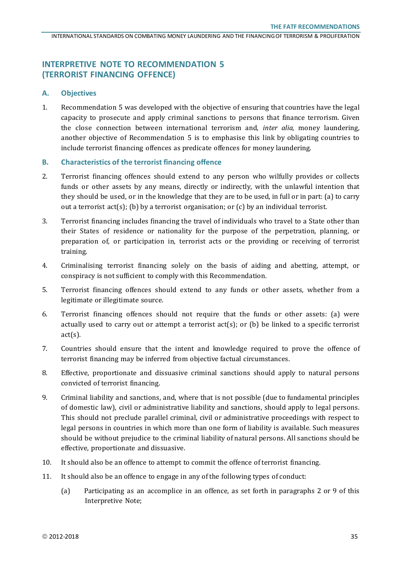### **INTERPRETIVE NOTE TO RECOMMENDATION 5 (TERRORIST FINANCING OFFENCE)**

### **A. Objectives**

1. Recommendation 5 was developed with the objective of ensuring that countries have the legal capacity to prosecute and apply criminal sanctions to persons that finance terrorism. Given the close connection between international terrorism and, *inter alia*, money laundering, another objective of Recommendation 5 is to emphasise this link by obligating countries to include terrorist financing offences as predicate offences for money laundering.

### **B. Characteristics of the terrorist financing offence**

- 2. Terrorist financing offences should extend to any person who wilfully provides or collects funds or other assets by any means, directly or indirectly, with the unlawful intention that they should be used, or in the knowledge that they are to be used, in full or in part: (a) to carry out a terrorist act(s); (b) by a terrorist organisation; or (c) by an individual terrorist.
- 3. Terrorist financing includes financing the travel of individuals who travel to a State other than their States of residence or nationality for the purpose of the perpetration, planning, or preparation of, or participation in, terrorist acts or the providing or receiving of terrorist training.
- 4. Criminalising terrorist financing solely on the basis of aiding and abetting, attempt, or conspiracy is not sufficient to comply with this Recommendation.
- 5. Terrorist financing offences should extend to any funds or other assets, whether from a legitimate or illegitimate source.
- 6. Terrorist financing offences should not require that the funds or other assets: (a) were actually used to carry out or attempt a terrorist  $act(s)$ ; or (b) be linked to a specific terrorist act(s).
- 7. Countries should ensure that the intent and knowledge required to prove the offence of terrorist financing may be inferred from objective factual circumstances.
- 8. Effective, proportionate and dissuasive criminal sanctions should apply to natural persons convicted of terrorist financing.
- 9. Criminal liability and sanctions, and, where that is not possible (due to fundamental principles of domestic law), civil or administrative liability and sanctions, should apply to legal persons. This should not preclude parallel criminal, civil or administrative proceedings with respect to legal persons in countries in which more than one form of liability is available. Such measures should be without prejudice to the criminal liability of natural persons. All sanctions should be effective, proportionate and dissuasive.
- 10. It should also be an offence to attempt to commit the offence of terrorist financing.
- 11. It should also be an offence to engage in any of the following types of conduct:
	- (a) Participating as an accomplice in an offence, as set forth in paragraphs 2 or 9 of this Interpretive Note;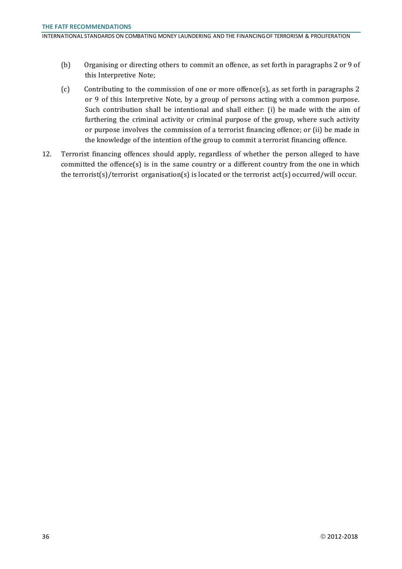- (b) Organising or directing others to commit an offence, as set forth in paragraphs 2 or 9 of this Interpretive Note;
- (c) Contributing to the commission of one or more offence(s), as set forth in paragraphs 2 or 9 of this Interpretive Note, by a group of persons acting with a common purpose. Such contribution shall be intentional and shall either: (i) be made with the aim of furthering the criminal activity or criminal purpose of the group, where such activity or purpose involves the commission of a terrorist financing offence; or (ii) be made in the knowledge of the intention of the group to commit a terrorist financing offence.
- 12. Terrorist financing offences should apply, regardless of whether the person alleged to have committed the offence(s) is in the same country or a different country from the one in which the terrorist(s)/terrorist organisation(s) is located or the terrorist act(s) occurred/will occur.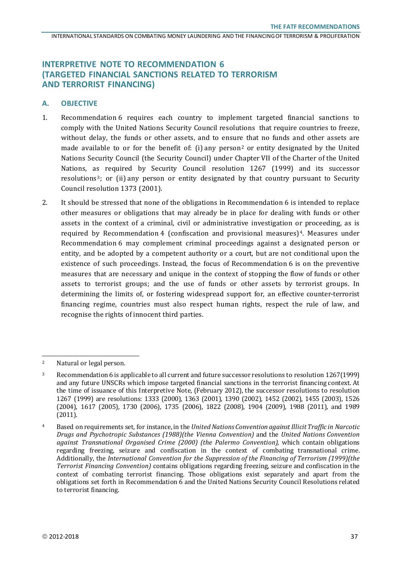# **INTERPRETIVE NOTE TO RECOMMENDATION 6 (TARGETED FINANCIAL SANCTIONS RELATED TO TERRORISM AND TERRORIST FINANCING)**

#### **A. OBJECTIVE**

- 1. Recommendation 6 requires each country to implement targeted financial sanctions to comply with the United Nations Security Council resolutions that require countries to freeze, without delay, the funds or other assets, and to ensur[e](#page-37-0) that no funds and other assets are made available to or for the benefit of: (i) any person<sup>2</sup> or entity designated by the United Nations Security Council (the Security Council) under Chapter VII of the Charter of the United Nations, as required by Security Council resolution 1267 (1999) and its successor resolutions<sup>[3](#page-37-1)</sup>; or (ii) any person or entity designated by that country pursuant to Security Council resolution 1373 (2001).
- 2. It should be stressed that none of the obligations in Recommendation 6 is intended to replace other measures or obligations that may already be in place for dealing with funds or other assets in the context of a criminal, civil or administrative investigation or proceeding, as is required by Recommendation [4](#page-37-2) (confiscation and provisional measures)<sup>4</sup>. Measures under Recommendation 6 may complement criminal proceedings against a designated person or entity, and be adopted by a competent authority or a court, but are not conditional upon the existence of such proceedings. Instead, the focus of Recommendation 6 is on the preventive measures that are necessary and unique in the context of stopping the flow of funds or other assets to terrorist groups; and the use of funds or other assets by terrorist groups. In determining the limits of, or fostering widespread support for, an effective counter-terrorist financing regime, countries must also respect human rights, respect the rule of law, and recognise the rights of innocent third parties.

1

<span id="page-37-0"></span><sup>2</sup> Natural or legal person.

<span id="page-37-1"></span><sup>3</sup> Recommendation 6 is applicable to all current and future successor resolutions to resolution 1267(1999) and any future UNSCRs which impose targeted financial sanctions in the terrorist financing context. At the time of issuance of this Interpretive Note, (February 2012), the successor resolutions to resolution 1267 (1999) are resolutions: 1333 (2000), 1363 (2001), 1390 (2002), 1452 (2002), 1455 (2003), 1526 (2004), 1617 (2005), 1730 (2006), 1735 (2006), 1822 (2008), 1904 (2009), 1988 (2011), and 1989 (2011).

<span id="page-37-2"></span><sup>4</sup> Based on requirements set, for instance, in the *United Nations Convention against Illicit Traffic in Narcotic Drugs and Psychotropic Substances (1988)(the Vienna Convention)* and the *United Nations Convention against Transnational Organised Crime (2000) (the Palermo Convention),* which contain obligations regarding freezing, seizure and confiscation in the context of combating transnational crime. Additionally, the *International Convention for the Suppression of the Financing of Terrorism (1999)(the Terrorist Financing Convention)* contains obligations regarding freezing, seizure and confiscation in the context of combating terrorist financing. Those obligations exist separately and apart from the obligations set forth in Recommendation 6 and the United Nations Security Council Resolutions related to terrorist financing.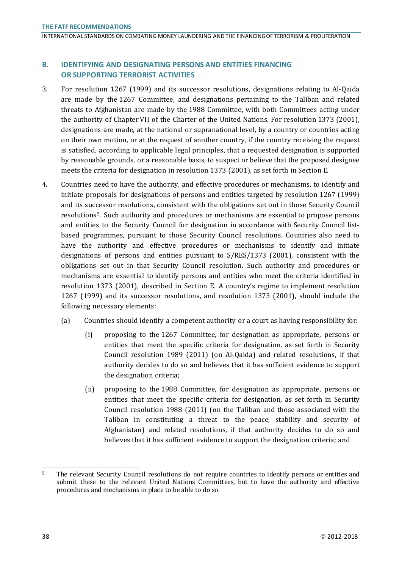## **B. IDENTIFYING AND DESIGNATING PERSONS AND ENTITIES FINANCING OR SUPPORTING TERRORIST ACTIVITIES**

- 3. For resolution 1267 (1999) and its successor resolutions, designations relating to Al-Qaida are made by the 1267 Committee, and designations pertaining to the Taliban and related threats to Afghanistan are made by the 1988 Committee, with both Committees acting under the authority of Chapter VII of the Charter of the United Nations. For resolution 1373 (2001), designations are made, at the national or supranational level, by a country or countries acting on their own motion, or at the request of another country, if the country receiving the request is satisfied, according to applicable legal principles, that a requested designation is supported by reasonable grounds, or a reasonable basis, to suspect or believe that the proposed designee meets the criteria for designation in resolution 1373 (2001), as set forth in Section E.
- 4. Countries need to have the authority, and effective procedures or mechanisms, to identify and initiate proposals for designations of persons and entities targeted by resolution 1267 (1999) and its successor resolutions, consistent with the obligations set out in those Security Council resolutions[5](#page-38-0). Such authority and procedures or mechanisms are essential to propose persons and entities to the Security Council for designation in accordance with Security Council listbased programmes, pursuant to those Security Council resolutions. Countries also need to have the authority and effective procedures or mechanisms to identify and initiate designations of persons and entities pursuant to S/RES/1373 (2001), consistent with the obligations set out in that Security Council resolution. Such authority and procedures or mechanisms are essential to identify persons and entities who meet the criteria identified in resolution 1373 (2001), described in Section E. A country's regime to implement resolution 1267 (1999) and its successor resolutions, and resolution 1373 (2001), should include the following necessary elements:
	- (a) Countries should identify a competent authority or a court as having responsibility for:
		- (i) proposing to the 1267 Committee, for designation as appropriate, persons or entities that meet the specific criteria for designation, as set forth in Security Council resolution 1989 (2011) (on Al-Qaida) and related resolutions, if that authority decides to do so and believes that it has sufficient evidence to support the designation criteria;
		- (ii) proposing to the 1988 Committee, for designation as appropriate, persons or entities that meet the specific criteria for designation, as set forth in Security Council resolution 1988 (2011) (on the Taliban and those associated with the Taliban in constituting a threat to the peace, stability and security of Afghanistan) and related resolutions, if that authority decides to do so and believes that it has sufficient evidence to support the designation criteria; and

<span id="page-38-0"></span> $\overline{\phantom{a}}$ <sup>5</sup> The relevant Security Council resolutions do not require countries to identify persons or entities and submit these to the relevant United Nations Committees, but to have the authority and effective procedures and mechanisms in place to be able to do so.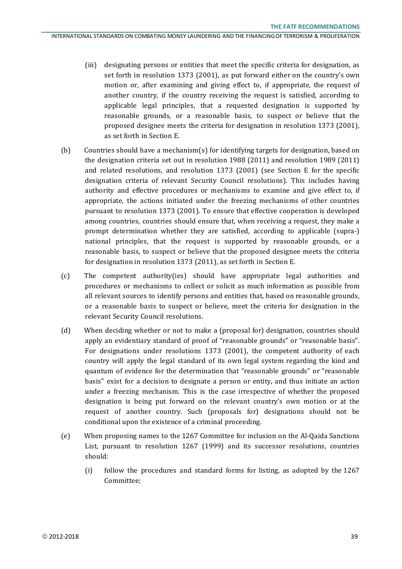- (iii) designating persons or entities that meet the specific criteria for designation, as set forth in resolution 1373 (2001), as put forward either on the country's own motion or, after examining and giving effect to, if appropriate, the request of another country, if the country receiving the request is satisfied, according to applicable legal principles, that a requested designation is supported by reasonable grounds, or a reasonable basis, to suspect or believe that the proposed designee meets the criteria for designation in resolution 1373 (2001), as set forth in Section E.
- (b) Countries should have a mechanism(s) for identifying targets for designation, based on the designation criteria set out in resolution 1988 (2011) and resolution 1989 (2011) and related resolutions, and resolution 1373 (2001) (see Section E for the specific designation criteria of relevant Security Council resolutions). This includes having authority and effective procedures or mechanisms to examine and give effect to, if appropriate, the actions initiated under the freezing mechanisms of other countries pursuant to resolution 1373 (2001). To ensure that effective cooperation is developed among countries, countries should ensure that, when receiving a request, they make a prompt determination whether they are satisfied, according to applicable (supra-) national principles, that the request is supported by reasonable grounds, or a reasonable basis, to suspect or believe that the proposed designee meets the criteria for designation in resolution 1373 (2011), as set forth in Section E.
- (c) The competent authority(ies) should have appropriate legal authorities and procedures or mechanisms to collect or solicit as much information as possible from all relevant sources to identify persons and entities that, based on reasonable grounds, or a reasonable basis to suspect or believe, meet the criteria for designation in the relevant Security Council resolutions.
- (d) When deciding whether or not to make a (proposal for) designation, countries should apply an evidentiary standard of proof of "reasonable grounds" or "reasonable basis". For designations under resolutions 1373 (2001), the competent authority of each country will apply the legal standard of its own legal system regarding the kind and quantum of evidence for the determination that "reasonable grounds" or "reasonable basis" exist for a decision to designate a person or entity, and thus initiate an action under a freezing mechanism. This is the case irrespective of whether the proposed designation is being put forward on the relevant country's own motion or at the request of another country. Such (proposals for) designations should not be conditional upon the existence of a criminal proceeding.
- (e) When proposing names to the 1267 Committee for inclusion on the Al-Qaida Sanctions List, pursuant to resolution 1267 (1999) and its successor resolutions, countries should:
	- (i) follow the procedures and standard forms for listing, as adopted by the 1267 Committee;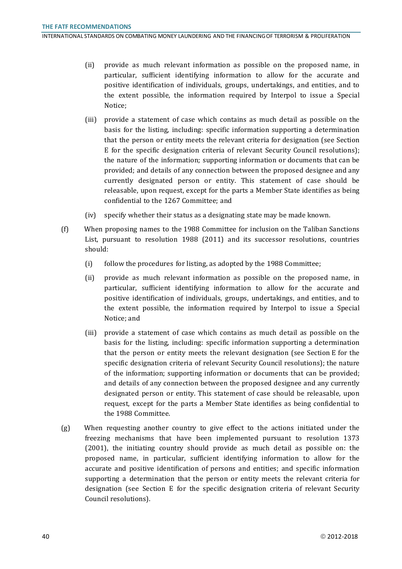- (ii) provide as much relevant information as possible on the proposed name, in particular, sufficient identifying information to allow for the accurate and positive identification of individuals, groups, undertakings, and entities, and to the extent possible, the information required by Interpol to issue a Special Notice;
- (iii) provide a statement of case which contains as much detail as possible on the basis for the listing, including: specific information supporting a determination that the person or entity meets the relevant criteria for designation (see Section E for the specific designation criteria of relevant Security Council resolutions); the nature of the information; supporting information or documents that can be provided; and details of any connection between the proposed designee and any currently designated person or entity. This statement of case should be releasable, upon request, except for the parts a Member State identifies as being confidential to the 1267 Committee; and
- (iv) specify whether their status as a designating state may be made known.
- (f) When proposing names to the 1988 Committee for inclusion on the Taliban Sanctions List, pursuant to resolution 1988 (2011) and its successor resolutions, countries should:
	- (i) follow the procedures for listing, as adopted by the 1988 Committee;
	- (ii) provide as much relevant information as possible on the proposed name, in particular, sufficient identifying information to allow for the accurate and positive identification of individuals, groups, undertakings, and entities, and to the extent possible, the information required by Interpol to issue a Special Notice; and
	- (iii) provide a statement of case which contains as much detail as possible on the basis for the listing, including: specific information supporting a determination that the person or entity meets the relevant designation (see Section E for the specific designation criteria of relevant Security Council resolutions); the nature of the information; supporting information or documents that can be provided; and details of any connection between the proposed designee and any currently designated person or entity. This statement of case should be releasable, upon request, except for the parts a Member State identifies as being confidential to the 1988 Committee.
- (g) When requesting another country to give effect to the actions initiated under the freezing mechanisms that have been implemented pursuant to resolution 1373 (2001), the initiating country should provide as much detail as possible on: the proposed name, in particular, sufficient identifying information to allow for the accurate and positive identification of persons and entities; and specific information supporting a determination that the person or entity meets the relevant criteria for designation (see Section E for the specific designation criteria of relevant Security Council resolutions).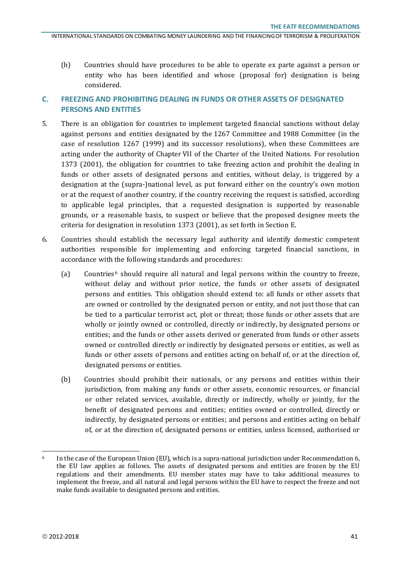(h) Countries should have procedures to be able to operate ex parte against a person or entity who has been identified and whose (proposal for) designation is being considered.

## **C. FREEZING AND PROHIBITING DEALING IN FUNDS OR OTHER ASSETS OF DESIGNATED PERSONS AND ENTITIES**

- 5. There is an obligation for countries to implement targeted financial sanctions without delay against persons and entities designated by the 1267 Committee and 1988 Committee (in the case of resolution 1267 (1999) and its successor resolutions), when these Committees are acting under the authority of Chapter VII of the Charter of the United Nations. For resolution 1373 (2001), the obligation for countries to take freezing action and prohibit the dealing in funds or other assets of designated persons and entities, without delay, is triggered by a designation at the (supra-)national level, as put forward either on the country's own motion or at the request of another country, if the country receiving the request is satisfied, according to applicable legal principles, that a requested designation is supported by reasonable grounds, or a reasonable basis, to suspect or believe that the proposed designee meets the criteria for designation in resolution 1373 (2001), as set forth in Section E.
- 6. Countries should establish the necessary legal authority and identify domestic competent authorities responsible for implementing and enforcing targeted financial sanctions, in accordance with the following standards and procedures:
	- (a) Countries<sup> $\epsilon$ </sup> should require all natural and legal persons within the country to freeze, without delay and without prior notice, the funds or other assets of designated persons and entities. This obligation should extend to: all funds or other assets that are owned or controlled by the designated person or entity, and not just those that can be tied to a particular terrorist act, plot or threat; those funds or other assets that are wholly or jointly owned or controlled, directly or indirectly, by designated persons or entities; and the funds or other assets derived or generated from funds or other assets owned or controlled directly or indirectly by designated persons or entities, as well as funds or other assets of persons and entities acting on behalf of, or at the direction of, designated persons or entities.
	- (b) Countries should prohibit their nationals, or any persons and entities within their jurisdiction, from making any funds or other assets, economic resources, or financial or other related services, available, directly or indirectly, wholly or jointly, for the benefit of designated persons and entities; entities owned or controlled, directly or indirectly, by designated persons or entities; and persons and entities acting on behalf of, or at the direction of, designated persons or entities, unless licensed, authorised or

<span id="page-41-0"></span> $\overline{6}$ In the case of the European Union (EU), which is a supra-national jurisdiction under Recommendation 6, the EU law applies as follows. The assets of designated persons and entities are frozen by the EU regulations and their amendments. EU member states may have to take additional measures to implement the freeze, and all natural and legal persons within the EU have to respect the freeze and not make funds available to designated persons and entities.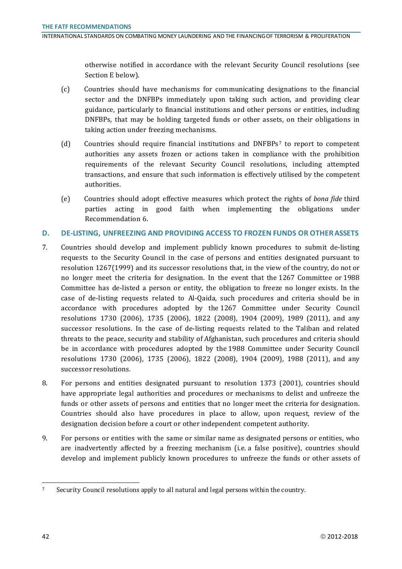otherwise notified in accordance with the relevant Security Council resolutions (see Section E below).

- (c) Countries should have mechanisms for communicating designations to the financial sector and the DNFBPs immediately upon taking such action, and providing clear guidance, particularly to financial institutions and other persons or entities, including DNFBPs, that may be holding targeted funds or other assets, on their obligations in taking action under freezing mechanisms.
- (d) Countries should require financial institutions and DNFBPs[7](#page-42-0) to report to competent authorities any assets frozen or actions taken in compliance with the prohibition requirements of the relevant Security Council resolutions, including attempted transactions, and ensure that such information is effectively utilised by the competent authorities.
- (e) Countries should adopt effective measures which protect the rights of *bona fide* third parties acting in good faith when implementing the obligations under Recommendation 6.

### **D. DE-LISTING, UNFREEZING AND PROVIDING ACCESS TO FROZEN FUNDS OR OTHER ASSETS**

- 7. Countries should develop and implement publicly known procedures to submit de-listing requests to the Security Council in the case of persons and entities designated pursuant to resolution 1267(1999) and its successor resolutions that, in the view of the country, do not or no longer meet the criteria for designation. In the event that the 1267 Committee or 1988 Committee has de-listed a person or entity, the obligation to freeze no longer exists. In the case of de-listing requests related to Al-Qaida, such procedures and criteria should be in accordance with procedures adopted by the 1267 Committee under Security Council resolutions 1730 (2006), 1735 (2006), 1822 (2008), 1904 (2009), 1989 (2011), and any successor resolutions. In the case of de-listing requests related to the Taliban and related threats to the peace, security and stability of Afghanistan, such procedures and criteria should be in accordance with procedures adopted by the 1988 Committee under Security Council resolutions 1730 (2006), 1735 (2006), 1822 (2008), 1904 (2009), 1988 (2011), and any successor resolutions.
- 8. For persons and entities designated pursuant to resolution 1373 (2001), countries should have appropriate legal authorities and procedures or mechanisms to delist and unfreeze the funds or other assets of persons and entities that no longer meet the criteria for designation. Countries should also have procedures in place to allow, upon request, review of the designation decision before a court or other independent competent authority.
- 9. For persons or entities with the same or similar name as designated persons or entities, who are inadvertently affected by a freezing mechanism (i.e. a false positive), countries should develop and implement publicly known procedures to unfreeze the funds or other assets of

<span id="page-42-0"></span> $\ddot{ }$ <sup>7</sup> Security Council resolutions apply to all natural and legal persons within the country.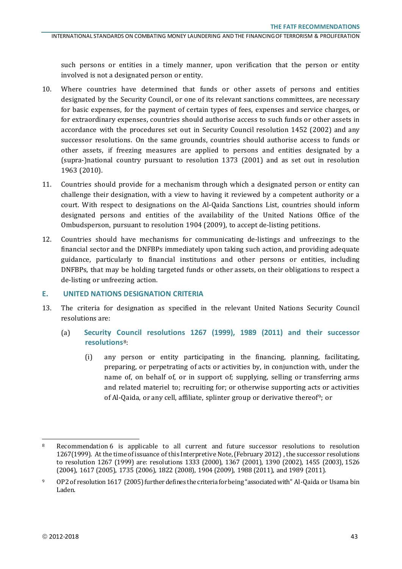such persons or entities in a timely manner, upon verification that the person or entity involved is not a designated person or entity.

- 10. Where countries have determined that funds or other assets of persons and entities designated by the Security Council, or one of its relevant sanctions committees, are necessary for basic expenses, for the payment of certain types of fees, expenses and service charges, or for extraordinary expenses, countries should authorise access to such funds or other assets in accordance with the procedures set out in Security Council resolution 1452 (2002) and any successor resolutions. On the same grounds, countries should authorise access to funds or other assets, if freezing measures are applied to persons and entities designated by a (supra-)national country pursuant to resolution 1373 (2001) and as set out in resolution 1963 (2010).
- 11. Countries should provide for a mechanism through which a designated person or entity can challenge their designation, with a view to having it reviewed by a competent authority or a court. With respect to designations on the Al-Qaida Sanctions List, countries should inform designated persons and entities of the availability of the United Nations Office of the Ombudsperson, pursuant to resolution 1904 (2009), to accept de-listing petitions.
- 12. Countries should have mechanisms for communicating de-listings and unfreezings to the financial sector and the DNFBPs immediately upon taking such action, and providing adequate guidance, particularly to financial institutions and other persons or entities, including DNFBPs, that may be holding targeted funds or other assets, on their obligations to respect a de-listing or unfreezing action.

#### **E. UNITED NATIONS DESIGNATION CRITERIA**

- 13. The criteria for designation as specified in the relevant United Nations Security Council resolutions are:
	- (a) **Security C[ou](#page-43-0)ncil resolutions 1267 (1999), 1989 (2011) and their successor resolutions**8:
		- (i) any person or entity participating in the financing, planning, facilitating, preparing, or perpetrating of acts or activities by, in conjunction with, under the name of, on behalf of, or in support of; supplying, selling or transferring arms and related materiel to; recruiting for; or otherwise supporting acts or activities of Al-Qaida, or any cell, affiliate, splinter group or derivative thereof<sup>9</sup>; or

<span id="page-43-0"></span><sup>1</sup> <sup>8</sup> Recommendation 6 is applicable to all current and future successor resolutions to resolution 1267(1999). At the time of issuance of this Interpretive Note, (February 2012) , the successor resolutions to resolution 1267 (1999) are: resolutions 1333 (2000), 1367 (2001), 1390 (2002), 1455 (2003), 1526 (2004), 1617 (2005), 1735 (2006), 1822 (2008), 1904 (2009), 1988 (2011), and 1989 (2011).

<span id="page-43-1"></span><sup>9</sup> OP2 of resolution 1617 (2005) further defines the criteria for being "associated with" Al-Qaida or Usama bin Laden.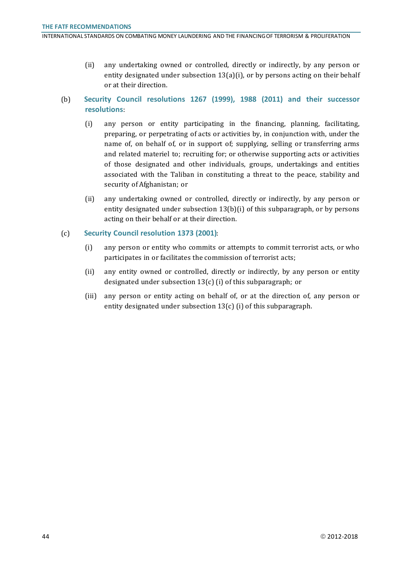- (ii) any undertaking owned or controlled, directly or indirectly, by any person or entity designated under subsection  $13(a)(i)$ , or by persons acting on their behalf or at their direction.
- (b) **Security Council resolutions 1267 (1999), 1988 (2011) and their successor resolutions**:
	- (i) any person or entity participating in the financing, planning, facilitating, preparing, or perpetrating of acts or activities by, in conjunction with, under the name of, on behalf of, or in support of; supplying, selling or transferring arms and related materiel to; recruiting for; or otherwise supporting acts or activities of those designated and other individuals, groups, undertakings and entities associated with the Taliban in constituting a threat to the peace, stability and security of Afghanistan; or
	- (ii) any undertaking owned or controlled, directly or indirectly, by any person or entity designated under subsection  $13(b)(i)$  of this subparagraph, or by persons acting on their behalf or at their direction.
- (c) **Security Council resolution 1373 (2001)**:
	- (i) any person or entity who commits or attempts to commit terrorist acts, or who participates in or facilitates the commission of terrorist acts;
	- (ii) any entity owned or controlled, directly or indirectly, by any person or entity designated under subsection 13(c) (i) of this subparagraph; or
	- (iii) any person or entity acting on behalf of, or at the direction of, any person or entity designated under subsection 13(c) (i) of this subparagraph.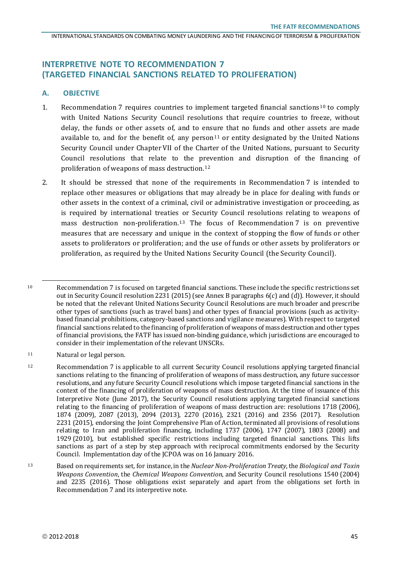## **INTERPRETIVE NOTE TO RECOMMENDATION 7 (TARGETED FINANCIAL SANCTIONS RELATED TO PROLIFERATION)**

## **A. OBJECTIVE**

- 1. Recommendation 7 requires countries to implement targeted financial sanctions<sup>[10](#page-45-0)</sup> to comply with United Nations Security Council resolutions that require countries to freeze, without delay, the funds or other assets of, and to ens[ure](#page-45-1) that no funds and other assets are made available to, and for the benefit of, any person<sup>11</sup> or entity designated by the United Nations Security Council under Chapter VII of the Charter of the United Nations, pursuant to Security Council resolutions that relate to the prevention and disruption of the financing of proliferation of weapons of mass destruction.[12](#page-45-2)
- 2. It should be stressed that none of the requirements in Recommendation 7 is intended to replace other measures or obligations that may already be in place for dealing with funds or other assets in the context of a criminal, civil or administrative investigation or proceeding, as is required by international treaties or Security Council resolutions relating to weapons of mass destruction non-proliferation.[13](#page-45-3) The focus of Recommendation 7 is on preventive measures that are necessary and unique in the context of stopping the flow of funds or other assets to proliferators or proliferation; and the use of funds or other assets by proliferators or proliferation, as required by the United Nations Security Council (the Security Council).

<span id="page-45-0"></span>

<span id="page-45-1"></span><sup>11</sup> Natural or legal person.

<sup>1</sup> <sup>10</sup> Recommendation 7 is focused on targeted financial sanctions. These include the specific restrictions set out in Security Council resolution 2231 (2015) (see Annex B paragraphs 6(c) and (d)). However, it should be noted that the relevant United Nations Security Council Resolutions are much broader and prescribe other types of sanctions (such as travel bans) and other types of financial provisions (such as activitybased financial prohibitions, category-based sanctions and vigilance measures). With respect to targeted financial sanctions related to the financing of proliferation of weapons of mass destruction and other types of financial provisions, the FATF has issued non-binding guidance, which jurisdictions are encouraged to consider in their implementation of the relevant UNSCRs.

<span id="page-45-2"></span><sup>12</sup> Recommendation 7 is applicable to all current Security Council resolutions applying targeted financial sanctions relating to the financing of proliferation of weapons of mass destruction, any future successor resolutions, and any future Security Council resolutions which impose targeted financial sanctions in the context of the financing of proliferation of weapons of mass destruction. At the time of issuance of this Interpretive Note (June 2017), the Security Council resolutions applying targeted financial sanctions relating to the financing of proliferation of weapons of mass destruction are: resolutions 1718 (2006), 1874 (2009), 2087 (2013), 2094 (2013), 2270 (2016), 2321 (2016) and 2356 (2017). Resolution 2231 (2015), endorsing the Joint Comprehensive Plan of Action, terminated all provisions of resolutions relating to Iran and proliferation financing, including 1737 (2006), 1747 (2007), 1803 (2008) and 1929 (2010), but established specific restrictions including targeted financial sanctions. This lifts sanctions as part of a step by step approach with reciprocal commitments endorsed by the Security Council. Implementation day of the JCPOA was on 16 January 2016.

<span id="page-45-3"></span><sup>13</sup> Based on requirements set, for instance, in the *Nuclear Non-Proliferation Treaty*, the *Biological and Toxin Weapons Convention*, the *Chemical Weapons Convention*, and Security Council resolutions 1540 (2004) and 2235 (2016). Those obligations exist separately and apart from the obligations set forth in Recommendation 7 and its interpretive note.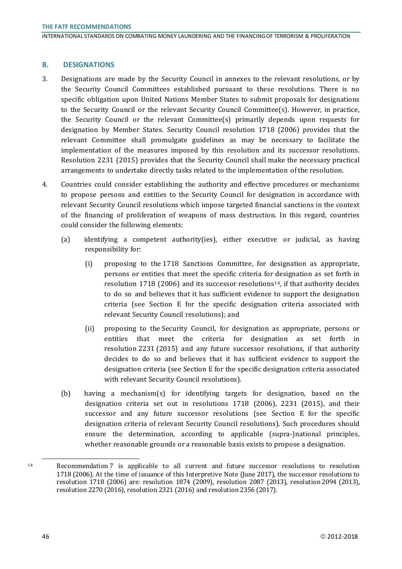#### **B. DESIGNATIONS**

- 3. Designations are made by the Security Council in annexes to the relevant resolutions, or by the Security Council Committees established pursuant to these resolutions. There is no specific obligation upon United Nations Member States to submit proposals for designations to the Security Council or the relevant Security Council Committee(s). However, in practice, the Security Council or the relevant Committee(s) primarily depends upon requests for designation by Member States. Security Council resolution 1718 (2006) provides that the relevant Committee shall promulgate guidelines as may be necessary to facilitate the implementation of the measures imposed by this resolution and its successor resolutions. Resolution 2231 (2015) provides that the Security Council shall make the necessary practical arrangements to undertake directly tasks related to the implementation of the resolution.
- 4. Countries could consider establishing the authority and effective procedures or mechanisms to propose persons and entities to the Security Council for designation in accordance with relevant Security Council resolutions which impose targeted financial sanctions in the context of the financing of proliferation of weapons of mass destruction. In this regard, countries could consider the following elements:
	- (a) identifying a competent authority(ies), either executive or judicial, as having responsibility for:
		- (i) proposing to the 1718 Sanctions Committee, for designation as appropriate, persons or entities that meet the specific criteria for designation as set forth in resolution 1718 (2006) and its successor resolutions<sup>[14](#page-46-0)</sup>, if that authority decides to do so and believes that it has sufficient evidence to support the designation criteria (see Section E for the specific designation criteria associated with relevant Security Council resolutions); and
		- (ii) proposing to the Security Council, for designation as appropriate, persons or entities that meet the criteria for designation as set forth in resolution 2231 (2015) and any future successor resolutions, if that authority decides to do so and believes that it has sufficient evidence to support the designation criteria (see Section E for the specific designation criteria associated with relevant Security Council resolutions).
	- (b) having a mechanism(s) for identifying targets for designation, based on the designation criteria set out in resolutions 1718 (2006), 2231 (2015), and their successor and any future successor resolutions (see Section E for the specific designation criteria of relevant Security Council resolutions). Such procedures should ensure the determination, according to applicable (supra-)national principles, whether reasonable grounds or a reasonable basis exists to propose a designation.

<span id="page-46-0"></span> $\overline{a}$ <sup>14</sup> Recommendation 7 is applicable to all current and future successor resolutions to resolution 1718 (2006). At the time of issuance of this Interpretive Note (June 2017), the successor resolutions to resolution 1718 (2006) are: resolution 1874 (2009), resolution 2087 (2013), resolution 2094 (2013), resolution 2270 (2016), resolution 2321 (2016) and resolution 2356 (2017).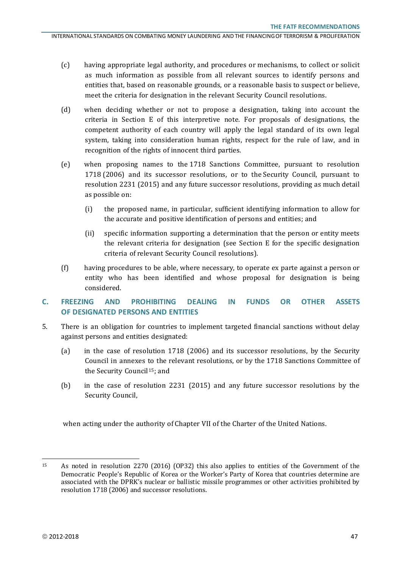- (c) having appropriate legal authority, and procedures or mechanisms, to collect or solicit as much information as possible from all relevant sources to identify persons and entities that, based on reasonable grounds, or a reasonable basis to suspect or believe, meet the criteria for designation in the relevant Security Council resolutions.
- (d) when deciding whether or not to propose a designation, taking into account the criteria in Section E of this interpretive note. For proposals of designations, the competent authority of each country will apply the legal standard of its own legal system, taking into consideration human rights, respect for the rule of law, and in recognition of the rights of innocent third parties.
- (e) when proposing names to the 1718 Sanctions Committee, pursuant to resolution 1718 (2006) and its successor resolutions, or to the Security Council, pursuant to resolution 2231 (2015) and any future successor resolutions, providing as much detail as possible on:
	- (i) the proposed name, in particular, sufficient identifying information to allow for the accurate and positive identification of persons and entities; and
	- (ii) specific information supporting a determination that the person or entity meets the relevant criteria for designation (see Section E for the specific designation criteria of relevant Security Council resolutions).
- (f) having procedures to be able, where necessary, to operate ex parte against a person or entity who has been identified and whose proposal for designation is being considered.

## **C. FREEZING AND PROHIBITING DEALING IN FUNDS OR OTHER ASSETS OF DESIGNATED PERSONS AND ENTITIES**

- 5. There is an obligation for countries to implement targeted financial sanctions without delay against persons and entities designated:
	- (a) in the case of resolution 1718 (2006) and its successor resolutions, by the Security Council in annexes to the relevant resolutions, or by the 1718 Sanctions Committee of the Security Council<sup>15</sup>; and
	- (b) in the case of resolution 2231 (2015) and any future successor resolutions by the Security Council,

when acting under the authority of Chapter VII of the Charter of the United Nations.

<span id="page-47-0"></span><sup>15</sup> <sup>15</sup> As noted in resolution 2270 (2016) (OP32) this also applies to entities of the Government of the Democratic People's Republic of Korea or the Worker's Party of Korea that countries determine are associated with the DPRK's nuclear or ballistic missile programmes or other activities prohibited by resolution 1718 (2006) and successor resolutions.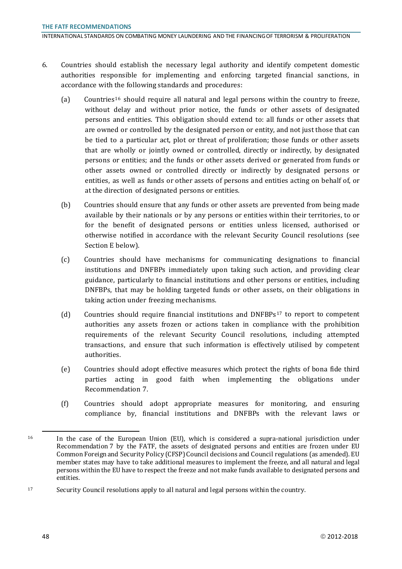- 6. Countries should establish the necessary legal authority and identify competent domestic authorities responsible for implementing and enforcing targeted financial sanctions, in accordance with the following standards and procedures:
	- (a) Countries<sup>[16](#page-48-0)</sup> should require all natural and legal persons within the country to freeze, without delay and without prior notice, the funds or other assets of designated persons and entities. This obligation should extend to: all funds or other assets that are owned or controlled by the designated person or entity, and not just those that can be tied to a particular act, plot or threat of proliferation; those funds or other assets that are wholly or jointly owned or controlled, directly or indirectly, by designated persons or entities; and the funds or other assets derived or generated from funds or other assets owned or controlled directly or indirectly by designated persons or entities, as well as funds or other assets of persons and entities acting on behalf of, or at the direction of designated persons or entities.
	- (b) Countries should ensure that any funds or other assets are prevented from being made available by their nationals or by any persons or entities within their territories, to or for the benefit of designated persons or entities unless licensed, authorised or otherwise notified in accordance with the relevant Security Council resolutions (see Section E below).
	- (c) Countries should have mechanisms for communicating designations to financial institutions and DNFBPs immediately upon taking such action, and providing clear guidance, particularly to financial institutions and other persons or entities, including DNFBPs, that may be holding targeted funds or other assets, on their obligations in taking action under freezing mechanisms.
	- (d) Countries should require financial institutions and DNFBPs[17](#page-48-1) to report to competent authorities any assets frozen or actions taken in compliance with the prohibition requirements of the relevant Security Council resolutions, including attempted transactions, and ensure that such information is effectively utilised by competent authorities.
	- (e) Countries should adopt effective measures which protect the rights of bona fide third parties acting in good faith when implementing the obligations under Recommendation 7.
	- (f) Countries should adopt appropriate measures for monitoring, and ensuring compliance by, financial institutions and DNFBPs with the relevant laws or

<span id="page-48-0"></span> $\ddot{ }$ <sup>16</sup> In the case of the European Union (EU), which is considered a supra-national jurisdiction under Recommendation 7 by the FATF, the assets of designated persons and entities are frozen under EU Common Foreign and Security Policy (CFSP) Council decisions and Council regulations (as amended). EU member states may have to take additional measures to implement the freeze, and all natural and legal persons within the EU have to respect the freeze and not make funds available to designated persons and entities.

<span id="page-48-1"></span><sup>17</sup> Security Council resolutions apply to all natural and legal persons within the country.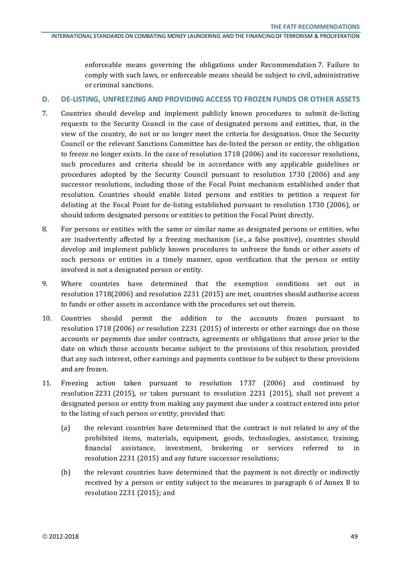enforceable means governing the obligations under Recommendation 7. Failure to comply with such laws, or enforceable means should be subject to civil, administrative or criminal sanctions.

#### **D. DE-LISTING, UNFREEZING AND PROVIDING ACCESS TO FROZEN FUNDS OR OTHER ASSETS**

- 7. Countries should develop and implement publicly known procedures to submit de-listing requests to the Security Council in the case of designated persons and entities, that, in the view of the country, do not or no longer meet the criteria for designation. Once the Security Council or the relevant Sanctions Committee has de-listed the person or entity, the obligation to freeze no longer exists. In the case of resolution 1718 (2006) and its successor resolutions, such procedures and criteria should be in accordance with any applicable guidelines or procedures adopted by the Security Council pursuant to resolution 1730 (2006) and any successor resolutions, including those of the Focal Point mechanism established under that resolution. Countries should enable listed persons and entities to petition a request for delisting at the Focal Point for de-listing established pursuant to resolution 1730 (2006), or should inform designated persons or entities to petition the Focal Point directly.
- 8. For persons or entities with the same or similar name as designated persons or entities, who are inadvertently affected by a freezing mechanism (i.e., a false positive), countries should develop and implement publicly known procedures to unfreeze the funds or other assets of such persons or entities in a timely manner, upon verification that the person or entity involved is not a designated person or entity.
- 9. Where countries have determined that the exemption conditions set out in resolution 1718(2006) and resolution 2231 (2015) are met, countries should authorise access to funds or other assets in accordance with the procedures set out therein.
- 10. Countries should permit the addition to the accounts frozen pursuant to resolution 1718 (2006) or resolution 2231 (2015) of interests or other earnings due on those accounts or payments due under contracts, agreements or obligations that arose prior to the date on which those accounts became subject to the provisions of this resolution, provided that any such interest, other earnings and payments continue to be subject to these provisions and are frozen.
- 11. Freezing action taken pursuant to resolution 1737 (2006) and continued by resolution 2231 (2015), or taken pursuant to resolution 2231 (2015), shall not prevent a designated person or entity from making any payment due under a contract entered into prior to the listing of such person or entity, provided that:
	- (a) the relevant countries have determined that the contract is not related to any of the prohibited items, materials, equipment, goods, technologies, assistance, training, financial assistance, investment, brokering or services referred to in resolution 2231 (2015) and any future successor resolutions;
	- (b) the relevant countries have determined that the payment is not directly or indirectly received by a person or entity subject to the measures in paragraph 6 of Annex B to resolution 2231 (2015); and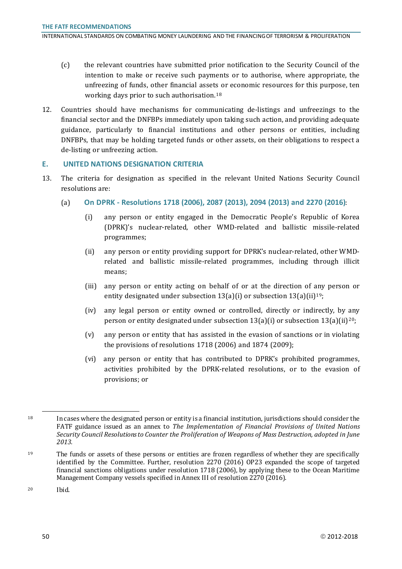- (c) the relevant countries have submitted prior notification to the Security Council of the intention to make or receive such payments or to authorise, where appropriate, the unfreezing of funds, other financial asset[s o](#page-50-0)r economic resources for this purpose, ten working days prior to such authorisation.18
- 12. Countries should have mechanisms for communicating de-listings and unfreezings to the financial sector and the DNFBPs immediately upon taking such action, and providing adequate guidance, particularly to financial institutions and other persons or entities, including DNFBPs, that may be holding targeted funds or other assets, on their obligations to respect a de-listing or unfreezing action.

### **E. UNITED NATIONS DESIGNATION CRITERIA**

- 13. The criteria for designation as specified in the relevant United Nations Security Council resolutions are:
	- (a) **On DPRK - Resolutions 1718 (2006), 2087 (2013), 2094 (2013) and 2270 (2016)**:
		- (i) any person or entity engaged in the Democratic People's Republic of Korea (DPRK)'s nuclear-related, other WMD-related and ballistic missile-related programmes;
		- (ii) any person or entity providing support for DPRK's nuclear-related, other WMDrelated and ballistic missile-related programmes, including through illicit means;
		- (iii) any person or entity acting on behalf of or at the direction of any person or entity designated under subsection  $13(a)(i)$  or subsection  $13(a)(ii)^{19}$  $13(a)(ii)^{19}$  $13(a)(ii)^{19}$ ;
		- (iv) any legal person or entity owned or controlled, directly or indirectly, by any person or entity designated under subsection  $13(a)(i)$  or subsection  $13(a)(ii)^{20}$  $13(a)(ii)^{20}$  $13(a)(ii)^{20}$ ;
		- (v) any person or entity that has assisted in the evasion of sanctions or in violating the provisions of resolutions 1718 (2006) and 1874 (2009);
		- (vi) any person or entity that has contributed to DPRK's prohibited programmes, activities prohibited by the DPRK-related resolutions, or to the evasion of provisions; or

<span id="page-50-0"></span><sup>1</sup> <sup>18</sup> In cases where the designated person or entity is a financial institution, jurisdictions should consider the FATF guidance issued as an annex to *The Implementation of Financial Provisions of United Nations Security Council Resolutions to Counter the Proliferation of Weapons of Mass Destruction, adopted in June 2013.*

<span id="page-50-1"></span><sup>&</sup>lt;sup>19</sup> The funds or assets of these persons or entities are frozen regardless of whether they are specifically identified by the Committee. Further, resolution 2270 (2016) OP23 expanded the scope of targeted financial sanctions obligations under resolution 1718 (2006), by applying these to the Ocean Maritime Management Company vessels specified in Annex III of resolution 2270 (2016).

<span id="page-50-2"></span><sup>20</sup> Ibid.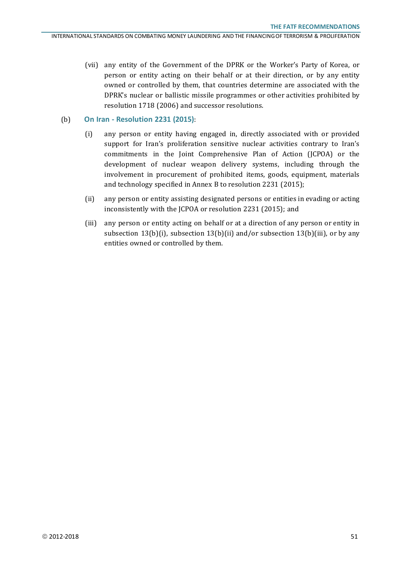(vii) any entity of the Government of the DPRK or the Worker's Party of Korea, or person or entity acting on their behalf or at their direction, or by any entity owned or controlled by them, that countries determine are associated with the DPRK's nuclear or ballistic missile programmes or other activities prohibited by resolution 1718 (2006) and successor resolutions.

#### (b) **On Iran - Resolution 2231 (2015)**:

- (i) any person or entity having engaged in, directly associated with or provided support for Iran's proliferation sensitive nuclear activities contrary to Iran's commitments in the Joint Comprehensive Plan of Action (JCPOA) or the development of nuclear weapon delivery systems, including through the involvement in procurement of prohibited items, goods, equipment, materials and technology specified in Annex B to resolution 2231 (2015);
- (ii) any person or entity assisting designated persons or entities in evading or acting inconsistently with the JCPOA or resolution 2231 (2015); and
- (iii) any person or entity acting on behalf or at a direction of any person or entity in subsection 13(b)(i), subsection 13(b)(ii) and/or subsection 13(b)(iii), or by any entities owned or controlled by them.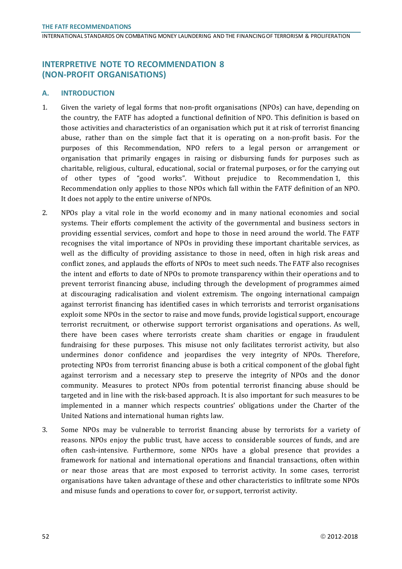## **INTERPRETIVE NOTE TO RECOMMENDATION 8 (NON-PROFIT ORGANISATIONS)**

### **A. INTRODUCTION**

- 1. Given the variety of legal forms that non-profit organisations (NPOs) can have, depending on the country, the FATF has adopted a functional definition of NPO. This definition is based on those activities and characteristics of an organisation which put it at risk of terrorist financing abuse, rather than on the simple fact that it is operating on a non-profit basis. For the purposes of this Recommendation, NPO refers to a legal person or arrangement or organisation that primarily engages in raising or disbursing funds for purposes such as charitable, religious, cultural, educational, social or fraternal purposes, or for the carrying out of other types of "good works". Without prejudice to Recommendation 1, this Recommendation only applies to those NPOs which fall within the FATF definition of an NPO. It does not apply to the entire universe of NPOs.
- 2. NPOs play a vital role in the world economy and in many national economies and social systems. Their efforts complement the activity of the governmental and business sectors in providing essential services, comfort and hope to those in need around the world. The FATF recognises the vital importance of NPOs in providing these important charitable services, as well as the difficulty of providing assistance to those in need, often in high risk areas and conflict zones, and applauds the efforts of NPOs to meet such needs. The FATF also recognises the intent and efforts to date of NPOs to promote transparency within their operations and to prevent terrorist financing abuse, including through the development of programmes aimed at discouraging radicalisation and violent extremism. The ongoing international campaign against terrorist financing has identified cases in which terrorists and terrorist organisations exploit some NPOs in the sector to raise and move funds, provide logistical support, encourage terrorist recruitment, or otherwise support terrorist organisations and operations. As well, there have been cases where terrorists create sham charities or engage in fraudulent fundraising for these purposes. This misuse not only facilitates terrorist activity, but also undermines donor confidence and jeopardises the very integrity of NPOs. Therefore, protecting NPOs from terrorist financing abuse is both a critical component of the global fight against terrorism and a necessary step to preserve the integrity of NPOs and the donor community. Measures to protect NPOs from potential terrorist financing abuse should be targeted and in line with the risk-based approach. It is also important for such measures to be implemented in a manner which respects countries' obligations under the Charter of the United Nations and international human rights law.
- 3. Some NPOs may be vulnerable to terrorist financing abuse by terrorists for a variety of reasons. NPOs enjoy the public trust, have access to considerable sources of funds, and are often cash-intensive. Furthermore, some NPOs have a global presence that provides a framework for national and international operations and financial transactions, often within or near those areas that are most exposed to terrorist activity. In some cases, terrorist organisations have taken advantage of these and other characteristics to infiltrate some NPOs and misuse funds and operations to cover for, or support, terrorist activity.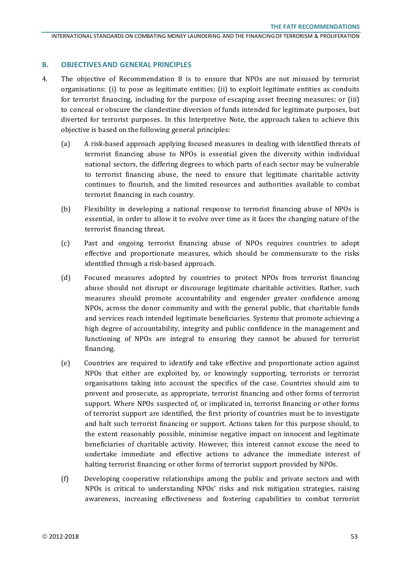#### **B. OBJECTIVES AND GENERAL PRINCIPLES**

- 4. The objective of Recommendation 8 is to ensure that NPOs are not misused by terrorist organisations: (i) to pose as legitimate entities; (ii) to exploit legitimate entities as conduits for terrorist financing, including for the purpose of escaping asset freezing measures; or (iii) to conceal or obscure the clandestine diversion of funds intended for legitimate purposes, but diverted for terrorist purposes. In this Interpretive Note, the approach taken to achieve this objective is based on the following general principles:
	- (a) A risk-based approach applying focused measures in dealing with identified threats of terrorist financing abuse to NPOs is essential given the diversity within individual national sectors, the differing degrees to which parts of each sector may be vulnerable to terrorist financing abuse, the need to ensure that legitimate charitable activity continues to flourish, and the limited resources and authorities available to combat terrorist financing in each country.
	- (b) Flexibility in developing a national response to terrorist financing abuse of NPOs is essential, in order to allow it to evolve over time as it faces the changing nature of the terrorist financing threat.
	- (c) Past and ongoing terrorist financing abuse of NPOs requires countries to adopt effective and proportionate measures, which should be commensurate to the risks identified through a risk-based approach.
	- (d) Focused measures adopted by countries to protect NPOs from terrorist financing abuse should not disrupt or discourage legitimate charitable activities. Rather, such measures should promote accountability and engender greater confidence among NPOs, across the donor community and with the general public, that charitable funds and services reach intended legitimate beneficiaries. Systems that promote achieving a high degree of accountability, integrity and public confidence in the management and functioning of NPOs are integral to ensuring they cannot be abused for terrorist financing.
	- (e) Countries are required to identify and take effective and proportionate action against NPOs that either are exploited by, or knowingly supporting, terrorists or terrorist organisations taking into account the specifics of the case. Countries should aim to prevent and prosecute, as appropriate, terrorist financing and other forms of terrorist support. Where NPOs suspected of, or implicated in, terrorist financing or other forms of terrorist support are identified, the first priority of countries must be to investigate and halt such terrorist financing or support. Actions taken for this purpose should, to the extent reasonably possible, minimise negative impact on innocent and legitimate beneficiaries of charitable activity. However, this interest cannot excuse the need to undertake immediate and effective actions to advance the immediate interest of halting terrorist financing or other forms of terrorist support provided by NPOs.
	- (f) Developing cooperative relationships among the public and private sectors and with NPOs is critical to understanding NPOs' risks and risk mitigation strategies, raising awareness, increasing effectiveness and fostering capabilities to combat terrorist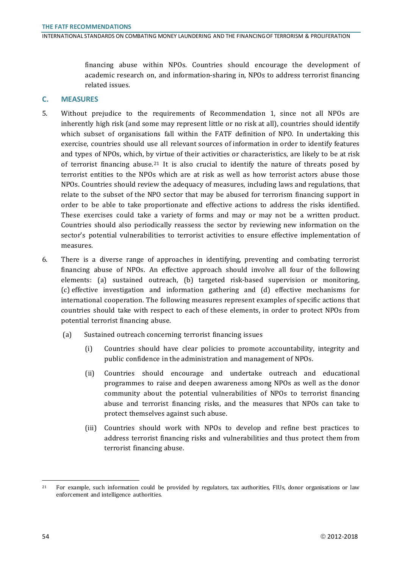financing abuse within NPOs. Countries should encourage the development of academic research on, and information-sharing in, NPOs to address terrorist financing related issues.

### **C. MEASURES**

- 5. Without prejudice to the requirements of Recommendation 1, since not all NPOs are inherently high risk (and some may represent little or no risk at all), countries should identify which subset of organisations fall within the FATF definition of NPO. In undertaking this exercise, countries should use all relevant sources of information in order to identify features and types of NPOs, which, by virtue of their activities or characteristics, are likely to be at risk of terrorist financing abuse.<sup>[21](#page-54-0)</sup> It is also crucial to identify the nature of threats posed by terrorist entities to the NPOs which are at risk as well as how terrorist actors abuse those NPOs. Countries should review the adequacy of measures, including laws and regulations, that relate to the subset of the NPO sector that may be abused for terrorism financing support in order to be able to take proportionate and effective actions to address the risks identified. These exercises could take a variety of forms and may or may not be a written product. Countries should also periodically reassess the sector by reviewing new information on the sector's potential vulnerabilities to terrorist activities to ensure effective implementation of measures.
- 6. There is a diverse range of approaches in identifying, preventing and combating terrorist financing abuse of NPOs. An effective approach should involve all four of the following elements: (a) sustained outreach, (b) targeted risk-based supervision or monitoring, (c) effective investigation and information gathering and (d) effective mechanisms for international cooperation. The following measures represent examples of specific actions that countries should take with respect to each of these elements, in order to protect NPOs from potential terrorist financing abuse.
	- (a) Sustained outreach concerning terrorist financing issues
		- (i) Countries should have clear policies to promote accountability, integrity and public confidence in the administration and management of NPOs.
		- (ii) Countries should encourage and undertake outreach and educational programmes to raise and deepen awareness among NPOs as well as the donor community about the potential vulnerabilities of NPOs to terrorist financing abuse and terrorist financing risks, and the measures that NPOs can take to protect themselves against such abuse.
		- (iii) Countries should work with NPOs to develop and refine best practices to address terrorist financing risks and vulnerabilities and thus protect them from terrorist financing abuse.

<span id="page-54-0"></span><sup>1</sup> <sup>21</sup> For example, such information could be provided by regulators, tax authorities, FIUs, donor organisations or law enforcement and intelligence authorities.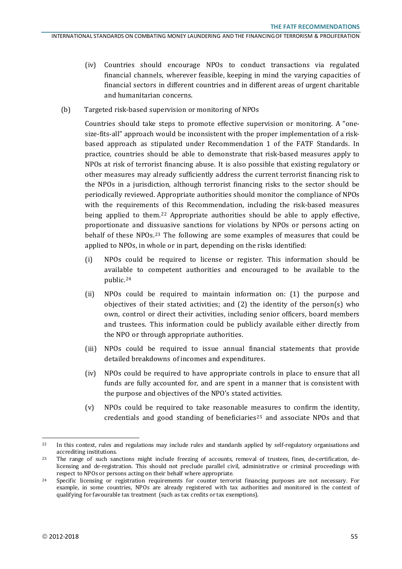- (iv) Countries should encourage NPOs to conduct transactions via regulated financial channels, wherever feasible, keeping in mind the varying capacities of financial sectors in different countries and in different areas of urgent charitable and humanitarian concerns.
- (b) Targeted risk-based supervision or monitoring of NPOs

Countries should take steps to promote effective supervision or monitoring. A "onesize-fits-all" approach would be inconsistent with the proper implementation of a riskbased approach as stipulated under Recommendation 1 of the FATF Standards. In practice, countries should be able to demonstrate that risk-based measures apply to NPOs at risk of terrorist financing abuse. It is also possible that existing regulatory or other measures may already sufficiently address the current terrorist financing risk to the NPOs in a jurisdiction, although terrorist financing risks to the sector should be periodically reviewed. Appropriate authorities should monitor the compliance of NPOs with the requirements of this Recommendation, including the risk-based measures being applied to them.[22](#page-55-0) Appropriate authorities should be able to apply effective, proportionate and dissuasive sanctions for violations by NPOs or persons acting on behalf of these NPOs.[23](#page-55-1) The following are some examples of measures that could be applied to NPOs, in whole or in part, depending on the risks identified:

- (i) NPOs could be required to license or register. This information should be available to competent authorities and encouraged to be available to the public.[24](#page-55-2)
- (ii) NPOs could be required to maintain information on: (1) the purpose and objectives of their stated activities; and  $(2)$  the identity of the person(s) who own, control or direct their activities, including senior officers, board members and trustees. This information could be publicly available either directly from the NPO or through appropriate authorities.
- (iii) NPOs could be required to issue annual financial statements that provide detailed breakdowns of incomes and expenditures.
- (iv) NPOs could be required to have appropriate controls in place to ensure that all funds are fully accounted for, and are spent in a manner that is consistent with the purpose and objectives of the NPO's stated activities.
- (v) NPOs could be required to take reasonable [mea](#page-55-3)sures to confirm the identity, credentials and good standing of beneficiaries<sup>25</sup> and associate NPOs and that

<span id="page-55-0"></span><sup>1</sup> <sup>22</sup> In this context, rules and regulations may include rules and standards applied by self-regulatory organisations and accrediting institutions.

<span id="page-55-3"></span><span id="page-55-1"></span><sup>23</sup> The range of such sanctions might include freezing of accounts, removal of trustees, fines, de-certification, delicensing and de-registration. This should not preclude parallel civil, administrative or criminal proceedings with respect to NPOs or persons acting on their behalf where appropriate.

<span id="page-55-2"></span><sup>&</sup>lt;sup>24</sup> Specific licensing or registration requirements for counter terrorist financing purposes are not necessary. For example, in some countries, NPOs are already registered with tax authorities and monitored in the context of qualifying for favourable tax treatment (such as tax credits or tax exemptions).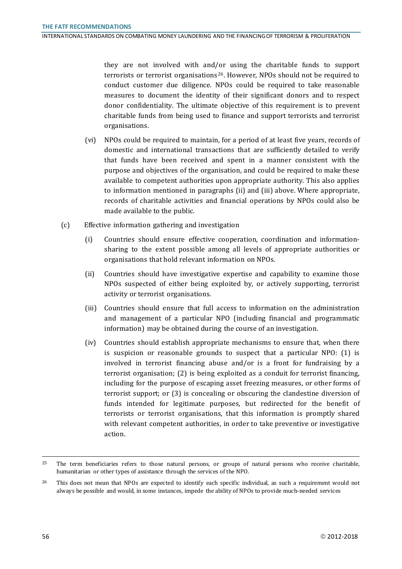they are not involved with and/or using the charitable funds to support terrorists or terrorist organisations<sup>[26](#page-56-0)</sup>. However, NPOs should not be required to conduct customer due diligence. NPOs could be required to take reasonable measures to document the identity of their significant donors and to respect donor confidentiality. The ultimate objective of this requirement is to prevent charitable funds from being used to finance and support terrorists and terrorist organisations.

- (vi) NPOs could be required to maintain, for a period of at least five years, records of domestic and international transactions that are sufficiently detailed to verify that funds have been received and spent in a manner consistent with the purpose and objectives of the organisation, and could be required to make these available to competent authorities upon appropriate authority. This also applies to information mentioned in paragraphs (ii) and (iii) above. Where appropriate, records of charitable activities and financial operations by NPOs could also be made available to the public.
- (c) Effective information gathering and investigation
	- (i) Countries should ensure effective cooperation, coordination and informationsharing to the extent possible among all levels of appropriate authorities or organisations that hold relevant information on NPOs.
	- (ii) Countries should have investigative expertise and capability to examine those NPOs suspected of either being exploited by, or actively supporting, terrorist activity or terrorist organisations.
	- (iii) Countries should ensure that full access to information on the administration and management of a particular NPO (including financial and programmatic information) may be obtained during the course of an investigation.
	- (iv) Countries should establish appropriate mechanisms to ensure that, when there is suspicion or reasonable grounds to suspect that a particular NPO: (1) is involved in terrorist financing abuse and/or is a front for fundraising by a terrorist organisation; (2) is being exploited as a conduit for terrorist financing, including for the purpose of escaping asset freezing measures, or other forms of terrorist support; or (3) is concealing or obscuring the clandestine diversion of funds intended for legitimate purposes, but redirected for the benefit of terrorists or terrorist organisations, that this information is promptly shared with relevant competent authorities, in order to take preventive or investigative action.

 $\ddot{ }$ 

<sup>&</sup>lt;sup>25</sup> The term beneficiaries refers to those natural persons, or groups of natural persons who receive charitable, humanitarian or other types of assistance through the services of the NPO.

<span id="page-56-0"></span><sup>&</sup>lt;sup>26</sup> This does not mean that NPOs are expected to identify each specific individual, as such a requirement would not always be possible and would, in some instances, impede the ability of NPOs to provide much-needed services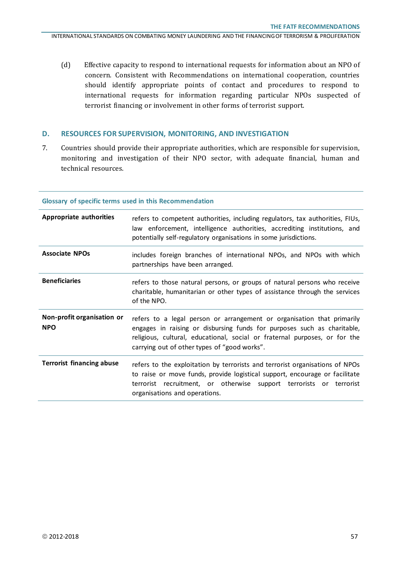(d) Effective capacity to respond to international requests for information about an NPO of concern. Consistent with Recommendations on international cooperation, countries should identify appropriate points of contact and procedures to respond to international requests for information regarding particular NPOs suspected of terrorist financing or involvement in other forms of terrorist support.

### **D. RESOURCES FOR SUPERVISION, MONITORING, AND INVESTIGATION**

7. Countries should provide their appropriate authorities, which are responsible for supervision, monitoring and investigation of their NPO sector, with adequate financial, human and technical resources.

| Glossary of specific terms used in this Recommendation |                                                                                                                                                                                                                                                                                 |
|--------------------------------------------------------|---------------------------------------------------------------------------------------------------------------------------------------------------------------------------------------------------------------------------------------------------------------------------------|
| <b>Appropriate authorities</b>                         | refers to competent authorities, including regulators, tax authorities, FIUs,<br>law enforcement, intelligence authorities, accrediting institutions, and<br>potentially self-regulatory organisations in some jurisdictions.                                                   |
| <b>Associate NPOs</b>                                  | includes foreign branches of international NPOs, and NPOs with which<br>partnerships have been arranged.                                                                                                                                                                        |
| <b>Beneficiaries</b>                                   | refers to those natural persons, or groups of natural persons who receive<br>charitable, humanitarian or other types of assistance through the services<br>of the NPO.                                                                                                          |
| Non-profit organisation or<br><b>NPO</b>               | refers to a legal person or arrangement or organisation that primarily<br>engages in raising or disbursing funds for purposes such as charitable,<br>religious, cultural, educational, social or fraternal purposes, or for the<br>carrying out of other types of "good works". |
| <b>Terrorist financing abuse</b>                       | refers to the exploitation by terrorists and terrorist organisations of NPOs<br>to raise or move funds, provide logistical support, encourage or facilitate<br>terrorist recruitment, or otherwise support terrorists or terrorist<br>organisations and operations.             |

#### **Glossary of specific terms used in this Recommendation**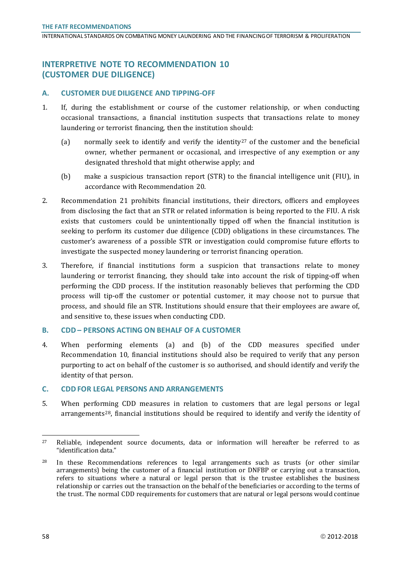## **INTERPRETIVE NOTE TO RECOMMENDATION 10 (CUSTOMER DUE DILIGENCE)**

### **A. CUSTOMER DUE DILIGENCE AND TIPPING-OFF**

- 1. If, during the establishment or course of the customer relationship, or when conducting occasional transactions, a financial institution suspects that transactions relate to money laundering or terrorist financing, then the institution should:
	- (a) normally seek to identify and verify the identity<sup>[27](#page-58-0)</sup> of the customer and the beneficial owner, whether permanent or occasional, and irrespective of any exemption or any designated threshold that might otherwise apply; and
	- (b) make a suspicious transaction report (STR) to the financial intelligence unit (FIU), in accordance with Recommendation 20.
- 2. Recommendation 21 prohibits financial institutions, their directors, officers and employees from disclosing the fact that an STR or related information is being reported to the FIU. A risk exists that customers could be unintentionally tipped off when the financial institution is seeking to perform its customer due diligence (CDD) obligations in these circumstances. The customer's awareness of a possible STR or investigation could compromise future efforts to investigate the suspected money laundering or terrorist financing operation.
- 3. Therefore, if financial institutions form a suspicion that transactions relate to money laundering or terrorist financing, they should take into account the risk of tipping-off when performing the CDD process. If the institution reasonably believes that performing the CDD process will tip-off the customer or potential customer, it may choose not to pursue that process, and should file an STR. Institutions should ensure that their employees are aware of, and sensitive to, these issues when conducting CDD.

### **B. CDD – PERSONS ACTING ON BEHALF OF A CUSTOMER**

4. When performing elements (a) and (b) of the CDD measures specified under Recommendation 10, financial institutions should also be required to verify that any person purporting to act on behalf of the customer is so authorised, and should identify and verify the identity of that person.

## **C. CDD FOR LEGAL PERSONS AND ARRANGEMENTS**

5. When performing CDD measures in relation to customers that are legal persons or legal arrangements[28](#page-58-1), financial institutions should be required to identify and verify the identity of

<span id="page-58-0"></span> $\ddot{ }$ <sup>27</sup> Reliable, independent source documents, data or information will hereafter be referred to as "identification data."

<span id="page-58-1"></span><sup>&</sup>lt;sup>28</sup> In these Recommendations references to legal arrangements such as trusts (or other similar arrangements) being the customer of a financial institution or DNFBP or carrying out a transaction, refers to situations where a natural or legal person that is the trustee establishes the business relationship or carries out the transaction on the behalf of the beneficiaries or according to the terms of the trust. The normal CDD requirements for customers that are natural or legal persons would continue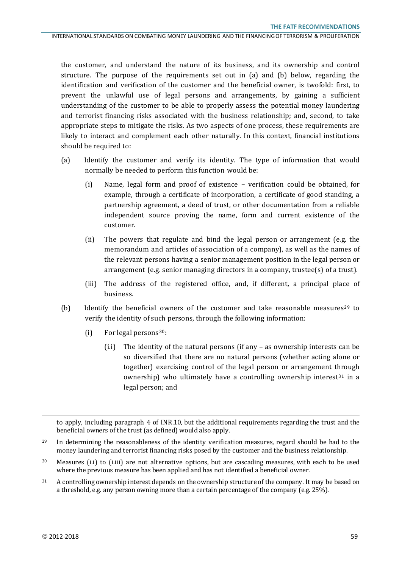the customer, and understand the nature of its business, and its ownership and control structure. The purpose of the requirements set out in (a) and (b) below, regarding the identification and verification of the customer and the beneficial owner, is twofold: first, to prevent the unlawful use of legal persons and arrangements, by gaining a sufficient understanding of the customer to be able to properly assess the potential money laundering and terrorist financing risks associated with the business relationship; and, second, to take appropriate steps to mitigate the risks. As two aspects of one process, these requirements are likely to interact and complement each other naturally. In this context, financial institutions should be required to:

- (a) Identify the customer and verify its identity. The type of information that would normally be needed to perform this function would be:
	- (i) Name, legal form and proof of existence verification could be obtained, for example, through a certificate of incorporation, a certificate of good standing, a partnership agreement, a deed of trust, or other documentation from a reliable independent source proving the name, form and current existence of the customer.
	- (ii) The powers that regulate and bind the legal person or arrangement (e.g. the memorandum and articles of association of a company), as well as the names of the relevant persons having a senior management position in the legal person or arrangement (e.g. senior managing directors in a company, trustee(s) of a trust).
	- (iii) The address of the registered office, and, if different, a principal place of business.
- (b) Identify the beneficial owners of the customer and take reasonable measures<sup>[29](#page-59-0)</sup> to verify the identity of such persons, through the following information:
	- (i) For legal persons  $30$ :
		- (i.i) The identity of the natural persons (if any as ownership interests can be so diversified that there are no natural persons (whether acting alone or together) exercising control of the legal person or arrangement through ownership) who ultimately have a controlling ownership interest<sup>[31](#page-59-2)</sup> in a legal person; and

to apply, including paragraph 4 of INR.10, but the additional requirements regarding the trust and the beneficial owners of the trust (as defined) would also apply.

<span id="page-59-2"></span><sup>31</sup> A controlling ownership interest depends on the ownership structure of the company. It may be based on a threshold, e.g. any person owning more than a certain percentage of the company (e.g. 25%).

 $\ddot{ }$ 

<span id="page-59-0"></span><sup>&</sup>lt;sup>29</sup> In determining the reasonableness of the identity verification measures, regard should be had to the money laundering and terrorist financing risks posed by the customer and the business relationship.

<span id="page-59-1"></span><sup>30</sup> Measures (i.i) to (i.iii) are not alternative options, but are cascading measures, with each to be used where the previous measure has been applied and has not identified a beneficial owner.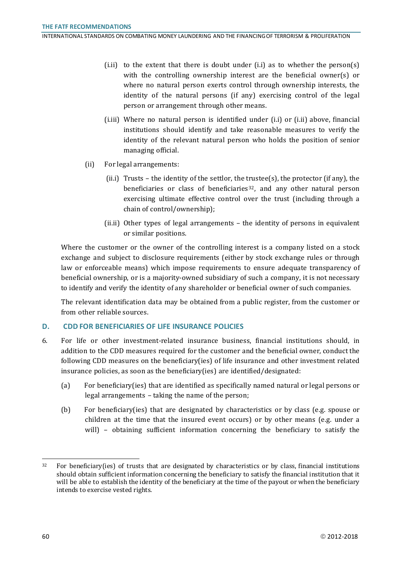- $(i.ii)$  to the extent that there is doubt under  $(i.1)$  as to whether the person(s) with the controlling ownership interest are the beneficial owner(s) or where no natural person exerts control through ownership interests, the identity of the natural persons (if any) exercising control of the legal person or arrangement through other means.
- (i.iii) Where no natural person is identified under (i.i) or (i.ii) above, financial institutions should identify and take reasonable measures to verify the identity of the relevant natural person who holds the position of senior managing official.
- (ii) For legal arrangements:
	- (ii.i) Trusts the identity of the settlor, the trustee(s), the protector (if any), the beneficiaries or class of beneficiaries<sup>32</sup>, and any other natural person exercising ultimate effective control over the trust (including through a chain of control/ownership);
	- (ii.ii) Other types of legal arrangements the identity of persons in equivalent or similar positions.

Where the customer or the owner of the controlling interest is a company listed on a stock exchange and subject to disclosure requirements (either by stock exchange rules or through law or enforceable means) which impose requirements to ensure adequate transparency of beneficial ownership, or is a majority-owned subsidiary of such a company, it is not necessary to identify and verify the identity of any shareholder or beneficial owner of such companies.

The relevant identification data may be obtained from a public register, from the customer or from other reliable sources.

## **D. CDD FOR BENEFICIARIES OF LIFE INSURANCE POLICIES**

- 6. For life or other investment-related insurance business, financial institutions should, in addition to the CDD measures required for the customer and the beneficial owner, conduct the following CDD measures on the beneficiary(ies) of life insurance and other investment related insurance policies, as soon as the beneficiary(ies) are identified/designated:
	- (a) For beneficiary(ies) that are identified as specifically named natural or legal persons or legal arrangements – taking the name of the person;
	- (b) For beneficiary(ies) that are designated by characteristics or by class (e.g. spouse or children at the time that the insured event occurs) or by other means (e.g. under a will) – obtaining sufficient information concerning the beneficiary to satisfy the

<span id="page-60-0"></span><sup>32</sup> <sup>32</sup> For beneficiary(ies) of trusts that are designated by characteristics or by class, financial institutions should obtain sufficient information concerning the beneficiary to satisfy the financial institution that it will be able to establish the identity of the beneficiary at the time of the payout or when the beneficiary intends to exercise vested rights.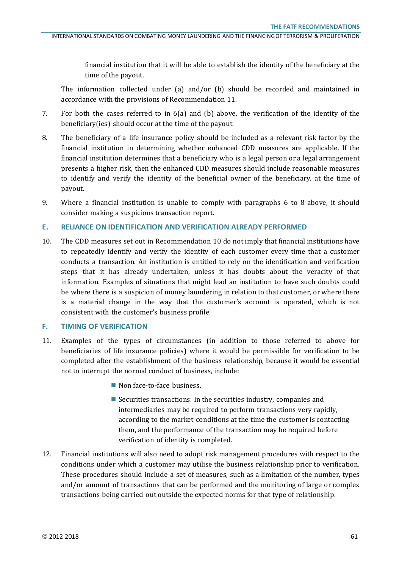financial institution that it will be able to establish the identity of the beneficiary at the time of the payout.

The information collected under (a) and/or (b) should be recorded and maintained in accordance with the provisions of Recommendation 11.

- 7. For both the cases referred to in 6(a) and (b) above, the verification of the identity of the beneficiary(ies) should occur at the time of the payout.
- 8. The beneficiary of a life insurance policy should be included as a relevant risk factor by the financial institution in determining whether enhanced CDD measures are applicable. If the financial institution determines that a beneficiary who is a legal person or a legal arrangement presents a higher risk, then the enhanced CDD measures should include reasonable measures to identify and verify the identity of the beneficial owner of the beneficiary, at the time of payout.
- 9. Where a financial institution is unable to comply with paragraphs 6 to 8 above, it should consider making a suspicious transaction report.

### **E. RELIANCE ON IDENTIFICATION AND VERIFICATION ALREADY PERFORMED**

10. The CDD measures set out in Recommendation 10 do not imply that financial institutions have to repeatedly identify and verify the identity of each customer every time that a customer conducts a transaction. An institution is entitled to rely on the identification and verification steps that it has already undertaken, unless it has doubts about the veracity of that information. Examples of situations that might lead an institution to have such doubts could be where there is a suspicion of money laundering in relation to that customer, or where there is a material change in the way that the customer's account is operated, which is not consistent with the customer's business profile.

#### **F. TIMING OF VERIFICATION**

- 11. Examples of the types of circumstances (in addition to those referred to above for beneficiaries of life insurance policies) where it would be permissible for verification to be completed after the establishment of the business relationship, because it would be essential not to interrupt the normal conduct of business, include:
	- Non face-to-face business.
	- $\blacksquare$  Securities transactions. In the securities industry, companies and intermediaries may be required to perform transactions very rapidly, according to the market conditions at the time the customer is contacting them, and the performance of the transaction may be required before verification of identity is completed.
- 12. Financial institutions will also need to adopt risk management procedures with respect to the conditions under which a customer may utilise the business relationship prior to verification. These procedures should include a set of measures, such as a limitation of the number, types and/or amount of transactions that can be performed and the monitoring of large or complex transactions being carried out outside the expected norms for that type of relationship.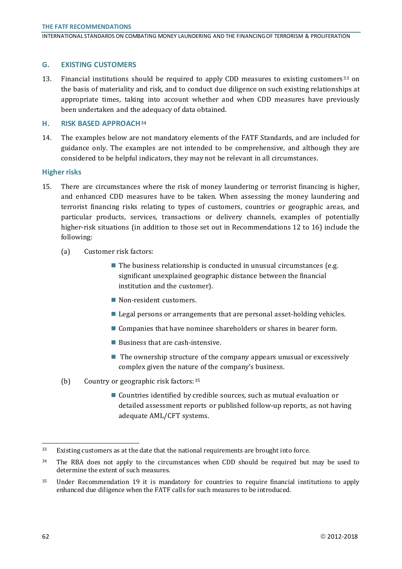### **G. EXISTING CUSTOMERS**

13. Financial institutions should be required to apply CDD measures to existing customers<sup>[33](#page-62-0)</sup> on the basis of materiality and risk, and to conduct due diligence on such existing relationships at appropriate times, taking into account whether and when CDD measures have previously been undertaken and the [ad](#page-62-1)equacy of data obtained.

#### **H. RISK BASED APPROACH**<sup>34</sup>

14. The examples below are not mandatory elements of the FATF Standards, and are included for guidance only. The examples are not intended to be comprehensive, and although they are considered to be helpful indicators, they may not be relevant in all circumstances.

### **Higher risks**

- 15. There are circumstances where the risk of money laundering or terrorist financing is higher, and enhanced CDD measures have to be taken. When assessing the money laundering and terrorist financing risks relating to types of customers, countries or geographic areas, and particular products, services, transactions or delivery channels, examples of potentially higher-risk situations (in addition to those set out in Recommendations 12 to 16) include the following:
	- (a) Customer risk factors:
		- $\blacksquare$  The business relationship is conducted in unusual circumstances (e.g. significant unexplained geographic distance between the financial institution and the customer).
		- Non-resident customers.
		- Legal persons or arrangements that are personal asset-holding vehicles.
		- Companies that have nominee shareholders or shares in bearer form.
		- Business that are cash-intensive.
		- $\blacksquare$  The ownership structure of the company appears unusual or excessively complex given the nature of the company's business.
	- (b) Country or geographic risk factors:[35](#page-62-2)
		- Countries identified by credible sources, such as mutual evaluation or detailed assessment reports or published follow-up reports, as not having adequate AML/CFT systems.

<span id="page-62-0"></span><sup>1</sup> <sup>33</sup> Existing customers as at the date that the national requirements are brought into force.

<span id="page-62-1"></span><sup>&</sup>lt;sup>34</sup> The RBA does not apply to the circumstances when CDD should be required but may be used to determine the extent of such measures.

<span id="page-62-2"></span><sup>35</sup> Under Recommendation 19 it is mandatory for countries to require financial institutions to apply enhanced due diligence when the FATF calls for such measures to be introduced.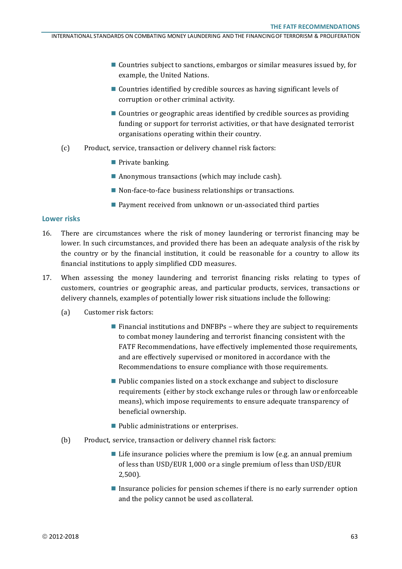- Countries subject to sanctions, embargos or similar measures issued by, for example, the United Nations.
- Countries identified by credible sources as having significant levels of corruption or other criminal activity.
- Countries or geographic areas identified by credible sources as providing funding or support for terrorist activities, or that have designated terrorist organisations operating within their country.
- (c) Product, service, transaction or delivery channel risk factors:
	- $\blacksquare$  Private banking.
	- Anonymous transactions (which may include cash).
	- Non-face-to-face business relationships or transactions.
	- Payment received from unknown or un-associated third parties

### **Lower risks**

- 16. There are circumstances where the risk of money laundering or terrorist financing may be lower. In such circumstances, and provided there has been an adequate analysis of the risk by the country or by the financial institution, it could be reasonable for a country to allow its financial institutions to apply simplified CDD measures.
- 17. When assessing the money laundering and terrorist financing risks relating to types of customers, countries or geographic areas, and particular products, services, transactions or delivery channels, examples of potentially lower risk situations include the following:
	- (a) Customer risk factors:
		- Financial institutions and DNFBPs where they are subject to requirements to combat money laundering and terrorist financing consistent with the FATF Recommendations, have effectively implemented those requirements, and are effectively supervised or monitored in accordance with the Recommendations to ensure compliance with those requirements.
		- Public companies listed on a stock exchange and subject to disclosure requirements (either by stock exchange rules or through law or enforceable means), which impose requirements to ensure adequate transparency of beneficial ownership.
		- **Public administrations or enterprises.**
	- (b) Product, service, transaction or delivery channel risk factors:
		- $\blacksquare$  Life insurance policies where the premium is low (e.g. an annual premium of less than USD/EUR 1,000 or a single premium of less than USD/EUR 2,500).
		- Insurance policies for pension schemes if there is no early surrender option and the policy cannot be used as collateral.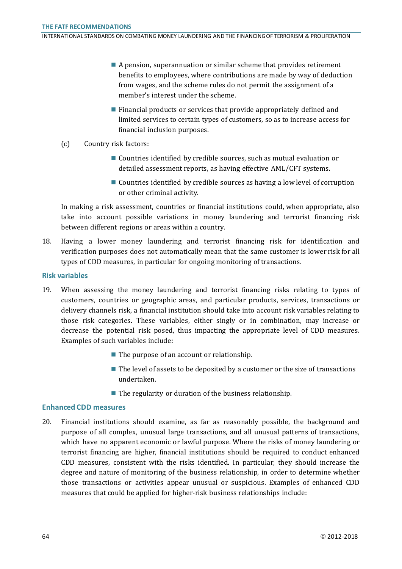- A pension, superannuation or similar scheme that provides retirement benefits to employees, where contributions are made by way of deduction from wages, and the scheme rules do not permit the assignment of a member's interest under the scheme.
- **Financial products or services that provide appropriately defined and** limited services to certain types of customers, so as to increase access for financial inclusion purposes.
- (c) Country risk factors:
	- Countries identified by credible sources, such as mutual evaluation or detailed assessment reports, as having effective AML/CFT systems.
	- Countries identified by credible sources as having a low level of corruption or other criminal activity.

In making a risk assessment, countries or financial institutions could, when appropriate, also take into account possible variations in money laundering and terrorist financing risk between different regions or areas within a country.

18. Having a lower money laundering and terrorist financing risk for identification and verification purposes does not automatically mean that the same customer is lower risk for all types of CDD measures, in particular for ongoing monitoring of transactions.

#### **Risk variables**

- 19. When assessing the money laundering and terrorist financing risks relating to types of customers, countries or geographic areas, and particular products, services, transactions or delivery channels risk, a financial institution should take into account risk variables relating to those risk categories. These variables, either singly or in combination, may increase or decrease the potential risk posed, thus impacting the appropriate level of CDD measures. Examples of such variables include:
	- $\blacksquare$  The purpose of an account or relationship.
	- $\blacksquare$  The level of assets to be deposited by a customer or the size of transactions undertaken.
	- $\blacksquare$  The regularity or duration of the business relationship.

## **Enhanced CDD measures**

20. Financial institutions should examine, as far as reasonably possible, the background and purpose of all complex, unusual large transactions, and all unusual patterns of transactions, which have no apparent economic or lawful purpose. Where the risks of money laundering or terrorist financing are higher, financial institutions should be required to conduct enhanced CDD measures, consistent with the risks identified. In particular, they should increase the degree and nature of monitoring of the business relationship, in order to determine whether those transactions or activities appear unusual or suspicious. Examples of enhanced CDD measures that could be applied for higher-risk business relationships include: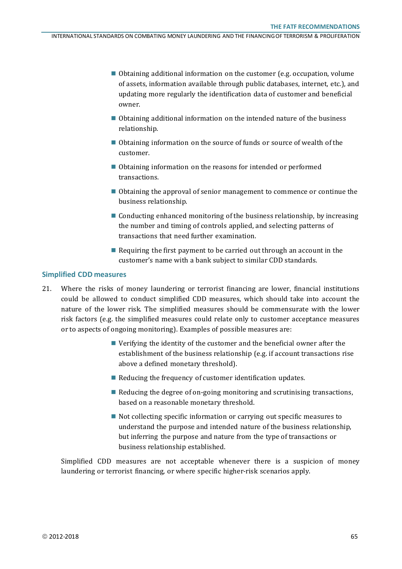- $\blacksquare$  Obtaining additional information on the customer (e.g. occupation, volume of assets, information available through public databases, internet, etc.), and updating more regularly the identification data of customer and beneficial owner.
- Obtaining additional information on the intended nature of the business relationship.
- Obtaining information on the source of funds or source of wealth of the customer.
- Obtaining information on the reasons for intended or performed transactions.
- Obtaining the approval of senior management to commence or continue the business relationship.
- $\blacksquare$  Conducting enhanced monitoring of the business relationship, by increasing the number and timing of controls applied, and selecting patterns of transactions that need further examination.
- Requiring the first payment to be carried out through an account in the customer's name with a bank subject to similar CDD standards.

#### **Simplified CDD measures**

- 21. Where the risks of money laundering or terrorist financing are lower, financial institutions could be allowed to conduct simplified CDD measures, which should take into account the nature of the lower risk. The simplified measures should be commensurate with the lower risk factors (e.g. the simplified measures could relate only to customer acceptance measures or to aspects of ongoing monitoring). Examples of possible measures are:
	- Verifying the identity of the customer and the beneficial owner after the establishment of the business relationship (e.g. if account transactions rise above a defined monetary threshold).
	- Reducing the frequency of customer identification updates.
	- Reducing the degree of on-going monitoring and scrutinising transactions, based on a reasonable monetary threshold.
	- Not collecting specific information or carrying out specific measures to understand the purpose and intended nature of the business relationship, but inferring the purpose and nature from the type of transactions or business relationship established.

Simplified CDD measures are not acceptable whenever there is a suspicion of money laundering or terrorist financing, or where specific higher-risk scenarios apply.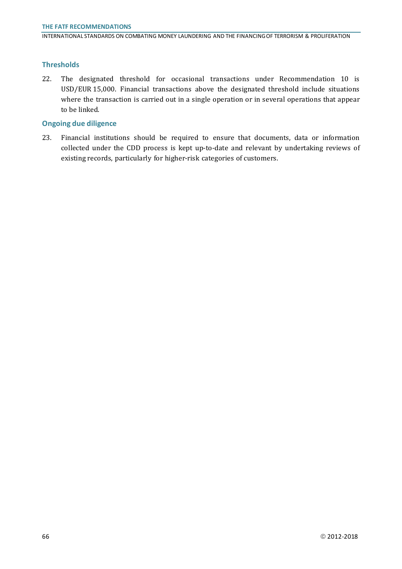### **Thresholds**

22. The designated threshold for occasional transactions under Recommendation 10 is USD/EUR 15,000. Financial transactions above the designated threshold include situations where the transaction is carried out in a single operation or in several operations that appear to be linked.

### **Ongoing due diligence**

23. Financial institutions should be required to ensure that documents, data or information collected under the CDD process is kept up-to-date and relevant by undertaking reviews of existing records, particularly for higher-risk categories of customers.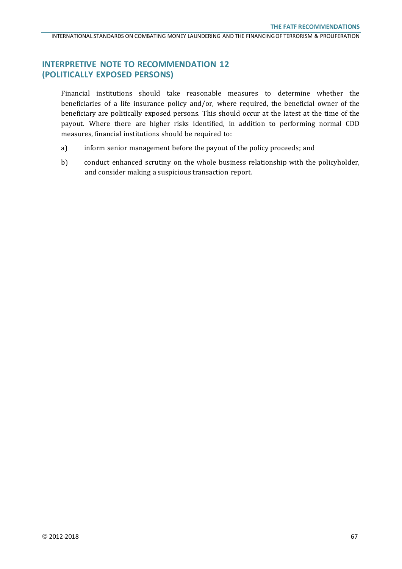# **INTERPRETIVE NOTE TO RECOMMENDATION 12 (POLITICALLY EXPOSED PERSONS)**

Financial institutions should take reasonable measures to determine whether the beneficiaries of a life insurance policy and/or, where required, the beneficial owner of the beneficiary are politically exposed persons. This should occur at the latest at the time of the payout. Where there are higher risks identified, in addition to performing normal CDD measures, financial institutions should be required to:

- a) inform senior management before the payout of the policy proceeds; and
- b) conduct enhanced scrutiny on the whole business relationship with the policyholder, and consider making a suspicious transaction report.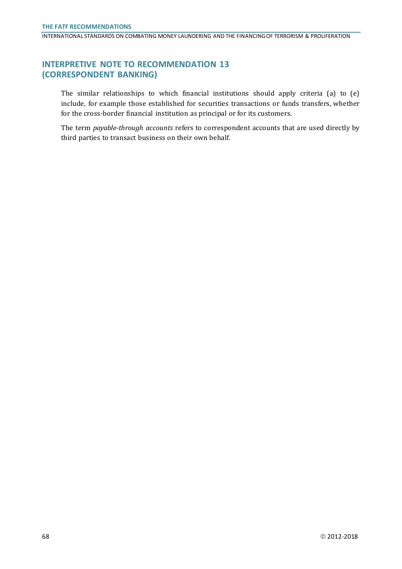# **INTERPRETIVE NOTE TO RECOMMENDATION 13 (CORRESPONDENT BANKING)**

The similar relationships to which financial institutions should apply criteria (a) to (e) include, for example those established for securities transactions or funds transfers, whether for the cross-border financial institution as principal or for its customers.

The term *payable-through accounts* refers to correspondent accounts that are used directly by third parties to transact business on their own behalf.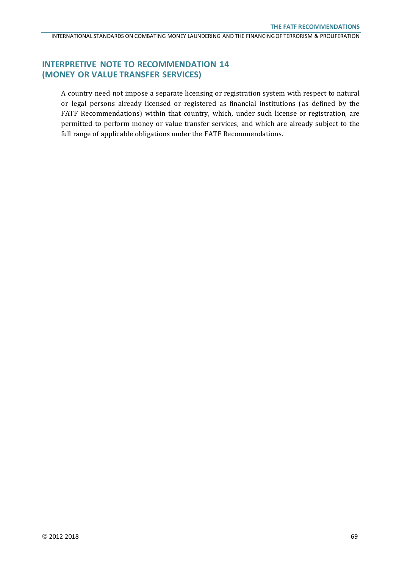# **INTERPRETIVE NOTE TO RECOMMENDATION 14 (MONEY OR VALUE TRANSFER SERVICES)**

A country need not impose a separate licensing or registration system with respect to natural or legal persons already licensed or registered as financial institutions (as defined by the FATF Recommendations) within that country, which, under such license or registration, are permitted to perform money or value transfer services, and which are already subject to the full range of applicable obligations under the FATF Recommendations.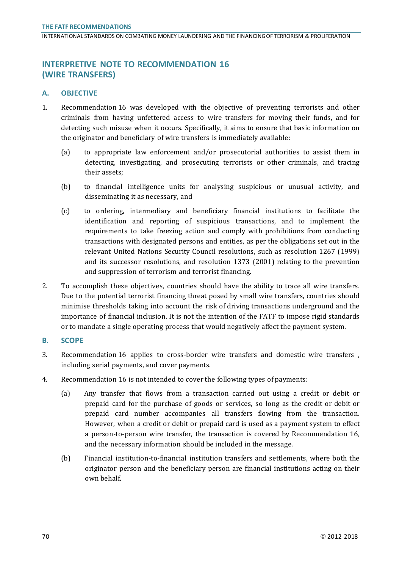# **INTERPRETIVE NOTE TO RECOMMENDATION 16 (WIRE TRANSFERS)**

## **A. OBJECTIVE**

- 1. Recommendation 16 was developed with the objective of preventing terrorists and other criminals from having unfettered access to wire transfers for moving their funds, and for detecting such misuse when it occurs. Specifically, it aims to ensure that basic information on the originator and beneficiary of wire transfers is immediately available:
	- (a) to appropriate law enforcement and/or prosecutorial authorities to assist them in detecting, investigating, and prosecuting terrorists or other criminals, and tracing their assets;
	- (b) to financial intelligence units for analysing suspicious or unusual activity, and disseminating it as necessary, and
	- (c) to ordering, intermediary and beneficiary financial institutions to facilitate the identification and reporting of suspicious transactions, and to implement the requirements to take freezing action and comply with prohibitions from conducting transactions with designated persons and entities, as per the obligations set out in the relevant United Nations Security Council resolutions, such as resolution 1267 (1999) and its successor resolutions, and resolution 1373 (2001) relating to the prevention and suppression of terrorism and terrorist financing.
- 2. To accomplish these objectives, countries should have the ability to trace all wire transfers. Due to the potential terrorist financing threat posed by small wire transfers, countries should minimise thresholds taking into account the risk of driving transactions underground and the importance of financial inclusion. It is not the intention of the FATF to impose rigid standards or to mandate a single operating process that would negatively affect the payment system.

### **B. SCOPE**

- 3. Recommendation 16 applies to cross-border wire transfers and domestic wire transfers , including serial payments, and cover payments.
- 4. Recommendation 16 is not intended to cover the following types of payments:
	- (a) Any transfer that flows from a transaction carried out using a credit or debit or prepaid card for the purchase of goods or services, so long as the credit or debit or prepaid card number accompanies all transfers flowing from the transaction. However, when a credit or debit or prepaid card is used as a payment system to effect a person-to-person wire transfer, the transaction is covered by Recommendation 16, and the necessary information should be included in the message.
	- (b) Financial institution-to-financial institution transfers and settlements, where both the originator person and the beneficiary person are financial institutions acting on their own behalf.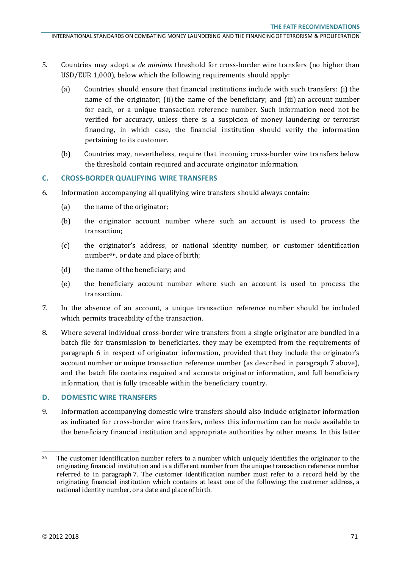- 5. Countries may adopt a *de minimis* threshold for cross-border wire transfers (no higher than USD/EUR 1,000), below which the following requirements should apply:
	- (a) Countries should ensure that financial institutions include with such transfers: (i) the name of the originator; (ii) the name of the beneficiary; and (iii) an account number for each, or a unique transaction reference number. Such information need not be verified for accuracy, unless there is a suspicion of money laundering or terrorist financing, in which case, the financial institution should verify the information pertaining to its customer.
	- (b) Countries may, nevertheless, require that incoming cross-border wire transfers below the threshold contain required and accurate originator information.

### **C. CROSS-BORDER QUALIFYING WIRE TRANSFERS**

- 6. Information accompanying all qualifying wire transfers should always contain:
	- (a) the name of the originator;
	- (b) the originator account number where such an account is used to process the transaction;
	- (c) the originator's address, or national identity number, or customer identification number[36,](#page-71-0) or date and place of birth;
	- (d) the name of the beneficiary; and
	- (e) the beneficiary account number where such an account is used to process the transaction.
- 7. In the absence of an account, a unique transaction reference number should be included which permits traceability of the transaction.
- 8. Where several individual cross-border wire transfers from a single originator are bundled in a batch file for transmission to beneficiaries, they may be exempted from the requirements of paragraph 6 in respect of originator information, provided that they include the originator's account number or unique transaction reference number (as described in paragraph 7 above), and the batch file contains required and accurate originator information, and full beneficiary information, that is fully traceable within the beneficiary country.

### **D. DOMESTIC WIRE TRANSFERS**

9. Information accompanying domestic wire transfers should also include originator information as indicated for cross-border wire transfers, unless this information can be made available to the beneficiary financial institution and appropriate authorities by other means. In this latter

<span id="page-71-0"></span><sup>36</sup> The customer identification number refers to a number which uniquely identifies the originator to the originating financial institution and is a different number from the unique transaction reference number referred to in paragraph 7. The customer identification number must refer to a record held by the originating financial institution which contains at least one of the following: the customer address, a national identity number, or a date and place of birth.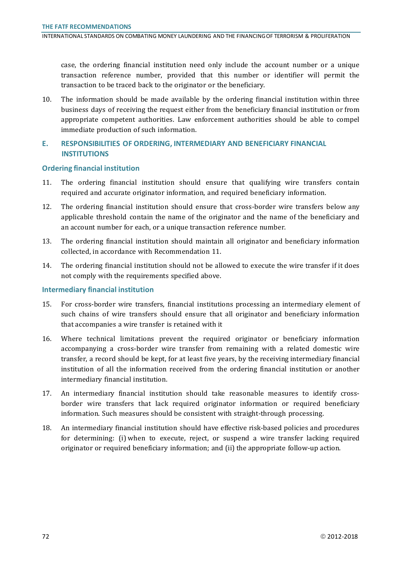case, the ordering financial institution need only include the account number or a unique transaction reference number, provided that this number or identifier will permit the transaction to be traced back to the originator or the beneficiary.

10. The information should be made available by the ordering financial institution within three business days of receiving the request either from the beneficiary financial institution or from appropriate competent authorities. Law enforcement authorities should be able to compel immediate production of such information.

## **E. RESPONSIBILITIES OF ORDERING, INTERMEDIARY AND BENEFICIARY FINANCIAL INSTITUTIONS**

## **Ordering financial institution**

- 11. The ordering financial institution should ensure that qualifying wire transfers contain required and accurate originator information, and required beneficiary information.
- 12. The ordering financial institution should ensure that cross-border wire transfers below any applicable threshold contain the name of the originator and the name of the beneficiary and an account number for each, or a unique transaction reference number.
- 13. The ordering financial institution should maintain all originator and beneficiary information collected, in accordance with Recommendation 11.
- 14. The ordering financial institution should not be allowed to execute the wire transfer if it does not comply with the requirements specified above.

#### **Intermediary financial institution**

- 15. For cross-border wire transfers, financial institutions processing an intermediary element of such chains of wire transfers should ensure that all originator and beneficiary information that accompanies a wire transfer is retained with it
- 16. Where technical limitations prevent the required originator or beneficiary information accompanying a cross-border wire transfer from remaining with a related domestic wire transfer, a record should be kept, for at least five years, by the receiving intermediary financial institution of all the information received from the ordering financial institution or another intermediary financial institution.
- 17. An intermediary financial institution should take reasonable measures to identify crossborder wire transfers that lack required originator information or required beneficiary information. Such measures should be consistent with straight-through processing.
- 18. An intermediary financial institution should have effective risk-based policies and procedures for determining: (i) when to execute, reject, or suspend a wire transfer lacking required originator or required beneficiary information; and (ii) the appropriate follow-up action.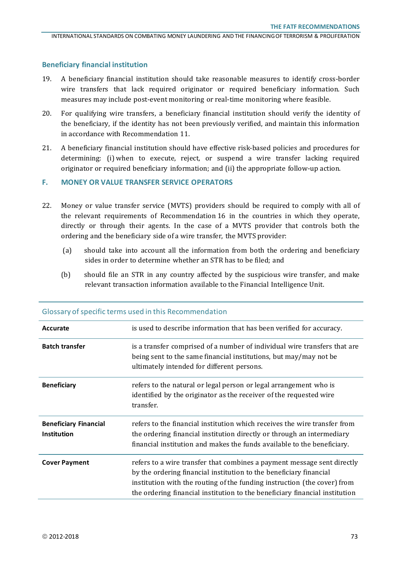## **Beneficiary financial institution**

- 19. A beneficiary financial institution should take reasonable measures to identify cross-border wire transfers that lack required originator or required beneficiary information. Such measures may include post-event monitoring or real-time monitoring where feasible.
- 20. For qualifying wire transfers, a beneficiary financial institution should verify the identity of the beneficiary, if the identity has not been previously verified, and maintain this information in accordance with Recommendation 11.
- 21. A beneficiary financial institution should have effective risk-based policies and procedures for determining: (i) when to execute, reject, or suspend a wire transfer lacking required originator or required beneficiary information; and (ii) the appropriate follow-up action.

## **F. MONEY OR VALUE TRANSFER SERVICE OPERATORS**

- 22. Money or value transfer service (MVTS) providers should be required to comply with all of the relevant requirements of Recommendation 16 in the countries in which they operate, directly or through their agents. In the case of a MVTS provider that controls both the ordering and the beneficiary side of a wire transfer, the MVTS provider:
	- (a) should take into account all the information from both the ordering and beneficiary sides in order to determine whether an STR has to be filed; and
	- (b) should file an STR in any country affected by the suspicious wire transfer, and make relevant transaction information available to the Financial Intelligence Unit.

| Accurate                                           | is used to describe information that has been verified for accuracy.                                                                                                                                                                                                                                     |
|----------------------------------------------------|----------------------------------------------------------------------------------------------------------------------------------------------------------------------------------------------------------------------------------------------------------------------------------------------------------|
| <b>Batch transfer</b>                              | is a transfer comprised of a number of individual wire transfers that are<br>being sent to the same financial institutions, but may/may not be<br>ultimately intended for different persons.                                                                                                             |
| <b>Beneficiary</b>                                 | refers to the natural or legal person or legal arrangement who is<br>identified by the originator as the receiver of the requested wire<br>transfer.                                                                                                                                                     |
| <b>Beneficiary Financial</b><br><b>Institution</b> | refers to the financial institution which receives the wire transfer from<br>the ordering financial institution directly or through an intermediary<br>financial institution and makes the funds available to the beneficiary.                                                                           |
| <b>Cover Payment</b>                               | refers to a wire transfer that combines a payment message sent directly<br>by the ordering financial institution to the beneficiary financial<br>institution with the routing of the funding instruction (the cover) from<br>the ordering financial institution to the beneficiary financial institution |

#### Glossary of specific terms used in this Recommendation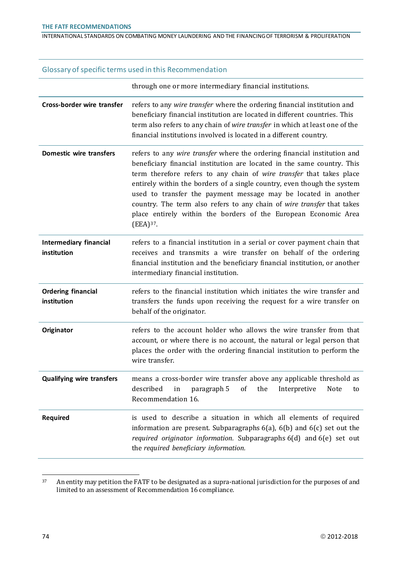| Glossary of specific terms used in this Recommendation |                                                                                                                                                                                                                                                                                                                                                                                                                                                                                                                                                  |  |
|--------------------------------------------------------|--------------------------------------------------------------------------------------------------------------------------------------------------------------------------------------------------------------------------------------------------------------------------------------------------------------------------------------------------------------------------------------------------------------------------------------------------------------------------------------------------------------------------------------------------|--|
|                                                        | through one or more intermediary financial institutions.                                                                                                                                                                                                                                                                                                                                                                                                                                                                                         |  |
| Cross-border wire transfer                             | refers to any wire transfer where the ordering financial institution and<br>beneficiary financial institution are located in different countries. This<br>term also refers to any chain of wire transfer in which at least one of the<br>financial institutions involved is located in a different country.                                                                                                                                                                                                                                      |  |
| Domestic wire transfers                                | refers to any wire transfer where the ordering financial institution and<br>beneficiary financial institution are located in the same country. This<br>term therefore refers to any chain of wire transfer that takes place<br>entirely within the borders of a single country, even though the system<br>used to transfer the payment message may be located in another<br>country. The term also refers to any chain of wire transfer that takes<br>place entirely within the borders of the European Economic Area<br>$(EEA)$ <sup>37</sup> . |  |
| <b>Intermediary financial</b><br>institution           | refers to a financial institution in a serial or cover payment chain that<br>receives and transmits a wire transfer on behalf of the ordering<br>financial institution and the beneficiary financial institution, or another<br>intermediary financial institution.                                                                                                                                                                                                                                                                              |  |
| <b>Ordering financial</b><br>institution               | refers to the financial institution which initiates the wire transfer and<br>transfers the funds upon receiving the request for a wire transfer on<br>behalf of the originator.                                                                                                                                                                                                                                                                                                                                                                  |  |
| Originator                                             | refers to the account holder who allows the wire transfer from that<br>account, or where there is no account, the natural or legal person that<br>places the order with the ordering financial institution to perform the<br>wire transfer.                                                                                                                                                                                                                                                                                                      |  |
| <b>Qualifying wire transfers</b>                       | means a cross-border wire transfer above any applicable threshold as<br>described<br>of<br>the<br>in<br>paragraph 5<br>Interpretive<br>Note<br>to<br>Recommendation 16.                                                                                                                                                                                                                                                                                                                                                                          |  |
| <b>Required</b>                                        | is used to describe a situation in which all elements of required<br>information are present. Subparagraphs 6(a), 6(b) and 6(c) set out the<br>required originator information. Subparagraphs 6(d) and 6(e) set out<br>the required beneficiary information.                                                                                                                                                                                                                                                                                     |  |

<span id="page-74-0"></span> $37\,$ An entity may petition the FATF to be designated as a supra-national jurisdiction for the purposes of and limited to an assessment of Recommendation 16 compliance.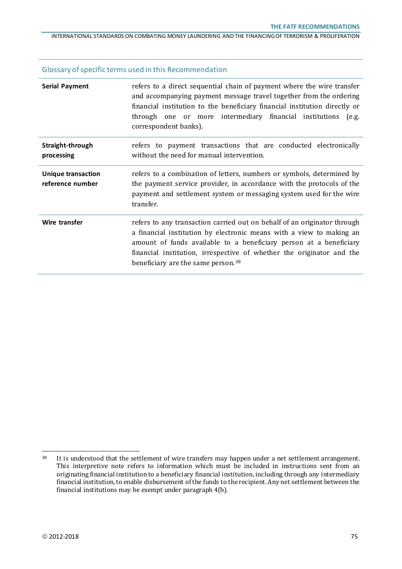Glossary of specific terms used in this Recommendation

**Serial Payment** refers to a direct sequential chain of payment where the wire transfer and accompanying payment message travel together from the ordering financial institution to the beneficiary financial institution directly or through one or more intermediary financial institutions (e.g. correspondent banks). **Straight-through processing** refers to payment transactions that are conducted electronically without the need for manual intervention. **Unique transaction reference number** refers to a combination of letters, numbers or symbols, determined by the payment service provider, in accordance with the protocols of the payment and settlement system or messaging system used for the wire transfer. **Wire transfer** refers to any transaction carried out on behalf of an originator through a financial institution by electronic means with a view to making an amount of funds available to a beneficiary person at a beneficiary financial institution, irrespective of whether the originator and the beneficiary are the same person.[38](#page-75-0)

<span id="page-75-0"></span><sup>38</sup> It is understood that the settlement of wire transfers may happen under a net settlement arrangement. This interpretive note refers to information which must be included in instructions sent from an originating financial institution to a beneficiary financial institution, including through any intermediary financial institution, to enable disbursement of the funds to the recipient. Any net settlement between the financial institutions may be exempt under paragraph 4(b).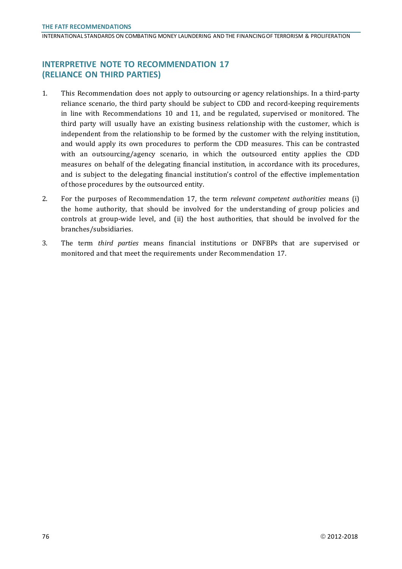# **INTERPRETIVE NOTE TO RECOMMENDATION 17 (RELIANCE ON THIRD PARTIES)**

- 1. This Recommendation does not apply to outsourcing or agency relationships. In a third-party reliance scenario, the third party should be subject to CDD and record-keeping requirements in line with Recommendations 10 and 11, and be regulated, supervised or monitored. The third party will usually have an existing business relationship with the customer, which is independent from the relationship to be formed by the customer with the relying institution, and would apply its own procedures to perform the CDD measures. This can be contrasted with an outsourcing/agency scenario, in which the outsourced entity applies the CDD measures on behalf of the delegating financial institution, in accordance with its procedures, and is subject to the delegating financial institution's control of the effective implementation of those procedures by the outsourced entity.
- 2. For the purposes of Recommendation 17, the term *relevant competent authorities* means (i) the home authority, that should be involved for the understanding of group policies and controls at group-wide level, and (ii) the host authorities, that should be involved for the branches/subsidiaries.
- 3. The term *third parties* means financial institutions or DNFBPs that are supervised or monitored and that meet the requirements under Recommendation 17.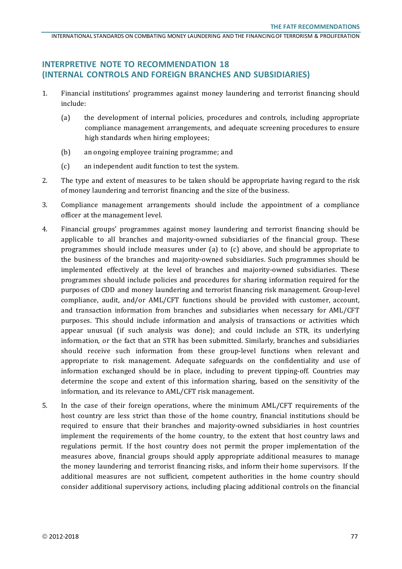## **INTERPRETIVE NOTE TO RECOMMENDATION 18 (INTERNAL CONTROLS AND FOREIGN BRANCHES AND SUBSIDIARIES)**

- 1. Financial institutions' programmes against money laundering and terrorist financing should include:
	- (a) the development of internal policies, procedures and controls, including appropriate compliance management arrangements, and adequate screening procedures to ensure high standards when hiring employees;
	- (b) an ongoing employee training programme; and
	- (c) an independent audit function to test the system.
- 2. The type and extent of measures to be taken should be appropriate having regard to the risk of money laundering and terrorist financing and the size of the business.
- 3. Compliance management arrangements should include the appointment of a compliance officer at the management level.
- 4. Financial groups' programmes against money laundering and terrorist financing should be applicable to all branches and majority-owned subsidiaries of the financial group. These programmes should include measures under (a) to (c) above, and should be appropriate to the business of the branches and majority-owned subsidiaries. Such programmes should be implemented effectively at the level of branches and majority-owned subsidiaries. These programmes should include policies and procedures for sharing information required for the purposes of CDD and money laundering and terrorist financing risk management. Group-level compliance, audit, and/or AML/CFT functions should be provided with customer, account, and transaction information from branches and subsidiaries when necessary for AML/CFT purposes. This should include information and analysis of transactions or activities which appear unusual (if such analysis was done); and could include an STR, its underlying information, or the fact that an STR has been submitted. Similarly, branches and subsidiaries should receive such information from these group-level functions when relevant and appropriate to risk management. Adequate safeguards on the confidentiality and use of information exchanged should be in place, including to prevent tipping-off. Countries may determine the scope and extent of this information sharing, based on the sensitivity of the information, and its relevance to AML/CFT risk management.
- 5. In the case of their foreign operations, where the minimum AML/CFT requirements of the host country are less strict than those of the home country, financial institutions should be required to ensure that their branches and majority-owned subsidiaries in host countries implement the requirements of the home country, to the extent that host country laws and regulations permit. If the host country does not permit the proper implementation of the measures above, financial groups should apply appropriate additional measures to manage the money laundering and terrorist financing risks, and inform their home supervisors. If the additional measures are not sufficient, competent authorities in the home country should consider additional supervisory actions, including placing additional controls on the financial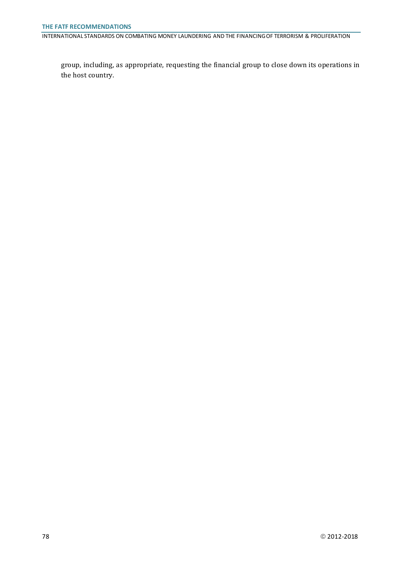group, including, as appropriate, requesting the financial group to close down its operations in the host country.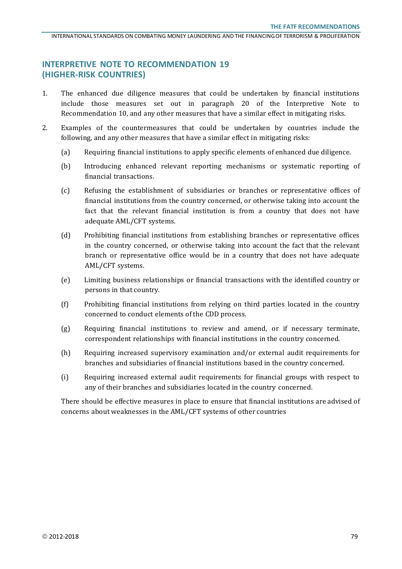# **INTERPRETIVE NOTE TO RECOMMENDATION 19 (HIGHER-RISK COUNTRIES)**

- 1. The enhanced due diligence measures that could be undertaken by financial institutions include those measures set out in paragraph 20 of the Interpretive Note to Recommendation 10, and any other measures that have a similar effect in mitigating risks.
- 2. Examples of the countermeasures that could be undertaken by countries include the following, and any other measures that have a similar effect in mitigating risks:
	- (a) Requiring financial institutions to apply specific elements of enhanced due diligence.
	- (b) Introducing enhanced relevant reporting mechanisms or systematic reporting of financial transactions.
	- (c) Refusing the establishment of subsidiaries or branches or representative offices of financial institutions from the country concerned, or otherwise taking into account the fact that the relevant financial institution is from a country that does not have adequate AML/CFT systems.
	- (d) Prohibiting financial institutions from establishing branches or representative offices in the country concerned, or otherwise taking into account the fact that the relevant branch or representative office would be in a country that does not have adequate AML/CFT systems.
	- (e) Limiting business relationships or financial transactions with the identified country or persons in that country.
	- (f) Prohibiting financial institutions from relying on third parties located in the country concerned to conduct elements of the CDD process.
	- (g) Requiring financial institutions to review and amend, or if necessary terminate, correspondent relationships with financial institutions in the country concerned.
	- (h) Requiring increased supervisory examination and/or external audit requirements for branches and subsidiaries of financial institutions based in the country concerned.
	- (i) Requiring increased external audit requirements for financial groups with respect to any of their branches and subsidiaries located in the country concerned.

There should be effective measures in place to ensure that financial institutions are advised of concerns about weaknesses in the AML/CFT systems of other countries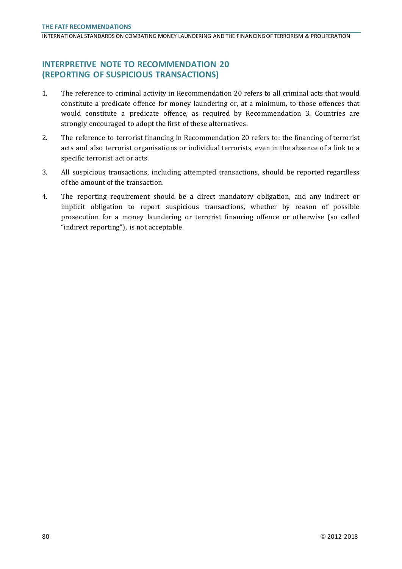# **INTERPRETIVE NOTE TO RECOMMENDATION 20 (REPORTING OF SUSPICIOUS TRANSACTIONS)**

- 1. The reference to criminal activity in Recommendation 20 refers to all criminal acts that would constitute a predicate offence for money laundering or, at a minimum, to those offences that would constitute a predicate offence, as required by Recommendation 3. Countries are strongly encouraged to adopt the first of these alternatives.
- 2. The reference to terrorist financing in Recommendation 20 refers to: the financing of terrorist acts and also terrorist organisations or individual terrorists, even in the absence of a link to a specific terrorist act or acts.
- 3. All suspicious transactions, including attempted transactions, should be reported regardless of the amount of the transaction.
- 4. The reporting requirement should be a direct mandatory obligation, and any indirect or implicit obligation to report suspicious transactions, whether by reason of possible prosecution for a money laundering or terrorist financing offence or otherwise (so called "indirect reporting"), is not acceptable.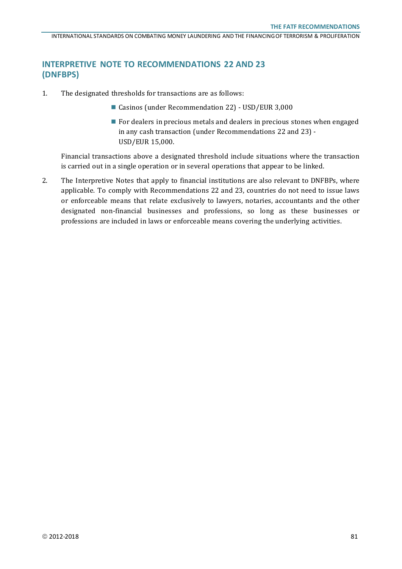# **INTERPRETIVE NOTE TO RECOMMENDATIONS 22 AND 23 (DNFBPS)**

- 1. The designated thresholds for transactions are as follows:
	- Casinos (under Recommendation 22) USD/EUR 3,000
	- For dealers in precious metals and dealers in precious stones when engaged in any cash transaction (under Recommendations 22 and 23) - USD/EUR 15,000.

Financial transactions above a designated threshold include situations where the transaction is carried out in a single operation or in several operations that appear to be linked.

2. The Interpretive Notes that apply to financial institutions are also relevant to DNFBPs, where applicable. To comply with Recommendations 22 and 23, countries do not need to issue laws or enforceable means that relate exclusively to lawyers, notaries, accountants and the other designated non-financial businesses and professions, so long as these businesses or professions are included in laws or enforceable means covering the underlying activities.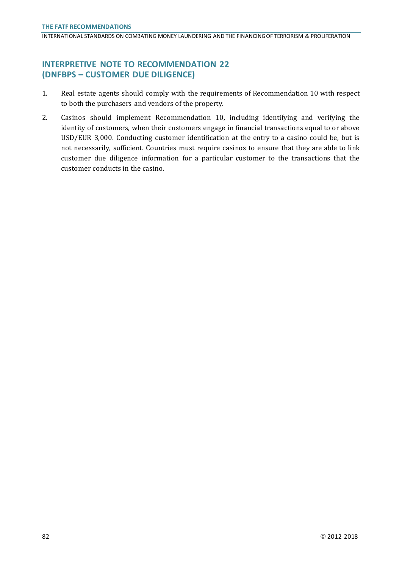# **INTERPRETIVE NOTE TO RECOMMENDATION 22 (DNFBPS – CUSTOMER DUE DILIGENCE)**

- 1. Real estate agents should comply with the requirements of Recommendation 10 with respect to both the purchasers and vendors of the property.
- 2. Casinos should implement Recommendation 10, including identifying and verifying the identity of customers, when their customers engage in financial transactions equal to or above USD/EUR 3,000. Conducting customer identification at the entry to a casino could be, but is not necessarily, sufficient. Countries must require casinos to ensure that they are able to link customer due diligence information for a particular customer to the transactions that the customer conducts in the casino.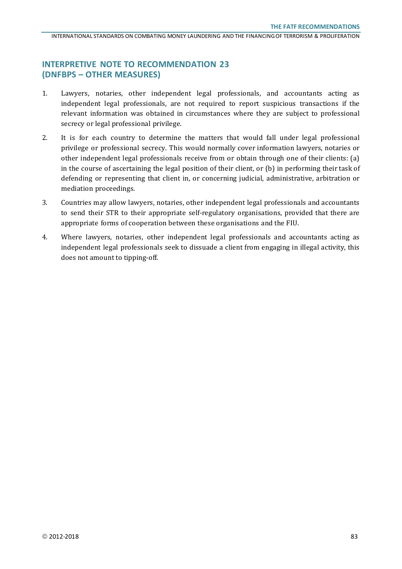# **INTERPRETIVE NOTE TO RECOMMENDATION 23 (DNFBPS – OTHER MEASURES)**

- 1. Lawyers, notaries, other independent legal professionals, and accountants acting as independent legal professionals, are not required to report suspicious transactions if the relevant information was obtained in circumstances where they are subject to professional secrecy or legal professional privilege.
- 2. It is for each country to determine the matters that would fall under legal professional privilege or professional secrecy. This would normally cover information lawyers, notaries or other independent legal professionals receive from or obtain through one of their clients: (a) in the course of ascertaining the legal position of their client, or (b) in performing their task of defending or representing that client in, or concerning judicial, administrative, arbitration or mediation proceedings.
- 3. Countries may allow lawyers, notaries, other independent legal professionals and accountants to send their STR to their appropriate self-regulatory organisations, provided that there are appropriate forms of cooperation between these organisations and the FIU.
- 4. Where lawyers, notaries, other independent legal professionals and accountants acting as independent legal professionals seek to dissuade a client from engaging in illegal activity, this does not amount to tipping-off.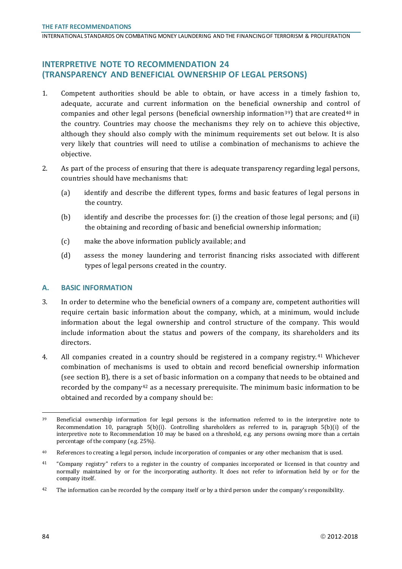# **INTERPRETIVE NOTE TO RECOMMENDATION 24 (TRANSPARENCY AND BENEFICIAL OWNERSHIP OF LEGAL PERSONS)**

- 1. Competent authorities should be able to obtain, or have access in a timely fashion to, adequate, accurate and current information on the beneficial ownership and contr[ol](#page-84-1) of companies and other legal persons (beneficial ownership information<sup>[39](#page-84-0)</sup>) that are created<sup>40</sup> in the country. Countries may choose the mechanisms they rely on to achieve this objective, although they should also comply with the minimum requirements set out below. It is also very likely that countries will need to utilise a combination of mechanisms to achieve the objective.
- 2. As part of the process of ensuring that there is adequate transparency regarding legal persons, countries should have mechanisms that:
	- (a) identify and describe the different types, forms and basic features of legal persons in the country.
	- (b) identify and describe the processes for: (i) the creation of those legal persons; and (ii) the obtaining and recording of basic and beneficial ownership information;
	- (c) make the above information publicly available; and
	- (d) assess the money laundering and terrorist financing risks associated with different types of legal persons created in the country.

## **A. BASIC INFORMATION**

- 3. In order to determine who the beneficial owners of a company are, competent authorities will require certain basic information about the company, which, at a minimum, would include information about the legal ownership and control structure of the company. This would include information about the status and powers of the company, its shareholders and its directors.
- 4. All companies created in a country should be registered in a company registry.<sup>[41](#page-84-2)</sup> Whichever combination of mechanisms is used to obtain and record beneficial ownership information (see section B), there is a [se](#page-84-3)t of basic information on a company that needs to be obtained and recorded by the company42 as a necessary prerequisite. The minimum basic information to be obtained and recorded by a company should be:

<span id="page-84-0"></span><sup>1</sup> <sup>39</sup> Beneficial ownership information for legal persons is the information referred to in the interpretive note to Recommendation 10, paragraph 5(b)(i). Controlling shareholders as referred to in, paragraph 5(b)(i) of the interpretive note to Recommendation 10 may be based on a threshold, e.g. any persons owning more than a certain percentage of the company (e.g. 25%).

<span id="page-84-1"></span><sup>40</sup> References to creating a legal person, include incorporation of companies or any other mechanism that is used.

<span id="page-84-2"></span><sup>&</sup>lt;sup>41</sup> "Company registry" refers to a register in the country of companies incorporated or licensed in that country and normally maintained by or for the incorporating authority. It does not refer to information held by or for the company itself.

<span id="page-84-3"></span><sup>&</sup>lt;sup>42</sup> The information can be recorded by the company itself or by a third person under the company's responsibility.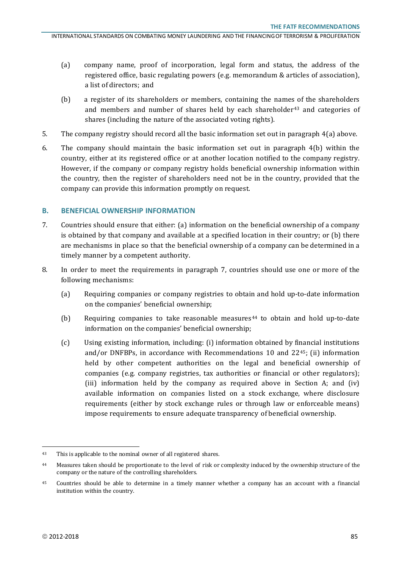- (a) company name, proof of incorporation, legal form and status, the address of the registered office, basic regulating powers (e.g. memorandum & articles of association), a list of directors; and
- (b) a register of its shareholders or members, containing the names of the shareholders and members and number of shares held by each shareholder<sup>[43](#page-85-0)</sup> and categories of shares (including the nature of the associated voting rights).
- 5. The company registry should record all the basic information set out in paragraph 4(a) above.
- 6. The company should maintain the basic information set out in paragraph 4(b) within the country, either at its registered office or at another location notified to the company registry. However, if the company or company registry holds beneficial ownership information within the country, then the register of shareholders need not be in the country, provided that the company can provide this information promptly on request.

### **B. BENEFICIAL OWNERSHIP INFORMATION**

- 7. Countries should ensure that either: (a) information on the beneficial ownership of a company is obtained by that company and available at a specified location in their country; or (b) there are mechanisms in place so that the beneficial ownership of a company can be determined in a timely manner by a competent authority.
- 8. In order to meet the requirements in paragraph 7, countries should use one or more of the following mechanisms:
	- (a) Requiring companies or company registries to obtain and hold up-to-date information on the companies' beneficial ownership;
	- (b) Requiring companies to take reasonable measures<sup>[44](#page-85-1)</sup> to obtain and hold up-to-date information on the companies' beneficial ownership;
	- (c) Using existing information, including: (i) information obtained by financial institutions and/or DNFBPs, in accordance with Recommendations 10 and  $22^{45}$  $22^{45}$  $22^{45}$ ; (ii) information held by other competent authorities on the legal and beneficial ownership of companies (e.g. company registries, tax authorities or financial or other regulators); (iii) information held by the company as required above in Section A; and (iv) available information on companies listed on a stock exchange, where disclosure requirements (either by stock exchange rules or through law or enforceable means) impose requirements to ensure adequate transparency of beneficial ownership.

 $\overline{a}$ 

<span id="page-85-0"></span><sup>43</sup> This is applicable to the nominal owner of all registered shares.

<span id="page-85-1"></span><sup>44</sup> Measures taken should be proportionate to the level of risk or complexity induced by the ownership structure of the company or the nature of the controlling shareholders.

<span id="page-85-2"></span><sup>45</sup> Countries should be able to determine in a timely manner whether a company has an account with a financial institution within the country.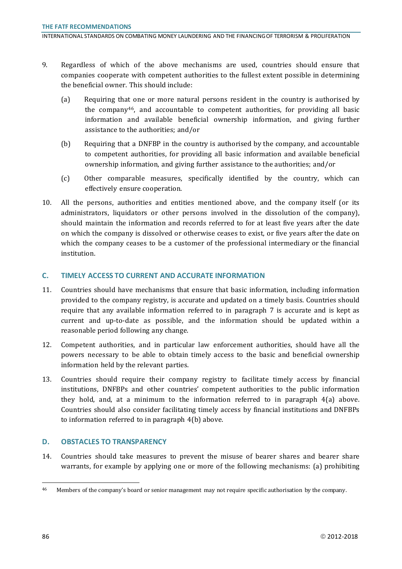- 9. Regardless of which of the above mechanisms are used, countries should ensure that companies cooperate with competent authorities to the fullest extent possible in determining the beneficial owner. This should include:
	- (a) Requiring that one or more natural persons resident in the country is authorised by the company<sup>46</sup>, and accountable to competent authorities, for providing all basic information and available beneficial ownership information, and giving further assistance to the authorities; and/or
	- (b) Requiring that a DNFBP in the country is authorised by the company, and accountable to competent authorities, for providing all basic information and available beneficial ownership information, and giving further assistance to the authorities; and/or
	- (c) Other comparable measures, specifically identified by the country, which can effectively ensure cooperation.
- 10. All the persons, authorities and entities mentioned above, and the company itself (or its administrators, liquidators or other persons involved in the dissolution of the company), should maintain the information and records referred to for at least five years after the date on which the company is dissolved or otherwise ceases to exist, or five years after the date on which the company ceases to be a customer of the professional intermediary or the financial institution.

## **C. TIMELY ACCESS TO CURRENT AND ACCURATE INFORMATION**

- 11. Countries should have mechanisms that ensure that basic information, including information provided to the company registry, is accurate and updated on a timely basis. Countries should require that any available information referred to in paragraph 7 is accurate and is kept as current and up-to-date as possible, and the information should be updated within a reasonable period following any change.
- 12. Competent authorities, and in particular law enforcement authorities, should have all the powers necessary to be able to obtain timely access to the basic and beneficial ownership information held by the relevant parties.
- 13. Countries should require their company registry to facilitate timely access by financial institutions, DNFBPs and other countries' competent authorities to the public information they hold, and, at a minimum to the information referred to in paragraph 4(a) above. Countries should also consider facilitating timely access by financial institutions and DNFBPs to information referred to in paragraph 4(b) above.

## **D. OBSTACLES TO TRANSPARENCY**

14. Countries should take measures to prevent the misuse of bearer shares and bearer share warrants, for example by applying one or more of the following mechanisms: (a) prohibiting

 $\ddot{ }$ 

<span id="page-86-0"></span><sup>46</sup> Members of the company's board or senior management may not require specific authorisation by the company.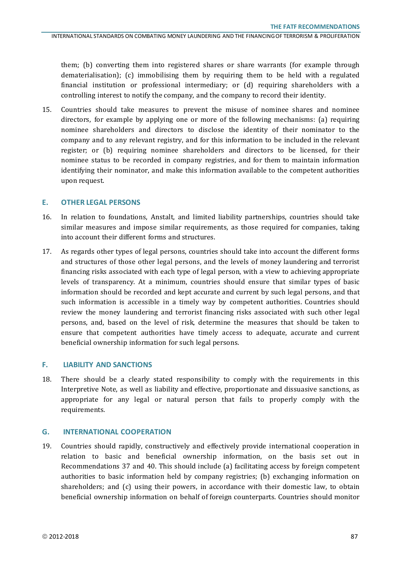them; (b) converting them into registered shares or share warrants (for example through dematerialisation); (c) immobilising them by requiring them to be held with a regulated financial institution or professional intermediary; or (d) requiring shareholders with a controlling interest to notify the company, and the company to record their identity.

15. Countries should take measures to prevent the misuse of nominee shares and nominee directors, for example by applying one or more of the following mechanisms: (a) requiring nominee shareholders and directors to disclose the identity of their nominator to the company and to any relevant registry, and for this information to be included in the relevant register; or (b) requiring nominee shareholders and directors to be licensed, for their nominee status to be recorded in company registries, and for them to maintain information identifying their nominator, and make this information available to the competent authorities upon request.

#### **E. OTHER LEGAL PERSONS**

- 16. In relation to foundations, Anstalt, and limited liability partnerships, countries should take similar measures and impose similar requirements, as those required for companies, taking into account their different forms and structures.
- 17. As regards other types of legal persons, countries should take into account the different forms and structures of those other legal persons, and the levels of money laundering and terrorist financing risks associated with each type of legal person, with a view to achieving appropriate levels of transparency. At a minimum, countries should ensure that similar types of basic information should be recorded and kept accurate and current by such legal persons, and that such information is accessible in a timely way by competent authorities. Countries should review the money laundering and terrorist financing risks associated with such other legal persons, and, based on the level of risk, determine the measures that should be taken to ensure that competent authorities have timely access to adequate, accurate and current beneficial ownership information for such legal persons.

#### **F. LIABILITY AND SANCTIONS**

18. There should be a clearly stated responsibility to comply with the requirements in this Interpretive Note, as well as liability and effective, proportionate and dissuasive sanctions, as appropriate for any legal or natural person that fails to properly comply with the requirements.

#### **G. INTERNATIONAL COOPERATION**

19. Countries should rapidly, constructively and effectively provide international cooperation in relation to basic and beneficial ownership information, on the basis set out in Recommendations 37 and 40. This should include (a) facilitating access by foreign competent authorities to basic information held by company registries; (b) exchanging information on shareholders; and (c) using their powers, in accordance with their domestic law, to obtain beneficial ownership information on behalf of foreign counterparts. Countries should monitor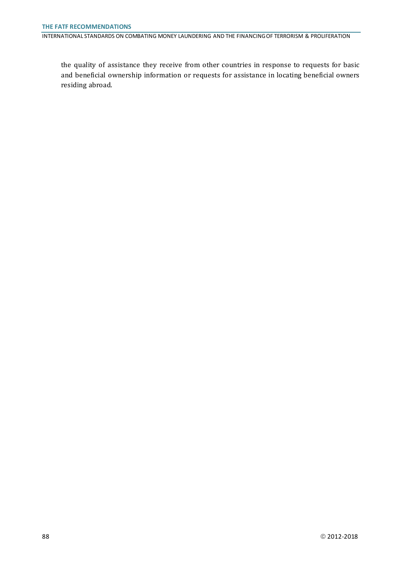the quality of assistance they receive from other countries in response to requests for basic and beneficial ownership information or requests for assistance in locating beneficial owners residing abroad.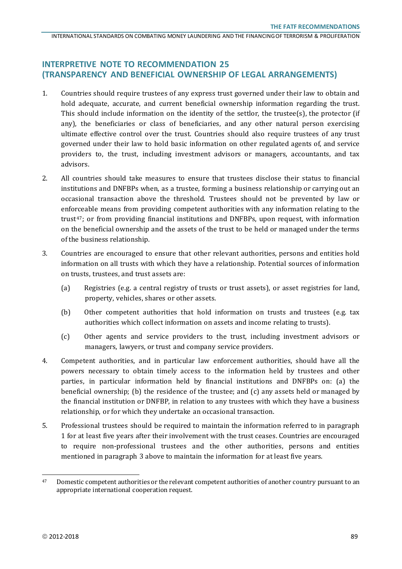# **INTERPRETIVE NOTE TO RECOMMENDATION 25 (TRANSPARENCY AND BENEFICIAL OWNERSHIP OF LEGAL ARRANGEMENTS)**

- 1. Countries should require trustees of any express trust governed under their law to obtain and hold adequate, accurate, and current beneficial ownership information regarding the trust. This should include information on the identity of the settlor, the trustee(s), the protector (if any), the beneficiaries or class of beneficiaries, and any other natural person exercising ultimate effective control over the trust. Countries should also require trustees of any trust governed under their law to hold basic information on other regulated agents of, and service providers to, the trust, including investment advisors or managers, accountants, and tax advisors.
- 2. All countries should take measures to ensure that trustees disclose their status to financial institutions and DNFBPs when, as a trustee, forming a business relationship or carrying out an occasional transaction above the threshold. Trustees should not be prevented by law or enforceable means from providing competent authorities with any information relating to the trust $47$ ; or from providing financial institutions and DNFBPs, upon request, with information on the beneficial ownership and the assets of the trust to be held or managed under the terms of the business relationship.
- 3. Countries are encouraged to ensure that other relevant authorities, persons and entities hold information on all trusts with which they have a relationship. Potential sources of information on trusts, trustees, and trust assets are:
	- (a) Registries (e.g. a central registry of trusts or trust assets), or asset registries for land, property, vehicles, shares or other assets.
	- (b) Other competent authorities that hold information on trusts and trustees (e.g. tax authorities which collect information on assets and income relating to trusts).
	- (c) Other agents and service providers to the trust, including investment advisors or managers, lawyers, or trust and company service providers.
- 4. Competent authorities, and in particular law enforcement authorities, should have all the powers necessary to obtain timely access to the information held by trustees and other parties, in particular information held by financial institutions and DNFBPs on: (a) the beneficial ownership; (b) the residence of the trustee; and (c) any assets held or managed by the financial institution or DNFBP, in relation to any trustees with which they have a business relationship, or for which they undertake an occasional transaction.
- 5. Professional trustees should be required to maintain the information referred to in paragraph 1 for at least five years after their involvement with the trust ceases. Countries are encouraged to require non-professional trustees and the other authorities, persons and entities mentioned in paragraph 3 above to maintain the information for at least five years.

 $\ddot{ }$ 

<span id="page-89-0"></span><sup>&</sup>lt;sup>47</sup> Domestic competent authorities or the relevant competent authorities of another country pursuant to an appropriate international cooperation request.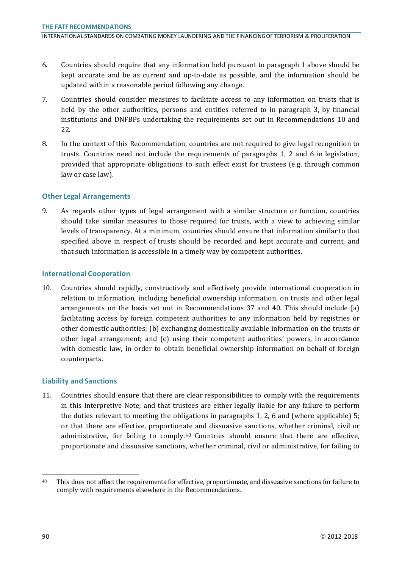- 6. Countries should require that any information held pursuant to paragraph 1 above should be kept accurate and be as current and up-to-date as possible, and the information should be updated within a reasonable period following any change.
- 7. Countries should consider measures to facilitate access to any information on trusts that is held by the other authorities, persons and entities referred to in paragraph 3, by financial institutions and DNFBPs undertaking the requirements set out in Recommendations 10 and 22.
- 8. In the context of this Recommendation, countries are not required to give legal recognition to trusts. Countries need not include the requirements of paragraphs 1, 2 and 6 in legislation, provided that appropriate obligations to such effect exist for trustees (e.g. through common law or case law).

## **Other Legal Arrangements**

9. As regards other types of legal arrangement with a similar structure or function, countries should take similar measures to those required for trusts, with a view to achieving similar levels of transparency. At a minimum, countries should ensure that information similar to that specified above in respect of trusts should be recorded and kept accurate and current, and that such information is accessible in a timely way by competent authorities.

## **International Cooperation**

10. Countries should rapidly, constructively and effectively provide international cooperation in relation to information, including beneficial ownership information, on trusts and other legal arrangements on the basis set out in Recommendations 37 and 40. This should include (a) facilitating access by foreign competent authorities to any information held by registries or other domestic authorities; (b) exchanging domestically available information on the trusts or other legal arrangement; and (c) using their competent authorities' powers, in accordance with domestic law, in order to obtain beneficial ownership information on behalf of foreign counterparts.

## **Liability and Sanctions**

11. Countries should ensure that there are clear responsibilities to comply with the requirements in this Interpretive Note; and that trustees are either legally liable for any failure to perform the duties relevant to meeting the obligations in paragraphs 1, 2, 6 and (where applicable) 5; or that there are effective, proportionate and dissuasive sanctions, whether criminal, civil or administrative, for failing to comply.[48](#page-90-0) Countries should ensure that there are effective, proportionate and dissuasive sanctions, whether criminal, civil or administrative, for failing to

 $\ddot{ }$ 

<span id="page-90-0"></span><sup>48</sup> This does not affect the requirements for effective, proportionate, and dissuasive sanctions for failure to comply with requirements elsewhere in the Recommendations.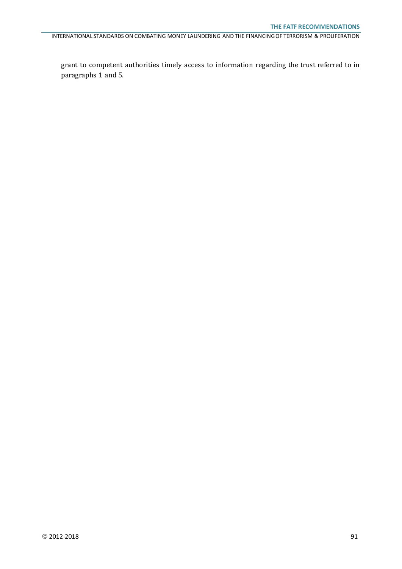grant to competent authorities timely access to information regarding the trust referred to in paragraphs 1 and 5.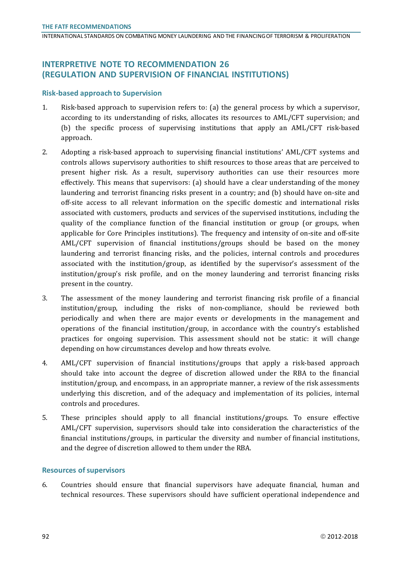# **INTERPRETIVE NOTE TO RECOMMENDATION 26 (REGULATION AND SUPERVISION OF FINANCIAL INSTITUTIONS)**

## **Risk-based approach to Supervision**

- 1. Risk-based approach to supervision refers to: (a) the general process by which a supervisor, according to its understanding of risks, allocates its resources to AML/CFT supervision; and (b) the specific process of supervising institutions that apply an AML/CFT risk-based approach.
- 2. Adopting a risk-based approach to supervising financial institutions' AML/CFT systems and controls allows supervisory authorities to shift resources to those areas that are perceived to present higher risk. As a result, supervisory authorities can use their resources more effectively. This means that supervisors: (a) should have a clear understanding of the money laundering and terrorist financing risks present in a country; and (b) should have on-site and off-site access to all relevant information on the specific domestic and international risks associated with customers, products and services of the supervised institutions, including the quality of the compliance function of the financial institution or group (or groups, when applicable for Core Principles institutions). The frequency and intensity of on-site and off-site AML/CFT supervision of financial institutions/groups should be based on the money laundering and terrorist financing risks, and the policies, internal controls and procedures associated with the institution/group, as identified by the supervisor's assessment of the institution/group's risk profile, and on the money laundering and terrorist financing risks present in the country.
- 3. The assessment of the money laundering and terrorist financing risk profile of a financial institution/group, including the risks of non-compliance, should be reviewed both periodically and when there are major events or developments in the management and operations of the financial institution/group, in accordance with the country's established practices for ongoing supervision. This assessment should not be static: it will change depending on how circumstances develop and how threats evolve.
- 4. AML/CFT supervision of financial institutions/groups that apply a risk-based approach should take into account the degree of discretion allowed under the RBA to the financial institution/group, and encompass, in an appropriate manner, a review of the risk assessments underlying this discretion, and of the adequacy and implementation of its policies, internal controls and procedures.
- 5. These principles should apply to all financial institutions/groups. To ensure effective AML/CFT supervision, supervisors should take into consideration the characteristics of the financial institutions/groups, in particular the diversity and number of financial institutions, and the degree of discretion allowed to them under the RBA.

## **Resources of supervisors**

6. Countries should ensure that financial supervisors have adequate financial, human and technical resources. These supervisors should have sufficient operational independence and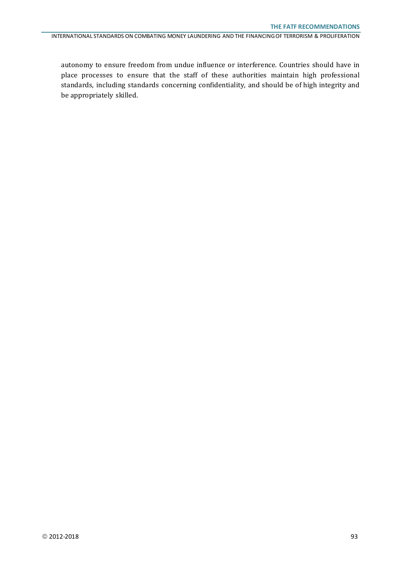autonomy to ensure freedom from undue influence or interference. Countries should have in place processes to ensure that the staff of these authorities maintain high professional standards, including standards concerning confidentiality, and should be of high integrity and be appropriately skilled.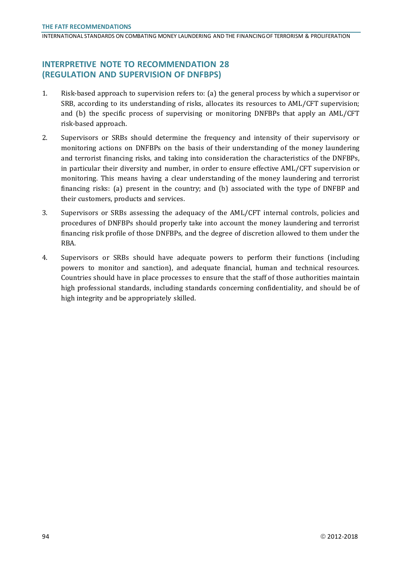# **INTERPRETIVE NOTE TO RECOMMENDATION 28 (REGULATION AND SUPERVISION OF DNFBPS)**

- 1. Risk-based approach to supervision refers to: (a) the general process by which a supervisor or SRB, according to its understanding of risks, allocates its resources to AML/CFT supervision; and (b) the specific process of supervising or monitoring DNFBPs that apply an AML/CFT risk-based approach.
- 2. Supervisors or SRBs should determine the frequency and intensity of their supervisory or monitoring actions on DNFBPs on the basis of their understanding of the money laundering and terrorist financing risks, and taking into consideration the characteristics of the DNFBPs, in particular their diversity and number, in order to ensure effective AML/CFT supervision or monitoring. This means having a clear understanding of the money laundering and terrorist financing risks: (a) present in the country; and (b) associated with the type of DNFBP and their customers, products and services.
- 3. Supervisors or SRBs assessing the adequacy of the AML/CFT internal controls, policies and procedures of DNFBPs should properly take into account the money laundering and terrorist financing risk profile of those DNFBPs, and the degree of discretion allowed to them under the RBA.
- 4. Supervisors or SRBs should have adequate powers to perform their functions (including powers to monitor and sanction), and adequate financial, human and technical resources. Countries should have in place processes to ensure that the staff of those authorities maintain high professional standards, including standards concerning confidentiality, and should be of high integrity and be appropriately skilled.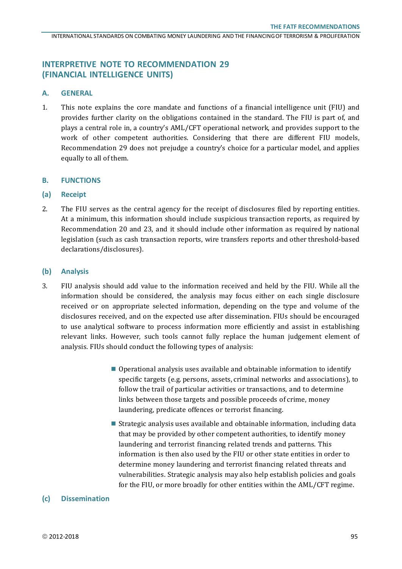# **INTERPRETIVE NOTE TO RECOMMENDATION 29 (FINANCIAL INTELLIGENCE UNITS)**

## **A. GENERAL**

1. This note explains the core mandate and functions of a financial intelligence unit (FIU) and provides further clarity on the obligations contained in the standard. The FIU is part of, and plays a central role in, a country's AML/CFT operational network, and provides support to the work of other competent authorities. Considering that there are different FIU models, Recommendation 29 does not prejudge a country's choice for a particular model, and applies equally to all of them.

### **B. FUNCTIONS**

#### **(a) Receipt**

2. The FIU serves as the central agency for the receipt of disclosures filed by reporting entities. At a minimum, this information should include suspicious transaction reports, as required by Recommendation 20 and 23, and it should include other information as required by national legislation (such as cash transaction reports, wire transfers reports and other threshold-based declarations/disclosures).

## **(b) Analysis**

- 3. FIU analysis should add value to the information received and held by the FIU. While all the information should be considered, the analysis may focus either on each single disclosure received or on appropriate selected information, depending on the type and volume of the disclosures received, and on the expected use after dissemination. FIUs should be encouraged to use analytical software to process information more efficiently and assist in establishing relevant links. However, such tools cannot fully replace the human judgement element of analysis. FIUs should conduct the following types of analysis:
	- Operational analysis uses available and obtainable information to identify specific targets (e.g. persons, assets, criminal networks and associations), to follow the trail of particular activities or transactions, and to determine links between those targets and possible proceeds of crime, money laundering, predicate offences or terrorist financing.
	- Strategic analysis uses available and obtainable information, including data that may be provided by other competent authorities, to identify money laundering and terrorist financing related trends and patterns. This information is then also used by the FIU or other state entities in order to determine money laundering and terrorist financing related threats and vulnerabilities. Strategic analysis may also help establish policies and goals for the FIU, or more broadly for other entities within the AML/CFT regime.

### **(c) Dissemination**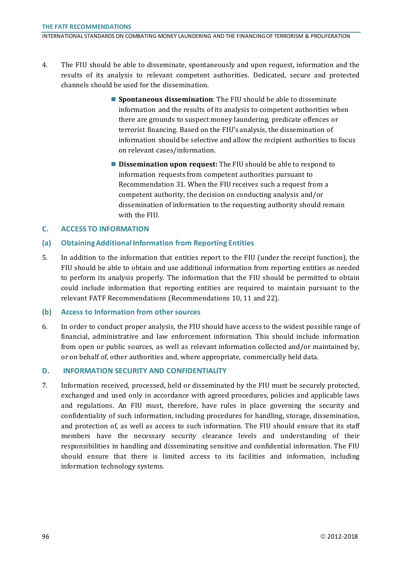- 4. The FIU should be able to disseminate, spontaneously and upon request, information and the results of its analysis to relevant competent authorities. Dedicated, secure and protected channels should be used for the dissemination.
	- **Spontaneous dissemination**: The FIU should be able to disseminate information and the results of its analysis to competent authorities when there are grounds to suspect money laundering, predicate offences or terrorist financing. Based on the FIU's analysis, the dissemination of information should be selective and allow the recipient authorities to focus on relevant cases/information.
	- **Dissemination upon request:** The FIU should be able to respond to information requests from competent authorities pursuant to Recommendation 31. When the FIU receives such a request from a competent authority, the decision on conducting analysis and/or dissemination of information to the requesting authority should remain with the FIU.

### **C. ACCESS TO INFORMATION**

### **(a) Obtaining Additional Information from Reporting Entities**

5. In addition to the information that entities report to the FIU (under the receipt function), the FIU should be able to obtain and use additional information from reporting entities as needed to perform its analysis properly. The information that the FIU should be permitted to obtain could include information that reporting entities are required to maintain pursuant to the relevant FATF Recommendations (Recommendations 10, 11 and 22).

#### **(b) Access to Information from other sources**

6. In order to conduct proper analysis, the FIU should have access to the widest possible range of financial, administrative and law enforcement information. This should include information from open or public sources, as well as relevant information collected and/or maintained by, or on behalf of, other authorities and, where appropriate, commercially held data.

## **D. INFORMATION SECURITY AND CONFIDENTIALITY**

7. Information received, processed, held or disseminated by the FIU must be securely protected, exchanged and used only in accordance with agreed procedures, policies and applicable laws and regulations. An FIU must, therefore, have rules in place governing the security and confidentiality of such information, including procedures for handling, storage, dissemination, and protection of, as well as access to such information. The FIU should ensure that its staff members have the necessary security clearance levels and understanding of their responsibilities in handling and disseminating sensitive and confidential information. The FIU should ensure that there is limited access to its facilities and information, including information technology systems.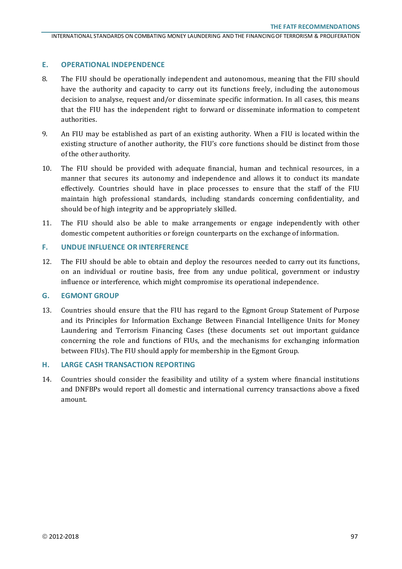## **E. OPERATIONAL INDEPENDENCE**

- 8. The FIU should be operationally independent and autonomous, meaning that the FIU should have the authority and capacity to carry out its functions freely, including the autonomous decision to analyse, request and/or disseminate specific information. In all cases, this means that the FIU has the independent right to forward or disseminate information to competent authorities.
- 9. An FIU may be established as part of an existing authority. When a FIU is located within the existing structure of another authority, the FIU's core functions should be distinct from those of the other authority.
- 10. The FIU should be provided with adequate financial, human and technical resources, in a manner that secures its autonomy and independence and allows it to conduct its mandate effectively. Countries should have in place processes to ensure that the staff of the FIU maintain high professional standards, including standards concerning confidentiality, and should be of high integrity and be appropriately skilled.
- 11. The FIU should also be able to make arrangements or engage independently with other domestic competent authorities or foreign counterparts on the exchange of information.

#### **F. UNDUE INFLUENCE OR INTERFERENCE**

12. The FIU should be able to obtain and deploy the resources needed to carry out its functions, on an individual or routine basis, free from any undue political, government or industry influence or interference, which might compromise its operational independence.

#### **G. EGMONT GROUP**

13. Countries should ensure that the FIU has regard to the Egmont Group Statement of Purpose and its Principles for Information Exchange Between Financial Intelligence Units for Money Laundering and Terrorism Financing Cases (these documents set out important guidance concerning the role and functions of FIUs, and the mechanisms for exchanging information between FIUs). The FIU should apply for membership in the Egmont Group.

### **H. LARGE CASH TRANSACTION REPORTING**

14. Countries should consider the feasibility and utility of a system where financial institutions and DNFBPs would report all domestic and international currency transactions above a fixed amount.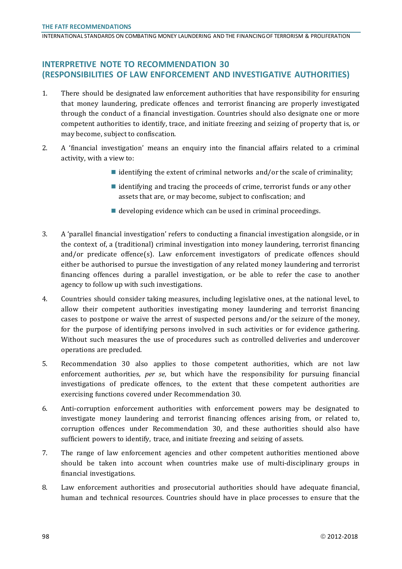# **INTERPRETIVE NOTE TO RECOMMENDATION 30 (RESPONSIBILITIES OF LAW ENFORCEMENT AND INVESTIGATIVE AUTHORITIES)**

- 1. There should be designated law enforcement authorities that have responsibility for ensuring that money laundering, predicate offences and terrorist financing are properly investigated through the conduct of a financial investigation. Countries should also designate one or more competent authorities to identify, trace, and initiate freezing and seizing of property that is, or may become, subject to confiscation.
- 2. A 'financial investigation' means an enquiry into the financial affairs related to a criminal activity, with a view to:
	- $\blacksquare$  identifying the extent of criminal networks and/or the scale of criminality;
	- $\blacksquare$  identifying and tracing the proceeds of crime, terrorist funds or any other assets that are, or may become, subject to confiscation; and
	- developing evidence which can be used in criminal proceedings.
- 3. A 'parallel financial investigation' refers to conducting a financial investigation alongside, or in the context of, a (traditional) criminal investigation into money laundering, terrorist financing and/or predicate offence(s). Law enforcement investigators of predicate offences should either be authorised to pursue the investigation of any related money laundering and terrorist financing offences during a parallel investigation, or be able to refer the case to another agency to follow up with such investigations.
- 4. Countries should consider taking measures, including legislative ones, at the national level, to allow their competent authorities investigating money laundering and terrorist financing cases to postpone or waive the arrest of suspected persons and/or the seizure of the money, for the purpose of identifying persons involved in such activities or for evidence gathering. Without such measures the use of procedures such as controlled deliveries and undercover operations are precluded.
- 5. Recommendation 30 also applies to those competent authorities, which are not law enforcement authorities, *per se*, but which have the responsibility for pursuing financial investigations of predicate offences, to the extent that these competent authorities are exercising functions covered under Recommendation 30.
- 6. Anti-corruption enforcement authorities with enforcement powers may be designated to investigate money laundering and terrorist financing offences arising from, or related to, corruption offences under Recommendation 30, and these authorities should also have sufficient powers to identify, trace, and initiate freezing and seizing of assets.
- 7. The range of law enforcement agencies and other competent authorities mentioned above should be taken into account when countries make use of multi-disciplinary groups in financial investigations.
- 8. Law enforcement authorities and prosecutorial authorities should have adequate financial, human and technical resources. Countries should have in place processes to ensure that the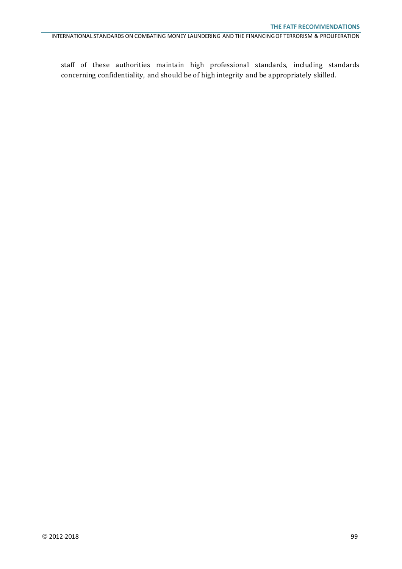staff of these authorities maintain high professional standards, including standards concerning confidentiality, and should be of high integrity and be appropriately skilled.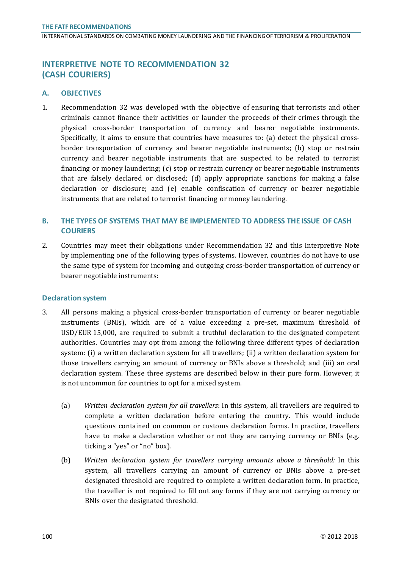# **INTERPRETIVE NOTE TO RECOMMENDATION 32 (CASH COURIERS)**

## **A. OBJECTIVES**

1. Recommendation 32 was developed with the objective of ensuring that terrorists and other criminals cannot finance their activities or launder the proceeds of their crimes through the physical cross-border transportation of currency and bearer negotiable instruments. Specifically, it aims to ensure that countries have measures to: (a) detect the physical crossborder transportation of currency and bearer negotiable instruments; (b) stop or restrain currency and bearer negotiable instruments that are suspected to be related to terrorist financing or money laundering; (c) stop or restrain currency or bearer negotiable instruments that are falsely declared or disclosed; (d) apply appropriate sanctions for making a false declaration or disclosure; and (e) enable confiscation of currency or bearer negotiable instruments that are related to terrorist financing or money laundering.

## **B. THE TYPES OF SYSTEMS THAT MAY BE IMPLEMENTED TO ADDRESS THE ISSUE OF CASH COURIERS**

2. Countries may meet their obligations under Recommendation 32 and this Interpretive Note by implementing one of the following types of systems. However, countries do not have to use the same type of system for incoming and outgoing cross-border transportation of currency or bearer negotiable instruments:

## **Declaration system**

- 3. All persons making a physical cross-border transportation of currency or bearer negotiable instruments (BNIs), which are of a value exceeding a pre-set, maximum threshold of USD/EUR 15,000, are required to submit a truthful declaration to the designated competent authorities. Countries may opt from among the following three different types of declaration system: (i) a written declaration system for all travellers; (ii) a written declaration system for those travellers carrying an amount of currency or BNIs above a threshold; and (iii) an oral declaration system. These three systems are described below in their pure form. However, it is not uncommon for countries to opt for a mixed system.
	- (a) *Written declaration system for all travellers*: In this system, all travellers are required to complete a written declaration before entering the country. This would include questions contained on common or customs declaration forms. In practice, travellers have to make a declaration whether or not they are carrying currency or BNIs (e.g. ticking a "yes" or "no" box).
	- (b) *Written declaration system for travellers carrying amounts above a threshold:* In this system, all travellers carrying an amount of currency or BNIs above a pre-set designated threshold are required to complete a written declaration form. In practice, the traveller is not required to fill out any forms if they are not carrying currency or BNIs over the designated threshold.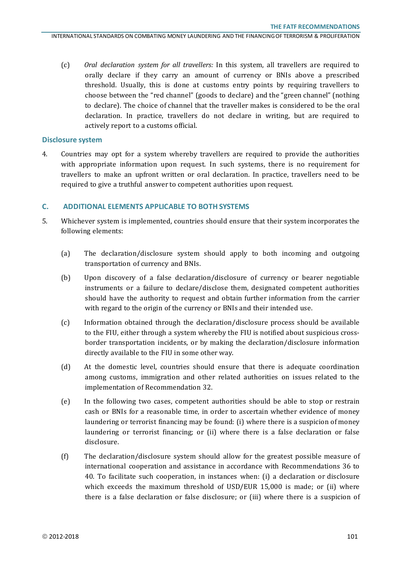(c) *Oral declaration system for all travellers:* In this system, all travellers are required to orally declare if they carry an amount of currency or BNIs above a prescribed threshold. Usually, this is done at customs entry points by requiring travellers to choose between the "red channel" (goods to declare) and the "green channel" (nothing to declare). The choice of channel that the traveller makes is considered to be the oral declaration. In practice, travellers do not declare in writing, but are required to actively report to a customs official.

#### **Disclosure system**

4. Countries may opt for a system whereby travellers are required to provide the authorities with appropriate information upon request. In such systems, there is no requirement for travellers to make an upfront written or oral declaration. In practice, travellers need to be required to give a truthful answer to competent authorities upon request.

#### **C. ADDITIONAL ELEMENTS APPLICABLE TO BOTH SYSTEMS**

- 5. Whichever system is implemented, countries should ensure that their system incorporates the following elements:
	- (a) The declaration/disclosure system should apply to both incoming and outgoing transportation of currency and BNIs.
	- (b) Upon discovery of a false declaration/disclosure of currency or bearer negotiable instruments or a failure to declare/disclose them, designated competent authorities should have the authority to request and obtain further information from the carrier with regard to the origin of the currency or BNIs and their intended use.
	- (c) Information obtained through the declaration/disclosure process should be available to the FIU, either through a system whereby the FIU is notified about suspicious crossborder transportation incidents, or by making the declaration/disclosure information directly available to the FIU in some other way.
	- (d) At the domestic level, countries should ensure that there is adequate coordination among customs, immigration and other related authorities on issues related to the implementation of Recommendation 32.
	- (e) In the following two cases, competent authorities should be able to stop or restrain cash or BNIs for a reasonable time, in order to ascertain whether evidence of money laundering or terrorist financing may be found: (i) where there is a suspicion of money laundering or terrorist financing; or (ii) where there is a false declaration or false disclosure.
	- (f) The declaration/disclosure system should allow for the greatest possible measure of international cooperation and assistance in accordance with Recommendations 36 to 40. To facilitate such cooperation, in instances when: (i) a declaration or disclosure which exceeds the maximum threshold of USD/EUR 15,000 is made; or (ii) where there is a false declaration or false disclosure; or (iii) where there is a suspicion of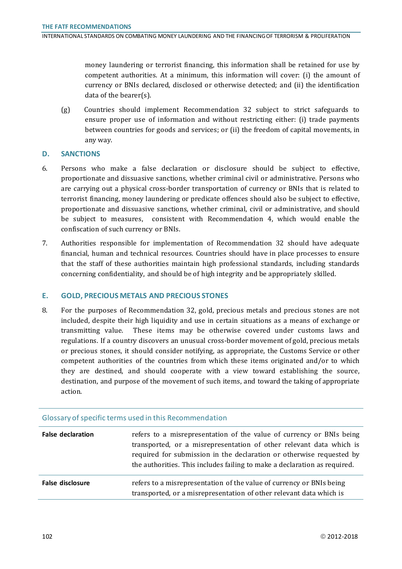money laundering or terrorist financing, this information shall be retained for use by competent authorities. At a minimum, this information will cover: (i) the amount of currency or BNIs declared, disclosed or otherwise detected; and (ii) the identification data of the bearer(s).

(g) Countries should implement Recommendation 32 subject to strict safeguards to ensure proper use of information and without restricting either: (i) trade payments between countries for goods and services; or (ii) the freedom of capital movements, in any way.

## **D. SANCTIONS**

- 6. Persons who make a false declaration or disclosure should be subject to effective, proportionate and dissuasive sanctions, whether criminal civil or administrative. Persons who are carrying out a physical cross-border transportation of currency or BNIs that is related to terrorist financing, money laundering or predicate offences should also be subject to effective, proportionate and dissuasive sanctions, whether criminal, civil or administrative, and should be subject to measures, consistent with Recommendation 4, which would enable the confiscation of such currency or BNIs.
- 7. Authorities responsible for implementation of Recommendation 32 should have adequate financial, human and technical resources. Countries should have in place processes to ensure that the staff of these authorities maintain high professional standards, including standards concerning confidentiality, and should be of high integrity and be appropriately skilled.

## **E. GOLD, PRECIOUS METALS AND PRECIOUS STONES**

8. For the purposes of Recommendation 32, gold, precious metals and precious stones are not included, despite their high liquidity and use in certain situations as a means of exchange or transmitting value. These items may be otherwise covered under customs laws and regulations. If a country discovers an unusual cross-border movement of gold, precious metals or precious stones, it should consider notifying, as appropriate, the Customs Service or other competent authorities of the countries from which these items originated and/or to which they are destined, and should cooperate with a view toward establishing the source, destination, and purpose of the movement of such items, and toward the taking of appropriate action.

| <b>False declaration</b> | refers to a misrepresentation of the value of currency or BNIs being<br>transported, or a misrepresentation of other relevant data which is<br>required for submission in the declaration or otherwise requested by<br>the authorities. This includes failing to make a declaration as required. |
|--------------------------|--------------------------------------------------------------------------------------------------------------------------------------------------------------------------------------------------------------------------------------------------------------------------------------------------|
| <b>False disclosure</b>  | refers to a misrepresentation of the value of currency or BNIs being<br>transported, or a misrepresentation of other relevant data which is                                                                                                                                                      |

Glossary of specific terms used in this Recommendation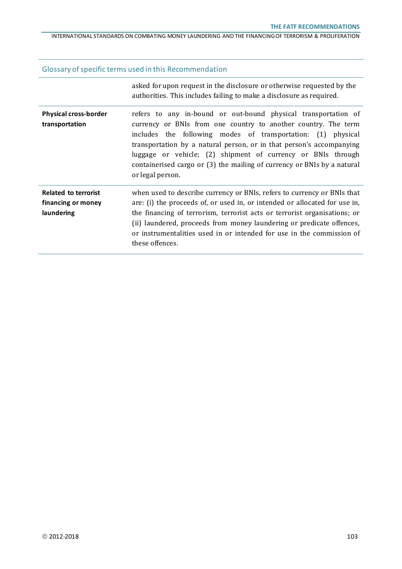Glossary of specific terms used in this Recommendation

|                                                                 | asked for upon request in the disclosure or otherwise requested by the<br>authorities. This includes failing to make a disclosure as required.                                                                                                                                                                                                                                                                                          |
|-----------------------------------------------------------------|-----------------------------------------------------------------------------------------------------------------------------------------------------------------------------------------------------------------------------------------------------------------------------------------------------------------------------------------------------------------------------------------------------------------------------------------|
| <b>Physical cross-border</b><br>transportation                  | refers to any in-bound or out-bound physical transportation of<br>currency or BNIs from one country to another country. The term<br>includes the following modes of transportation: (1) physical<br>transportation by a natural person, or in that person's accompanying<br>luggage or vehicle; (2) shipment of currency or BNIs through<br>containerised cargo or (3) the mailing of currency or BNIs by a natural<br>or legal person. |
| <b>Related to terrorist</b><br>financing or money<br>laundering | when used to describe currency or BNIs, refers to currency or BNIs that<br>are: (i) the proceeds of, or used in, or intended or allocated for use in,<br>the financing of terrorism, terrorist acts or terrorist organisations; or<br>(ii) laundered, proceeds from money laundering or predicate offences,<br>or instrumentalities used in or intended for use in the commission of<br>these offences.                                 |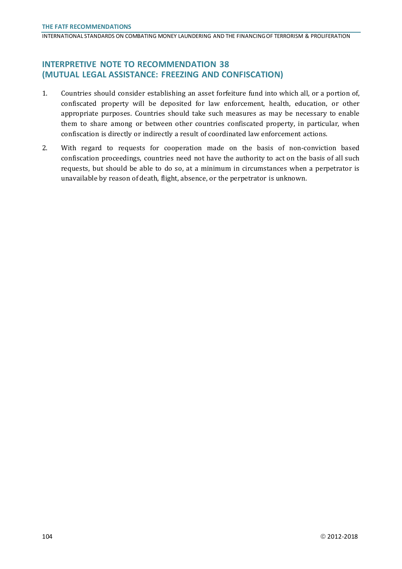# **INTERPRETIVE NOTE TO RECOMMENDATION 38 (MUTUAL LEGAL ASSISTANCE: FREEZING AND CONFISCATION)**

- 1. Countries should consider establishing an asset forfeiture fund into which all, or a portion of, confiscated property will be deposited for law enforcement, health, education, or other appropriate purposes. Countries should take such measures as may be necessary to enable them to share among or between other countries confiscated property, in particular, when confiscation is directly or indirectly a result of coordinated law enforcement actions.
- 2. With regard to requests for cooperation made on the basis of non-conviction based confiscation proceedings, countries need not have the authority to act on the basis of all such requests, but should be able to do so, at a minimum in circumstances when a perpetrator is unavailable by reason of death, flight, absence, or the perpetrator is unknown.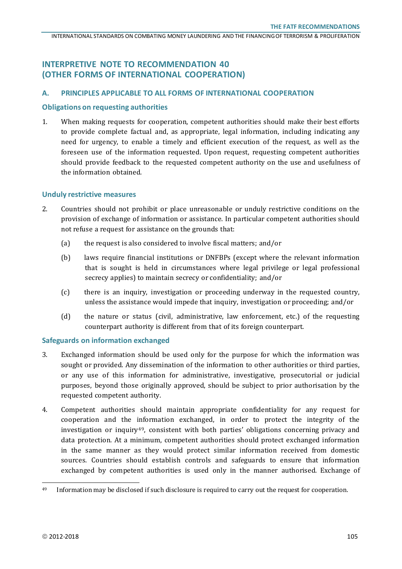# **INTERPRETIVE NOTE TO RECOMMENDATION 40 (OTHER FORMS OF INTERNATIONAL COOPERATION)**

### **A. PRINCIPLES APPLICABLE TO ALL FORMS OF INTERNATIONAL COOPERATION**

### **Obligations on requesting authorities**

1. When making requests for cooperation, competent authorities should make their best efforts to provide complete factual and, as appropriate, legal information, including indicating any need for urgency, to enable a timely and efficient execution of the request, as well as the foreseen use of the information requested. Upon request, requesting competent authorities should provide feedback to the requested competent authority on the use and usefulness of the information obtained.

#### **Unduly restrictive measures**

- 2. Countries should not prohibit or place unreasonable or unduly restrictive conditions on the provision of exchange of information or assistance. In particular competent authorities should not refuse a request for assistance on the grounds that:
	- (a) the request is also considered to involve fiscal matters; and/or
	- (b) laws require financial institutions or DNFBPs (except where the relevant information that is sought is held in circumstances where legal privilege or legal professional secrecy applies) to maintain secrecy or confidentiality; and/or
	- (c) there is an inquiry, investigation or proceeding underway in the requested country, unless the assistance would impede that inquiry, investigation or proceeding; and/or
	- (d) the nature or status (civil, administrative, law enforcement, etc.) of the requesting counterpart authority is different from that of its foreign counterpart.

### **Safeguards on information exchanged**

- 3. Exchanged information should be used only for the purpose for which the information was sought or provided. Any dissemination of the information to other authorities or third parties, or any use of this information for administrative, investigative, prosecutorial or judicial purposes, beyond those originally approved, should be subject to prior authorisation by the requested competent authority.
- 4. Competent authorities should maintain appropriate confidentiality for any request for cooperation and the information exchanged, in order to protect the integrity of the investigation or inquiry[49,](#page-105-0) consistent with both parties' obligations concerning privacy and data protection. At a minimum, competent authorities should protect exchanged information in the same manner as they would protect similar information received from domestic sources. Countries should establish controls and safeguards to ensure that information exchanged by competent authorities is used only in the manner authorised. Exchange of

 $\ddot{ }$ 

<span id="page-105-0"></span><sup>&</sup>lt;sup>49</sup> Information may be disclosed if such disclosure is required to carry out the request for cooperation.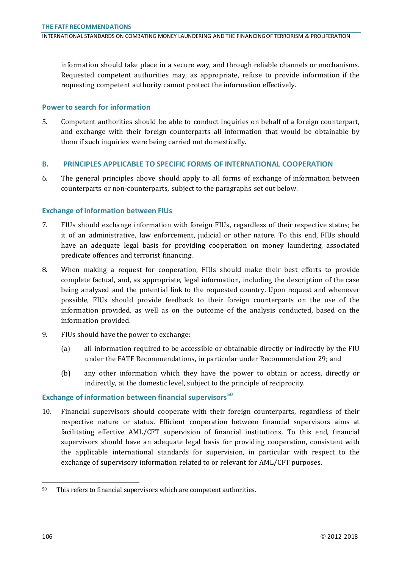information should take place in a secure way, and through reliable channels or mechanisms. Requested competent authorities may, as appropriate, refuse to provide information if the requesting competent authority cannot protect the information effectively.

### **Power to search for information**

5. Competent authorities should be able to conduct inquiries on behalf of a foreign counterpart, and exchange with their foreign counterparts all information that would be obtainable by them if such inquiries were being carried out domestically.

## **B. PRINCIPLES APPLICABLE TO SPECIFIC FORMS OF INTERNATIONAL COOPERATION**

6. The general principles above should apply to all forms of exchange of information between counterparts or non-counterparts, subject to the paragraphs set out below.

## **Exchange of information between FIUs**

- 7. FIUs should exchange information with foreign FIUs, regardless of their respective status; be it of an administrative, law enforcement, judicial or other nature. To this end, FIUs should have an adequate legal basis for providing cooperation on money laundering, associated predicate offences and terrorist financing.
- 8. When making a request for cooperation, FIUs should make their best efforts to provide complete factual, and, as appropriate, legal information, including the description of the case being analysed and the potential link to the requested country. Upon request and whenever possible, FIUs should provide feedback to their foreign counterparts on the use of the information provided, as well as on the outcome of the analysis conducted, based on the information provided.
- 9. FIUs should have the power to exchange:
	- (a) all information required to be accessible or obtainable directly or indirectly by the FIU under the FATF Recommendations, in particular under Recommendation 29; and
	- (b) any other information which they have the power to obtain or access, directly or indirectly, at the domestic level, subject to the principle of reciprocity.

## **Exchange of information between financial supervisors[50](#page-106-0)**

10. Financial supervisors should cooperate with their foreign counterparts, regardless of their respective nature or status. Efficient cooperation between financial supervisors aims at facilitating effective AML/CFT supervision of financial institutions. To this end, financial supervisors should have an adequate legal basis for providing cooperation, consistent with the applicable international standards for supervision, in particular with respect to the exchange of supervisory information related to or relevant for AML/CFT purposes.

<span id="page-106-0"></span> $\ddot{ }$ <sup>50</sup> This refers to financial supervisors which are competent authorities.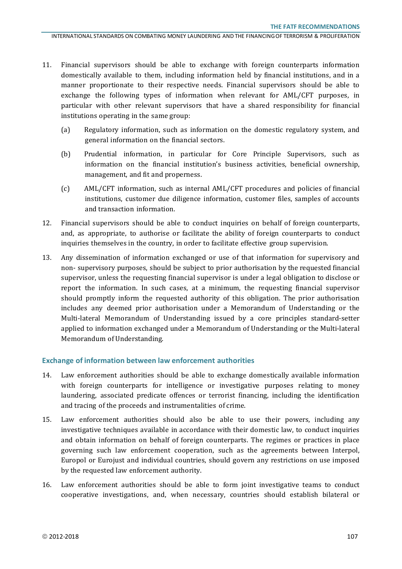- 11. Financial supervisors should be able to exchange with foreign counterparts information domestically available to them, including information held by financial institutions, and in a manner proportionate to their respective needs. Financial supervisors should be able to exchange the following types of information when relevant for AML/CFT purposes, in particular with other relevant supervisors that have a shared responsibility for financial institutions operating in the same group:
	- (a) Regulatory information, such as information on the domestic regulatory system, and general information on the financial sectors.
	- (b) Prudential information, in particular for Core Principle Supervisors, such as information on the financial institution's business activities, beneficial ownership, management, and fit and properness.
	- (c) AML/CFT information, such as internal AML/CFT procedures and policies of financial institutions, customer due diligence information, customer files, samples of accounts and transaction information.
- 12. Financial supervisors should be able to conduct inquiries on behalf of foreign counterparts, and, as appropriate, to authorise or facilitate the ability of foreign counterparts to conduct inquiries themselves in the country, in order to facilitate effective group supervision.
- 13. Any dissemination of information exchanged or use of that information for supervisory and non- supervisory purposes, should be subject to prior authorisation by the requested financial supervisor, unless the requesting financial supervisor is under a legal obligation to disclose or report the information. In such cases, at a minimum, the requesting financial supervisor should promptly inform the requested authority of this obligation. The prior authorisation includes any deemed prior authorisation under a Memorandum of Understanding or the Multi-lateral Memorandum of Understanding issued by a core principles standard-setter applied to information exchanged under a Memorandum of Understanding or the Multi-lateral Memorandum of Understanding.

### **Exchange of information between law enforcement authorities**

- 14. Law enforcement authorities should be able to exchange domestically available information with foreign counterparts for intelligence or investigative purposes relating to money laundering, associated predicate offences or terrorist financing, including the identification and tracing of the proceeds and instrumentalities of crime.
- 15. Law enforcement authorities should also be able to use their powers, including any investigative techniques available in accordance with their domestic law, to conduct inquiries and obtain information on behalf of foreign counterparts. The regimes or practices in place governing such law enforcement cooperation, such as the agreements between Interpol, Europol or Eurojust and individual countries, should govern any restrictions on use imposed by the requested law enforcement authority.
- 16. Law enforcement authorities should be able to form joint investigative teams to conduct cooperative investigations, and, when necessary, countries should establish bilateral or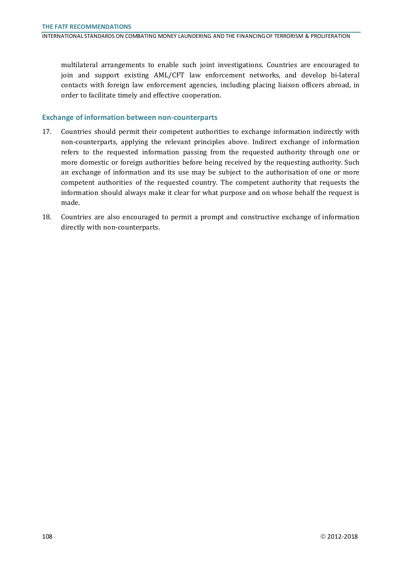multilateral arrangements to enable such joint investigations. Countries are encouraged to join and support existing AML/CFT law enforcement networks, and develop bi-lateral contacts with foreign law enforcement agencies, including placing liaison officers abroad, in order to facilitate timely and effective cooperation.

#### **Exchange of information between non-counterparts**

- 17. Countries should permit their competent authorities to exchange information indirectly with non-counterparts, applying the relevant principles above. Indirect exchange of information refers to the requested information passing from the requested authority through one or more domestic or foreign authorities before being received by the requesting authority. Such an exchange of information and its use may be subject to the authorisation of one or more competent authorities of the requested country. The competent authority that requests the information should always make it clear for what purpose and on whose behalf the request is made.
- 18. Countries are also encouraged to permit a prompt and constructive exchange of information directly with non-counterparts.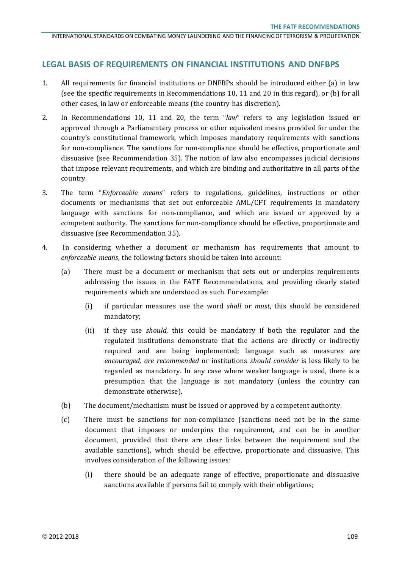### **LEGAL BASIS OF REQUIREMENTS ON FINANCIAL INSTITUTIONS AND DNFBPS**

- 1. All requirements for financial institutions or DNFBPs should be introduced either (a) in law (see the specific requirements in Recommendations 10, 11 and 20 in this regard), or (b) for all other cases, in law or enforceable means (the country has discretion).
- 2. In Recommendations 10, 11 and 20, the term "*law*" refers to any legislation issued or approved through a Parliamentary process or other equivalent means provided for under the country's constitutional framework, which imposes mandatory requirements with sanctions for non-compliance. The sanctions for non-compliance should be effective, proportionate and dissuasive (see Recommendation 35). The notion of law also encompasses judicial decisions that impose relevant requirements, and which are binding and authoritative in all parts of the country.
- 3. The term "*Enforceable means*" refers to regulations, guidelines, instructions or other documents or mechanisms that set out enforceable AML/CFT requirements in mandatory language with sanctions for non-compliance, and which are issued or approved by a competent authority. The sanctions for non-compliance should be effective, proportionate and dissuasive (see Recommendation 35).
- 4. In considering whether a document or mechanism has requirements that amount to *enforceable means*, the following factors should be taken into account:
	- (a) There must be a document or mechanism that sets out or underpins requirements addressing the issues in the FATF Recommendations, and providing clearly stated requirements which are understood as such. For example:
		- (i) if particular measures use the word *shall* or *must*, this should be considered mandatory;
		- (ii) if they use *should*, this could be mandatory if both the regulator and the regulated institutions demonstrate that the actions are directly or indirectly required and are being implemented; language such as measures *are encouraged*, *are recommended* or institutions *should consider* is less likely to be regarded as mandatory. In any case where weaker language is used, there is a presumption that the language is not mandatory (unless the country can demonstrate otherwise).
	- (b) The document/mechanism must be issued or approved by a competent authority.
	- (c) There must be sanctions for non-compliance (sanctions need not be in the same document that imposes or underpins the requirement, and can be in another document, provided that there are clear links between the requirement and the available sanctions), which should be effective, proportionate and dissuasive. This involves consideration of the following issues:
		- (i) there should be an adequate range of effective, proportionate and dissuasive sanctions available if persons fail to comply with their obligations;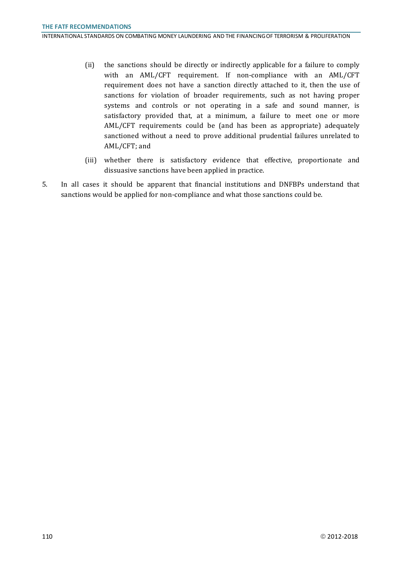- (ii) the sanctions should be directly or indirectly applicable for a failure to comply with an AML/CFT requirement. If non-compliance with an AML/CFT requirement does not have a sanction directly attached to it, then the use of sanctions for violation of broader requirements, such as not having proper systems and controls or not operating in a safe and sound manner, is satisfactory provided that, at a minimum, a failure to meet one or more AML/CFT requirements could be (and has been as appropriate) adequately sanctioned without a need to prove additional prudential failures unrelated to AML/CFT; and
- (iii) whether there is satisfactory evidence that effective, proportionate and dissuasive sanctions have been applied in practice.
- 5. In all cases it should be apparent that financial institutions and DNFBPs understand that sanctions would be applied for non-compliance and what those sanctions could be.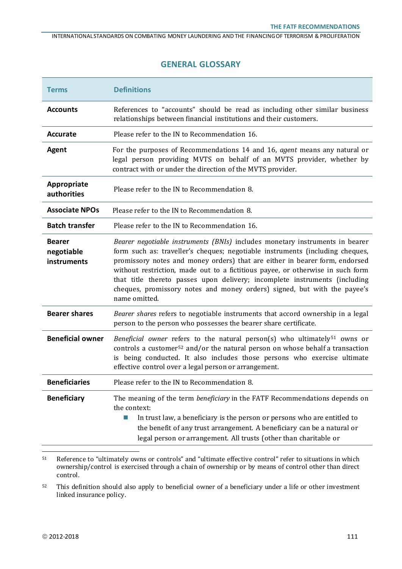### **GENERAL GLOSSARY**

| <b>Terms</b>                               | <b>Definitions</b>                                                                                                                                                                                                                                                                                                                                                                                                                                                                                        |
|--------------------------------------------|-----------------------------------------------------------------------------------------------------------------------------------------------------------------------------------------------------------------------------------------------------------------------------------------------------------------------------------------------------------------------------------------------------------------------------------------------------------------------------------------------------------|
| <b>Accounts</b>                            | References to "accounts" should be read as including other similar business<br>relationships between financial institutions and their customers.                                                                                                                                                                                                                                                                                                                                                          |
| <b>Accurate</b>                            | Please refer to the IN to Recommendation 16.                                                                                                                                                                                                                                                                                                                                                                                                                                                              |
| Agent                                      | For the purposes of Recommendations 14 and 16, <i>agent</i> means any natural or<br>legal person providing MVTS on behalf of an MVTS provider, whether by<br>contract with or under the direction of the MVTS provider.                                                                                                                                                                                                                                                                                   |
| <b>Appropriate</b><br>authorities          | Please refer to the IN to Recommendation 8.                                                                                                                                                                                                                                                                                                                                                                                                                                                               |
| <b>Associate NPOs</b>                      | Please refer to the IN to Recommendation 8.                                                                                                                                                                                                                                                                                                                                                                                                                                                               |
| <b>Batch transfer</b>                      | Please refer to the IN to Recommendation 16.                                                                                                                                                                                                                                                                                                                                                                                                                                                              |
| <b>Bearer</b><br>negotiable<br>instruments | Bearer negotiable instruments (BNIs) includes monetary instruments in bearer<br>form such as: traveller's cheques; negotiable instruments (including cheques,<br>promissory notes and money orders) that are either in bearer form, endorsed<br>without restriction, made out to a fictitious payee, or otherwise in such form<br>that title thereto passes upon delivery; incomplete instruments (including<br>cheques, promissory notes and money orders) signed, but with the payee's<br>name omitted. |
| <b>Bearer shares</b>                       | Bearer shares refers to negotiable instruments that accord ownership in a legal<br>person to the person who possesses the bearer share certificate.                                                                                                                                                                                                                                                                                                                                                       |
| <b>Beneficial owner</b>                    | Beneficial owner refers to the natural person(s) who ultimately <sup>51</sup> owns or<br>controls a customer <sup>52</sup> and/or the natural person on whose behalf a transaction<br>is being conducted. It also includes those persons who exercise ultimate<br>effective control over a legal person or arrangement.                                                                                                                                                                                   |
| <b>Beneficiaries</b>                       | Please refer to the IN to Recommendation 8.                                                                                                                                                                                                                                                                                                                                                                                                                                                               |
| <b>Beneficiary</b>                         | The meaning of the term <i>beneficiary</i> in the FATF Recommendations depends on<br>the context:<br>In trust law, a beneficiary is the person or persons who are entitled to<br>the benefit of any trust arrangement. A beneficiary can be a natural or<br>legal person or arrangement. All trusts (other than charitable or                                                                                                                                                                             |

<span id="page-111-0"></span><sup>&</sup>lt;sup>51</sup> Reference to "ultimately owns or controls" and "ultimate effective control" refer to situations in which ownership/control is exercised through a chain of ownership or by means of control other than direct control.

 $\overline{a}$ 

<span id="page-111-1"></span><sup>&</sup>lt;sup>52</sup> This definition should also apply to beneficial owner of a beneficiary under a life or other investment linked insurance policy.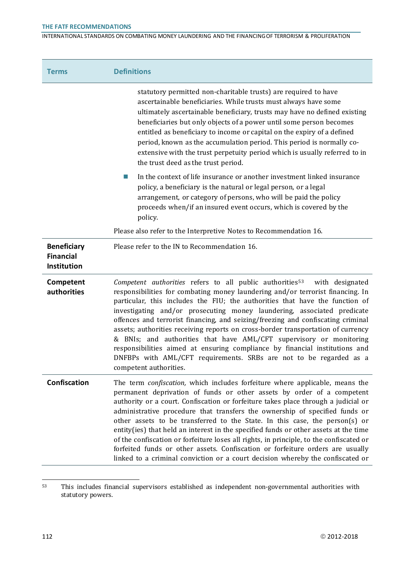| <b>Terms</b>                                                 | <b>Definitions</b>                                                                                                                                                                                                                                                                                                                                                                                                                                                                                                                                                                                                                                                                                                                                                        |
|--------------------------------------------------------------|---------------------------------------------------------------------------------------------------------------------------------------------------------------------------------------------------------------------------------------------------------------------------------------------------------------------------------------------------------------------------------------------------------------------------------------------------------------------------------------------------------------------------------------------------------------------------------------------------------------------------------------------------------------------------------------------------------------------------------------------------------------------------|
|                                                              | statutory permitted non-charitable trusts) are required to have<br>ascertainable beneficiaries. While trusts must always have some<br>ultimately ascertainable beneficiary, trusts may have no defined existing<br>beneficiaries but only objects of a power until some person becomes<br>entitled as beneficiary to income or capital on the expiry of a defined<br>period, known as the accumulation period. This period is normally co-<br>extensive with the trust perpetuity period which is usually referred to in<br>the trust deed as the trust period.                                                                                                                                                                                                           |
|                                                              | In the context of life insurance or another investment linked insurance<br>ш<br>policy, a beneficiary is the natural or legal person, or a legal<br>arrangement, or category of persons, who will be paid the policy<br>proceeds when/if an insured event occurs, which is covered by the<br>policy.                                                                                                                                                                                                                                                                                                                                                                                                                                                                      |
|                                                              | Please also refer to the Interpretive Notes to Recommendation 16.                                                                                                                                                                                                                                                                                                                                                                                                                                                                                                                                                                                                                                                                                                         |
| <b>Beneficiary</b><br><b>Financial</b><br><b>Institution</b> | Please refer to the IN to Recommendation 16.                                                                                                                                                                                                                                                                                                                                                                                                                                                                                                                                                                                                                                                                                                                              |
| Competent<br>authorities                                     | Competent authorities refers to all public authorities <sup>53</sup><br>with designated<br>responsibilities for combating money laundering and/or terrorist financing. In<br>particular, this includes the FIU; the authorities that have the function of<br>investigating and/or prosecuting money laundering, associated predicate<br>offences and terrorist financing, and seizing/freezing and confiscating criminal<br>assets; authorities receiving reports on cross-border transportation of currency<br>& BNIs; and authorities that have AML/CFT supervisory or monitoring<br>responsibilities aimed at ensuring compliance by financial institutions and<br>DNFBPs with AML/CFT requirements. SRBs are not to be regarded as a<br>competent authorities.        |
| Confiscation                                                 | The term <i>confiscation</i> , which includes forfeiture where applicable, means the<br>permanent deprivation of funds or other assets by order of a competent<br>authority or a court. Confiscation or forfeiture takes place through a judicial or<br>administrative procedure that transfers the ownership of specified funds or<br>other assets to be transferred to the State. In this case, the person(s) or<br>entity(ies) that held an interest in the specified funds or other assets at the time<br>of the confiscation or forfeiture loses all rights, in principle, to the confiscated or<br>forfeited funds or other assets. Confiscation or forfeiture orders are usually<br>linked to a criminal conviction or a court decision whereby the confiscated or |

<span id="page-112-0"></span><sup>53</sup> This includes financial supervisors established as independent non-governmental authorities with statutory powers.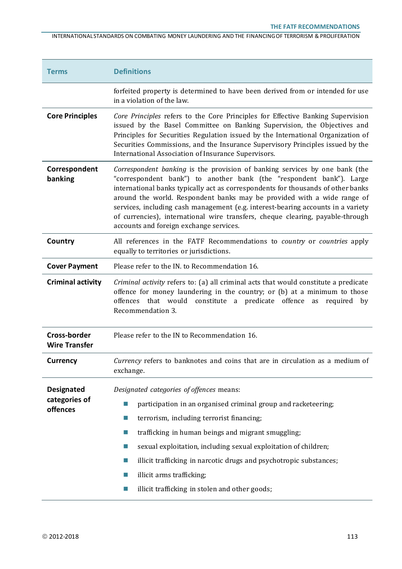| <b>Terms</b>                                   | <b>Definitions</b>                                                                                                                                                                                                                                                                                                                                                                                                                                                                                                                  |
|------------------------------------------------|-------------------------------------------------------------------------------------------------------------------------------------------------------------------------------------------------------------------------------------------------------------------------------------------------------------------------------------------------------------------------------------------------------------------------------------------------------------------------------------------------------------------------------------|
|                                                | forfeited property is determined to have been derived from or intended for use<br>in a violation of the law.                                                                                                                                                                                                                                                                                                                                                                                                                        |
| <b>Core Principles</b>                         | Core Principles refers to the Core Principles for Effective Banking Supervision<br>issued by the Basel Committee on Banking Supervision, the Objectives and<br>Principles for Securities Regulation issued by the International Organization of<br>Securities Commissions, and the Insurance Supervisory Principles issued by the<br>International Association of Insurance Supervisors.                                                                                                                                            |
| Correspondent<br>banking                       | Correspondent banking is the provision of banking services by one bank (the<br>"correspondent bank") to another bank (the "respondent bank"). Large<br>international banks typically act as correspondents for thousands of other banks<br>around the world. Respondent banks may be provided with a wide range of<br>services, including cash management (e.g. interest-bearing accounts in a variety<br>of currencies), international wire transfers, cheque clearing, payable-through<br>accounts and foreign exchange services. |
| Country                                        | All references in the FATF Recommendations to <i>country</i> or <i>countries</i> apply<br>equally to territories or jurisdictions.                                                                                                                                                                                                                                                                                                                                                                                                  |
| <b>Cover Payment</b>                           | Please refer to the IN. to Recommendation 16.                                                                                                                                                                                                                                                                                                                                                                                                                                                                                       |
| <b>Criminal activity</b>                       | Criminal activity refers to: (a) all criminal acts that would constitute a predicate<br>offence for money laundering in the country; or (b) at a minimum to those<br>constitute a predicate offence<br>offences that would<br>required<br>as<br>by<br>Recommendation 3.                                                                                                                                                                                                                                                             |
| <b>Cross-border</b><br><b>Wire Transfer</b>    | Please refer to the IN to Recommendation 16.                                                                                                                                                                                                                                                                                                                                                                                                                                                                                        |
| <b>Currency</b>                                | Currency refers to banknotes and coins that are in circulation as a medium of<br>exchange.                                                                                                                                                                                                                                                                                                                                                                                                                                          |
| <b>Designated</b><br>categories of<br>offences | Designated categories of offences means:<br>participation in an organised criminal group and racketeering;<br>terrorism, including terrorist financing;<br>trafficking in human beings and migrant smuggling;<br>sexual exploitation, including sexual exploitation of children;<br>illicit trafficking in narcotic drugs and psychotropic substances;<br>illicit arms trafficking;<br>illicit trafficking in stolen and other goods;                                                                                               |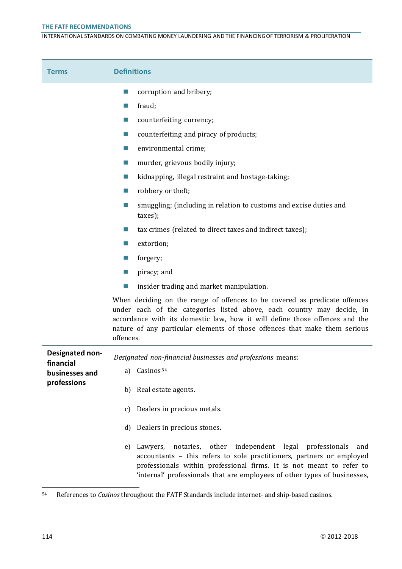| <b>Terms</b>                               | <b>Definitions</b>                                                                                                                                                                                                                                                                                                             |
|--------------------------------------------|--------------------------------------------------------------------------------------------------------------------------------------------------------------------------------------------------------------------------------------------------------------------------------------------------------------------------------|
|                                            | corruption and bribery;<br>ш                                                                                                                                                                                                                                                                                                   |
|                                            | fraud;<br>H                                                                                                                                                                                                                                                                                                                    |
|                                            | counterfeiting currency;<br>ш                                                                                                                                                                                                                                                                                                  |
|                                            | counterfeiting and piracy of products;<br>l II                                                                                                                                                                                                                                                                                 |
|                                            | environmental crime;<br>a a                                                                                                                                                                                                                                                                                                    |
|                                            | murder, grievous bodily injury;                                                                                                                                                                                                                                                                                                |
|                                            | kidnapping, illegal restraint and hostage-taking;<br>L.                                                                                                                                                                                                                                                                        |
|                                            | robbery or theft;<br>ш                                                                                                                                                                                                                                                                                                         |
|                                            | smuggling; (including in relation to customs and excise duties and<br>taxes);                                                                                                                                                                                                                                                  |
|                                            | tax crimes (related to direct taxes and indirect taxes);<br>H                                                                                                                                                                                                                                                                  |
|                                            | extortion;                                                                                                                                                                                                                                                                                                                     |
|                                            | forgery;<br>H                                                                                                                                                                                                                                                                                                                  |
|                                            | piracy; and                                                                                                                                                                                                                                                                                                                    |
|                                            | insider trading and market manipulation.                                                                                                                                                                                                                                                                                       |
|                                            | When deciding on the range of offences to be covered as predicate offences<br>under each of the categories listed above, each country may decide, in<br>accordance with its domestic law, how it will define those offences and the<br>nature of any particular elements of those offences that make them serious<br>offences. |
| Designated non-                            | Designated non-financial businesses and professions means:                                                                                                                                                                                                                                                                     |
| financial<br>businesses and<br>professions | Casinos <sup>54</sup><br>a)                                                                                                                                                                                                                                                                                                    |
|                                            | b) Real estate agents.                                                                                                                                                                                                                                                                                                         |
|                                            | Dealers in precious metals.<br>C)                                                                                                                                                                                                                                                                                              |
|                                            | Dealers in precious stones.<br>d)                                                                                                                                                                                                                                                                                              |
|                                            | other<br>independent legal professionals<br>Lawyers,<br>notaries,<br>and<br>e)<br>accountants - this refers to sole practitioners, partners or employed<br>professionals within professional firms. It is not meant to refer to<br>'internal' professionals that are employees of other types of businesses,                   |

<span id="page-114-0"></span><sup>54</sup> <sup>54</sup> References to *Casinos* throughout the FATF Standards include internet- and ship-based casinos.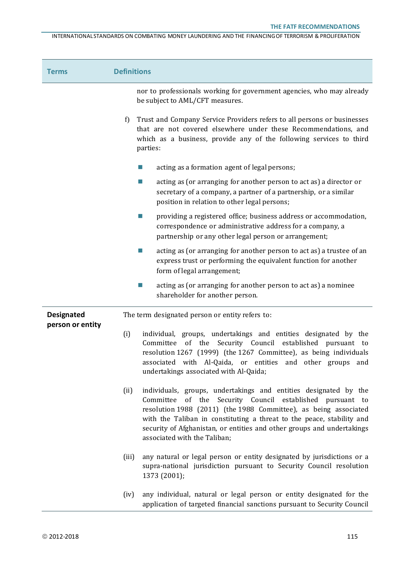| <b>Terms</b>      | <b>Definitions</b>                                                                                                                                                                                                                                                                                                                                                                                    |
|-------------------|-------------------------------------------------------------------------------------------------------------------------------------------------------------------------------------------------------------------------------------------------------------------------------------------------------------------------------------------------------------------------------------------------------|
|                   | nor to professionals working for government agencies, who may already<br>be subject to AML/CFT measures.                                                                                                                                                                                                                                                                                              |
|                   | Trust and Company Service Providers refers to all persons or businesses<br>f<br>that are not covered elsewhere under these Recommendations, and<br>which as a business, provide any of the following services to third<br>parties:                                                                                                                                                                    |
|                   | acting as a formation agent of legal persons;<br>a l                                                                                                                                                                                                                                                                                                                                                  |
|                   | acting as (or arranging for another person to act as) a director or<br>$\mathcal{L}_{\mathcal{A}}$<br>secretary of a company, a partner of a partnership, or a similar<br>position in relation to other legal persons;                                                                                                                                                                                |
|                   | providing a registered office; business address or accommodation,<br>ш<br>correspondence or administrative address for a company, a<br>partnership or any other legal person or arrangement;                                                                                                                                                                                                          |
|                   | acting as (or arranging for another person to act as) a trustee of an<br>$\mathcal{L}_{\mathcal{A}}$<br>express trust or performing the equivalent function for another<br>form of legal arrangement;                                                                                                                                                                                                 |
|                   | acting as (or arranging for another person to act as) a nominee<br>L.<br>shareholder for another person.                                                                                                                                                                                                                                                                                              |
| <b>Designated</b> | The term designated person or entity refers to:                                                                                                                                                                                                                                                                                                                                                       |
| person or entity  | individual, groups, undertakings and entities designated by the<br>(i)<br>Committee<br>Security Council established pursuant to<br>of the<br>resolution 1267 (1999) (the 1267 Committee), as being individuals<br>associated with Al-Qaida, or entities and other groups<br>and<br>undertakings associated with Al-Qaida;                                                                             |
|                   | individuals, groups, undertakings and entities designated by the<br>(ii)<br>the<br>Security Council established pursuant to<br>Committee<br>of<br>resolution 1988 (2011) (the 1988 Committee), as being associated<br>with the Taliban in constituting a threat to the peace, stability and<br>security of Afghanistan, or entities and other groups and undertakings<br>associated with the Taliban; |
|                   | any natural or legal person or entity designated by jurisdictions or a<br>(iii)<br>supra-national jurisdiction pursuant to Security Council resolution<br>1373 (2001);                                                                                                                                                                                                                                |
|                   | any individual, natural or legal person or entity designated for the<br>(iv)<br>application of targeted financial sanctions pursuant to Security Council                                                                                                                                                                                                                                              |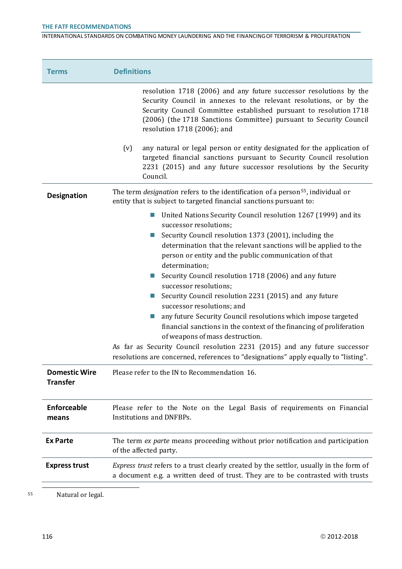INTERNATIONAL STANDARDS ON COMBATING MONEY LAUNDERING AND THE FINANCING OF TERRORISM & PROLIFERATION

| <b>Terms</b>                            | <b>Definitions</b>                                                                                                                                                                                                                                                                                                                                                                                                                                                                                                                                                                                                                                                                                                                                                                                                                                                 |
|-----------------------------------------|--------------------------------------------------------------------------------------------------------------------------------------------------------------------------------------------------------------------------------------------------------------------------------------------------------------------------------------------------------------------------------------------------------------------------------------------------------------------------------------------------------------------------------------------------------------------------------------------------------------------------------------------------------------------------------------------------------------------------------------------------------------------------------------------------------------------------------------------------------------------|
|                                         | resolution 1718 (2006) and any future successor resolutions by the<br>Security Council in annexes to the relevant resolutions, or by the<br>Security Council Committee established pursuant to resolution 1718<br>(2006) (the 1718 Sanctions Committee) pursuant to Security Council<br>resolution 1718 (2006); and                                                                                                                                                                                                                                                                                                                                                                                                                                                                                                                                                |
|                                         | any natural or legal person or entity designated for the application of<br>(v)<br>targeted financial sanctions pursuant to Security Council resolution<br>2231 (2015) and any future successor resolutions by the Security<br>Council.                                                                                                                                                                                                                                                                                                                                                                                                                                                                                                                                                                                                                             |
| <b>Designation</b>                      | The term <i>designation</i> refers to the identification of a person <sup>55</sup> , individual or<br>entity that is subject to targeted financial sanctions pursuant to:                                                                                                                                                                                                                                                                                                                                                                                                                                                                                                                                                                                                                                                                                          |
|                                         | United Nations Security Council resolution 1267 (1999) and its<br>$\mathcal{L}_{\mathcal{A}}$<br>successor resolutions;<br>Security Council resolution 1373 (2001), including the<br>determination that the relevant sanctions will be applied to the<br>person or entity and the public communication of that<br>determination;<br>Security Council resolution 1718 (2006) and any future<br>successor resolutions;<br>Security Council resolution 2231 (2015) and any future<br>ш<br>successor resolutions; and<br>any future Security Council resolutions which impose targeted<br>financial sanctions in the context of the financing of proliferation<br>of weapons of mass destruction.<br>As far as Security Council resolution 2231 (2015) and any future successor<br>resolutions are concerned, references to "designations" apply equally to "listing". |
| <b>Domestic Wire</b><br><b>Transfer</b> | Please refer to the IN to Recommendation 16.                                                                                                                                                                                                                                                                                                                                                                                                                                                                                                                                                                                                                                                                                                                                                                                                                       |
| <b>Enforceable</b><br>means             | Please refer to the Note on the Legal Basis of requirements on Financial<br>Institutions and DNFBPs.                                                                                                                                                                                                                                                                                                                                                                                                                                                                                                                                                                                                                                                                                                                                                               |
| <b>Ex Parte</b>                         | The term ex parte means proceeding without prior notification and participation<br>of the affected party.                                                                                                                                                                                                                                                                                                                                                                                                                                                                                                                                                                                                                                                                                                                                                          |
| <b>Express trust</b>                    | <i>Express trust</i> refers to a trust clearly created by the settlor, usually in the form of<br>a document e.g. a written deed of trust. They are to be contrasted with trusts                                                                                                                                                                                                                                                                                                                                                                                                                                                                                                                                                                                                                                                                                    |
|                                         |                                                                                                                                                                                                                                                                                                                                                                                                                                                                                                                                                                                                                                                                                                                                                                                                                                                                    |

<span id="page-116-0"></span><sup>55</sup> Natural or legal.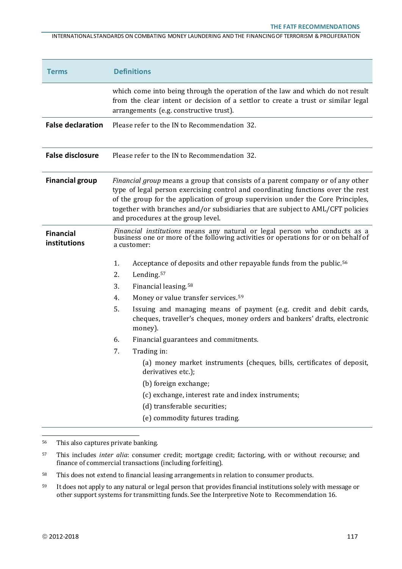| <b>Terms</b>                     | <b>Definitions</b>                                                                                                                                                                                                                                                                                                                                                                                                                                                                                                                                                                                                                                                                |
|----------------------------------|-----------------------------------------------------------------------------------------------------------------------------------------------------------------------------------------------------------------------------------------------------------------------------------------------------------------------------------------------------------------------------------------------------------------------------------------------------------------------------------------------------------------------------------------------------------------------------------------------------------------------------------------------------------------------------------|
|                                  | which come into being through the operation of the law and which do not result<br>from the clear intent or decision of a settlor to create a trust or similar legal<br>arrangements (e.g. constructive trust).                                                                                                                                                                                                                                                                                                                                                                                                                                                                    |
| <b>False declaration</b>         | Please refer to the IN to Recommendation 32.                                                                                                                                                                                                                                                                                                                                                                                                                                                                                                                                                                                                                                      |
| <b>False disclosure</b>          | Please refer to the IN to Recommendation 32.                                                                                                                                                                                                                                                                                                                                                                                                                                                                                                                                                                                                                                      |
| <b>Financial group</b>           | Financial group means a group that consists of a parent company or of any other<br>type of legal person exercising control and coordinating functions over the rest<br>of the group for the application of group supervision under the Core Principles,<br>together with branches and/or subsidiaries that are subject to AML/CFT policies<br>and procedures at the group level.                                                                                                                                                                                                                                                                                                  |
| <b>Financial</b><br>institutions | <i>Financial institutions</i> means any natural or legal person who conducts as a business one or more of the following activities or operations for or on behalf of<br>a customer:                                                                                                                                                                                                                                                                                                                                                                                                                                                                                               |
|                                  | 1.<br>Acceptance of deposits and other repayable funds from the public. <sup>56</sup><br>2.<br>Lending. <sup>57</sup><br>Financial leasing. <sup>58</sup><br>3.<br>Money or value transfer services. <sup>59</sup><br>4.<br>5.<br>Issuing and managing means of payment (e.g. credit and debit cards,<br>cheques, traveller's cheques, money orders and bankers' drafts, electronic<br>money).<br>6.<br>Financial guarantees and commitments.<br>7.<br>Trading in:<br>(a) money market instruments (cheques, bills, certificates of deposit,<br>derivatives etc.);<br>(b) foreign exchange;<br>(c) exchange, interest rate and index instruments;<br>(d) transferable securities; |
|                                  | (e) commodity futures trading.                                                                                                                                                                                                                                                                                                                                                                                                                                                                                                                                                                                                                                                    |

<span id="page-117-0"></span>56 This also captures private banking.

<span id="page-117-1"></span><sup>57</sup> This includes *inter alia*: consumer credit; mortgage credit; factoring, with or without recourse; and finance of commercial transactions (including forfeiting).

<span id="page-117-2"></span><sup>58</sup> This does not extend to financial leasing arrangements in relation to consumer products.

<span id="page-117-3"></span><sup>&</sup>lt;sup>59</sup> It does not apply to any natural or legal person that provides financial institutions solely with message or other support systems for transmitting funds. See the Interpretive Note to Recommendation 16.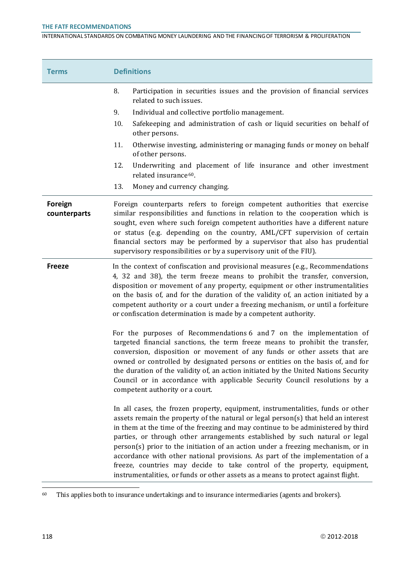| <b>Terms</b>            | <b>Definitions</b>                                                                                                                                                                                                                                                                                                                                                                                                                                                                                                                                                                                                                                                             |
|-------------------------|--------------------------------------------------------------------------------------------------------------------------------------------------------------------------------------------------------------------------------------------------------------------------------------------------------------------------------------------------------------------------------------------------------------------------------------------------------------------------------------------------------------------------------------------------------------------------------------------------------------------------------------------------------------------------------|
|                         | 8.<br>Participation in securities issues and the provision of financial services<br>related to such issues.                                                                                                                                                                                                                                                                                                                                                                                                                                                                                                                                                                    |
|                         | Individual and collective portfolio management.<br>9.                                                                                                                                                                                                                                                                                                                                                                                                                                                                                                                                                                                                                          |
|                         | Safekeeping and administration of cash or liquid securities on behalf of<br>10.<br>other persons.                                                                                                                                                                                                                                                                                                                                                                                                                                                                                                                                                                              |
|                         | 11.<br>Otherwise investing, administering or managing funds or money on behalf<br>of other persons.                                                                                                                                                                                                                                                                                                                                                                                                                                                                                                                                                                            |
|                         | Underwriting and placement of life insurance and other investment<br>12.<br>related insurance <sup>60</sup> .                                                                                                                                                                                                                                                                                                                                                                                                                                                                                                                                                                  |
|                         | 13.<br>Money and currency changing.                                                                                                                                                                                                                                                                                                                                                                                                                                                                                                                                                                                                                                            |
| Foreign<br>counterparts | Foreign counterparts refers to foreign competent authorities that exercise<br>similar responsibilities and functions in relation to the cooperation which is<br>sought, even where such foreign competent authorities have a different nature<br>or status (e.g. depending on the country, AML/CFT supervision of certain<br>financial sectors may be performed by a supervisor that also has prudential<br>supervisory responsibilities or by a supervisory unit of the FIU).                                                                                                                                                                                                 |
| <b>Freeze</b>           | In the context of confiscation and provisional measures (e.g., Recommendations<br>4, 32 and 38), the term freeze means to prohibit the transfer, conversion,<br>disposition or movement of any property, equipment or other instrumentalities<br>on the basis of, and for the duration of the validity of, an action initiated by a<br>competent authority or a court under a freezing mechanism, or until a forfeiture<br>or confiscation determination is made by a competent authority.                                                                                                                                                                                     |
|                         | For the purposes of Recommendations 6 and 7 on the implementation of<br>targeted financial sanctions, the term freeze means to prohibit the transfer,<br>conversion, disposition or movement of any funds or other assets that are<br>owned or controlled by designated persons or entities on the basis of, and for<br>the duration of the validity of, an action initiated by the United Nations Security<br>Council or in accordance with applicable Security Council resolutions by a<br>competent authority or a court.                                                                                                                                                   |
|                         | In all cases, the frozen property, equipment, instrumentalities, funds or other<br>assets remain the property of the natural or legal person(s) that held an interest<br>in them at the time of the freezing and may continue to be administered by third<br>parties, or through other arrangements established by such natural or legal<br>person(s) prior to the initiation of an action under a freezing mechanism, or in<br>accordance with other national provisions. As part of the implementation of a<br>freeze, countries may decide to take control of the property, equipment,<br>instrumentalities, or funds or other assets as a means to protect against flight. |

<span id="page-118-0"></span><sup>60</sup> This applies both to insurance undertakings and to insurance intermediaries (agents and brokers).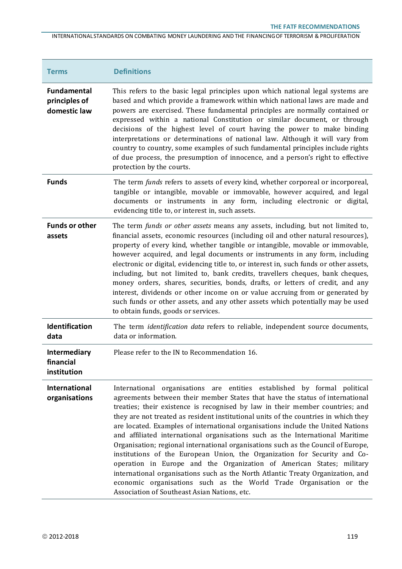| <b>Terms</b>                                        | <b>Definitions</b>                                                                                                                                                                                                                                                                                                                                                                                                                                                                                                                                                                                                                                                                                                                                                                                                                                                                                                                                          |
|-----------------------------------------------------|-------------------------------------------------------------------------------------------------------------------------------------------------------------------------------------------------------------------------------------------------------------------------------------------------------------------------------------------------------------------------------------------------------------------------------------------------------------------------------------------------------------------------------------------------------------------------------------------------------------------------------------------------------------------------------------------------------------------------------------------------------------------------------------------------------------------------------------------------------------------------------------------------------------------------------------------------------------|
| <b>Fundamental</b><br>principles of<br>domestic law | This refers to the basic legal principles upon which national legal systems are<br>based and which provide a framework within which national laws are made and<br>powers are exercised. These fundamental principles are normally contained or<br>expressed within a national Constitution or similar document, or through<br>decisions of the highest level of court having the power to make binding<br>interpretations or determinations of national law. Although it will vary from<br>country to country, some examples of such fundamental principles include rights<br>of due process, the presumption of innocence, and a person's right to effective<br>protection by the courts.                                                                                                                                                                                                                                                                  |
| <b>Funds</b>                                        | The term <i>funds</i> refers to assets of every kind, whether corporeal or incorporeal,<br>tangible or intangible, movable or immovable, however acquired, and legal<br>documents or instruments in any form, including electronic or digital,<br>evidencing title to, or interest in, such assets.                                                                                                                                                                                                                                                                                                                                                                                                                                                                                                                                                                                                                                                         |
| <b>Funds or other</b><br>assets                     | The term <i>funds or other assets</i> means any assets, including, but not limited to,<br>financial assets, economic resources (including oil and other natural resources),<br>property of every kind, whether tangible or intangible, movable or immovable,<br>however acquired, and legal documents or instruments in any form, including<br>electronic or digital, evidencing title to, or interest in, such funds or other assets,<br>including, but not limited to, bank credits, travellers cheques, bank cheques,<br>money orders, shares, securities, bonds, drafts, or letters of credit, and any<br>interest, dividends or other income on or value accruing from or generated by<br>such funds or other assets, and any other assets which potentially may be used<br>to obtain funds, goods or services.                                                                                                                                        |
| Identification<br>data                              | The term <i>identification data</i> refers to reliable, independent source documents,<br>data or information.                                                                                                                                                                                                                                                                                                                                                                                                                                                                                                                                                                                                                                                                                                                                                                                                                                               |
| <b>Intermediary</b><br>financial<br>institution     | Please refer to the IN to Recommendation 16.                                                                                                                                                                                                                                                                                                                                                                                                                                                                                                                                                                                                                                                                                                                                                                                                                                                                                                                |
| <b>International</b><br>organisations               | organisations are entities established by formal political<br>International<br>agreements between their member States that have the status of international<br>treaties; their existence is recognised by law in their member countries; and<br>they are not treated as resident institutional units of the countries in which they<br>are located. Examples of international organisations include the United Nations<br>and affiliated international organisations such as the International Maritime<br>Organisation; regional international organisations such as the Council of Europe,<br>institutions of the European Union, the Organization for Security and Co-<br>operation in Europe and the Organization of American States; military<br>international organisations such as the North Atlantic Treaty Organization, and<br>economic organisations such as the World Trade Organisation or the<br>Association of Southeast Asian Nations, etc. |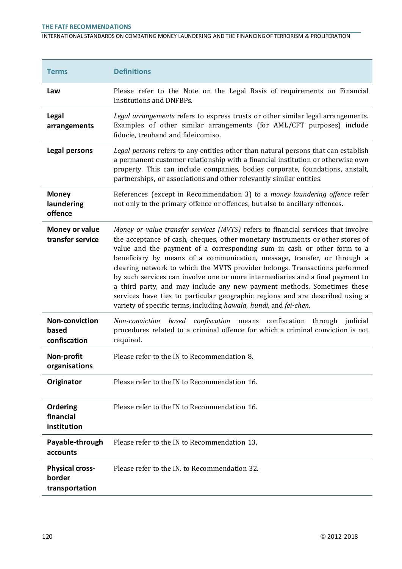Π

| <b>Terms</b>                                       | <b>Definitions</b>                                                                                                                                                                                                                                                                                                                                                                                                                                                                                                                                                                                                                                                                                                           |
|----------------------------------------------------|------------------------------------------------------------------------------------------------------------------------------------------------------------------------------------------------------------------------------------------------------------------------------------------------------------------------------------------------------------------------------------------------------------------------------------------------------------------------------------------------------------------------------------------------------------------------------------------------------------------------------------------------------------------------------------------------------------------------------|
| Law                                                | Please refer to the Note on the Legal Basis of requirements on Financial<br>Institutions and DNFBPs.                                                                                                                                                                                                                                                                                                                                                                                                                                                                                                                                                                                                                         |
| Legal<br>arrangements                              | Legal arrangements refers to express trusts or other similar legal arrangements.<br>Examples of other similar arrangements (for AML/CFT purposes) include<br>fiducie, treuhand and fideicomiso.                                                                                                                                                                                                                                                                                                                                                                                                                                                                                                                              |
| Legal persons                                      | Legal persons refers to any entities other than natural persons that can establish<br>a permanent customer relationship with a financial institution or otherwise own<br>property. This can include companies, bodies corporate, foundations, anstalt,<br>partnerships, or associations and other relevantly similar entities.                                                                                                                                                                                                                                                                                                                                                                                               |
| <b>Money</b><br>laundering<br>offence              | References (except in Recommendation 3) to a money laundering offence refer<br>not only to the primary offence or offences, but also to ancillary offences.                                                                                                                                                                                                                                                                                                                                                                                                                                                                                                                                                                  |
| Money or value<br>transfer service                 | Money or value transfer services (MVTS) refers to financial services that involve<br>the acceptance of cash, cheques, other monetary instruments or other stores of<br>value and the payment of a corresponding sum in cash or other form to a<br>beneficiary by means of a communication, message, transfer, or through a<br>clearing network to which the MVTS provider belongs. Transactions performed<br>by such services can involve one or more intermediaries and a final payment to<br>a third party, and may include any new payment methods. Sometimes these<br>services have ties to particular geographic regions and are described using a<br>variety of specific terms, including hawala, hundi, and fei-chen. |
| <b>Non-conviction</b><br>based<br>confiscation     | based confiscation<br>Non-conviction<br>means confiscation through<br>judicial<br>procedures related to a criminal offence for which a criminal conviction is not<br>required.                                                                                                                                                                                                                                                                                                                                                                                                                                                                                                                                               |
| Non-profit<br>organisations                        | Please refer to the IN to Recommendation 8.                                                                                                                                                                                                                                                                                                                                                                                                                                                                                                                                                                                                                                                                                  |
| Originator                                         | Please refer to the IN to Recommendation 16.                                                                                                                                                                                                                                                                                                                                                                                                                                                                                                                                                                                                                                                                                 |
| Ordering<br>financial<br>institution               | Please refer to the IN to Recommendation 16.                                                                                                                                                                                                                                                                                                                                                                                                                                                                                                                                                                                                                                                                                 |
| Payable-through<br>accounts                        | Please refer to the IN to Recommendation 13.                                                                                                                                                                                                                                                                                                                                                                                                                                                                                                                                                                                                                                                                                 |
| <b>Physical cross-</b><br>border<br>transportation | Please refer to the IN. to Recommendation 32.                                                                                                                                                                                                                                                                                                                                                                                                                                                                                                                                                                                                                                                                                |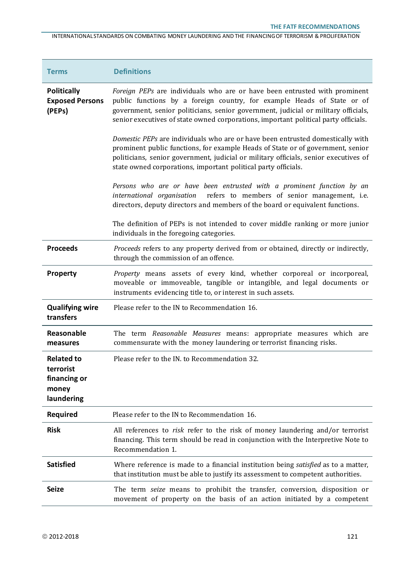| <b>Terms</b>                                                          | <b>Definitions</b>                                                                                                                                                                                                                                                                                                                 |
|-----------------------------------------------------------------------|------------------------------------------------------------------------------------------------------------------------------------------------------------------------------------------------------------------------------------------------------------------------------------------------------------------------------------|
| <b>Politically</b><br><b>Exposed Persons</b><br>(PEPs)                | Foreign PEPs are individuals who are or have been entrusted with prominent<br>public functions by a foreign country, for example Heads of State or of<br>government, senior politicians, senior government, judicial or military officials,<br>senior executives of state owned corporations, important political party officials. |
|                                                                       | Domestic PEPs are individuals who are or have been entrusted domestically with<br>prominent public functions, for example Heads of State or of government, senior<br>politicians, senior government, judicial or military officials, senior executives of<br>state owned corporations, important political party officials.        |
|                                                                       | Persons who are or have been entrusted with a prominent function by an<br>refers to members of senior management, i.e.<br>international organisation<br>directors, deputy directors and members of the board or equivalent functions.                                                                                              |
|                                                                       | The definition of PEPs is not intended to cover middle ranking or more junior<br>individuals in the foregoing categories.                                                                                                                                                                                                          |
| <b>Proceeds</b>                                                       | Proceeds refers to any property derived from or obtained, directly or indirectly,<br>through the commission of an offence.                                                                                                                                                                                                         |
| <b>Property</b>                                                       | Property means assets of every kind, whether corporeal or incorporeal,<br>moveable or immoveable, tangible or intangible, and legal documents or<br>instruments evidencing title to, or interest in such assets.                                                                                                                   |
| <b>Qualifying wire</b><br>transfers                                   | Please refer to the IN to Recommendation 16.                                                                                                                                                                                                                                                                                       |
| Reasonable<br>measures                                                | The term Reasonable Measures means: appropriate measures which are<br>commensurate with the money laundering or terrorist financing risks.                                                                                                                                                                                         |
| <b>Related to</b><br>terrorist<br>financing or<br>money<br>laundering | Please refer to the IN. to Recommendation 32.                                                                                                                                                                                                                                                                                      |
| Required                                                              | Please refer to the IN to Recommendation 16.                                                                                                                                                                                                                                                                                       |
| <b>Risk</b>                                                           | All references to risk refer to the risk of money laundering and/or terrorist<br>financing. This term should be read in conjunction with the Interpretive Note to<br>Recommendation 1.                                                                                                                                             |
| <b>Satisfied</b>                                                      | Where reference is made to a financial institution being satisfied as to a matter,<br>that institution must be able to justify its assessment to competent authorities.                                                                                                                                                            |
| <b>Seize</b>                                                          | The term seize means to prohibit the transfer, conversion, disposition or<br>movement of property on the basis of an action initiated by a competent                                                                                                                                                                               |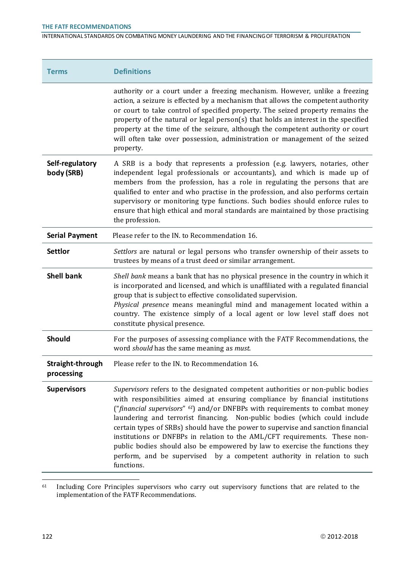INTERNATIONAL STANDARDS ON COMBATING MONEY LAUNDERING AND THE FINANCING OF TERRORISM & PROLIFERATION

| <b>Terms</b>                   | <b>Definitions</b>                                                                                                                                                                                                                                                                                                                                                                                                                                                                                                                                                                                                                                                                   |
|--------------------------------|--------------------------------------------------------------------------------------------------------------------------------------------------------------------------------------------------------------------------------------------------------------------------------------------------------------------------------------------------------------------------------------------------------------------------------------------------------------------------------------------------------------------------------------------------------------------------------------------------------------------------------------------------------------------------------------|
|                                | authority or a court under a freezing mechanism. However, unlike a freezing<br>action, a seizure is effected by a mechanism that allows the competent authority<br>or court to take control of specified property. The seized property remains the<br>property of the natural or legal person(s) that holds an interest in the specified<br>property at the time of the seizure, although the competent authority or court<br>will often take over possession, administration or management of the seized<br>property.                                                                                                                                                               |
| Self-regulatory<br>body (SRB)  | A SRB is a body that represents a profession (e.g. lawyers, notaries, other<br>independent legal professionals or accountants), and which is made up of<br>members from the profession, has a role in regulating the persons that are<br>qualified to enter and who practise in the profession, and also performs certain<br>supervisory or monitoring type functions. Such bodies should enforce rules to<br>ensure that high ethical and moral standards are maintained by those practising<br>the profession.                                                                                                                                                                     |
| <b>Serial Payment</b>          | Please refer to the IN. to Recommendation 16.                                                                                                                                                                                                                                                                                                                                                                                                                                                                                                                                                                                                                                        |
| <b>Settlor</b>                 | Settlors are natural or legal persons who transfer ownership of their assets to<br>trustees by means of a trust deed or similar arrangement.                                                                                                                                                                                                                                                                                                                                                                                                                                                                                                                                         |
| <b>Shell bank</b>              | Shell bank means a bank that has no physical presence in the country in which it<br>is incorporated and licensed, and which is unaffiliated with a regulated financial<br>group that is subject to effective consolidated supervision.<br>Physical presence means meaningful mind and management located within a<br>country. The existence simply of a local agent or low level staff does not<br>constitute physical presence.                                                                                                                                                                                                                                                     |
| Should                         | For the purposes of assessing compliance with the FATF Recommendations, the<br>word should has the same meaning as must.                                                                                                                                                                                                                                                                                                                                                                                                                                                                                                                                                             |
| Straight-through<br>processing | Please refer to the IN. to Recommendation 16.                                                                                                                                                                                                                                                                                                                                                                                                                                                                                                                                                                                                                                        |
| <b>Supervisors</b>             | Supervisors refers to the designated competent authorities or non-public bodies<br>with responsibilities aimed at ensuring compliance by financial institutions<br>("financial supervisors" <sup>61</sup> ) and/or DNFBPs with requirements to combat money<br>laundering and terrorist financing. Non-public bodies (which could include<br>certain types of SRBs) should have the power to supervise and sanction financial<br>institutions or DNFBPs in relation to the AML/CFT requirements. These non-<br>public bodies should also be empowered by law to exercise the functions they<br>perform, and be supervised by a competent authority in relation to such<br>functions. |

<span id="page-122-0"></span> $61$ Including Core Principles supervisors who carry out supervisory functions that are related to the implementation of the FATF Recommendations.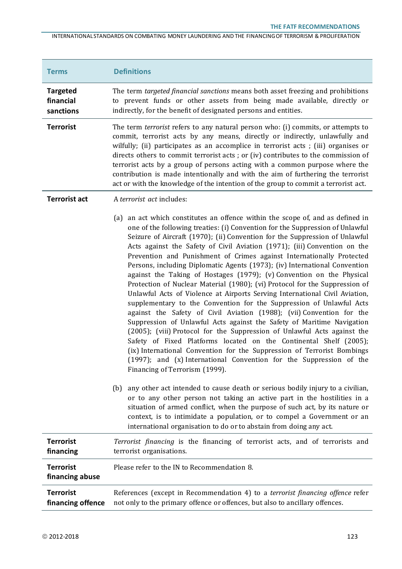| <b>Terms</b>                              | <b>Definitions</b>                                                                                                                                                                                                                                                                                                                                                                                                                                                                                                                                                                                                                                                                                                                                                                                                                                                                                                                                                                                                                                                                                                                                                                                                                                                                         |  |
|-------------------------------------------|--------------------------------------------------------------------------------------------------------------------------------------------------------------------------------------------------------------------------------------------------------------------------------------------------------------------------------------------------------------------------------------------------------------------------------------------------------------------------------------------------------------------------------------------------------------------------------------------------------------------------------------------------------------------------------------------------------------------------------------------------------------------------------------------------------------------------------------------------------------------------------------------------------------------------------------------------------------------------------------------------------------------------------------------------------------------------------------------------------------------------------------------------------------------------------------------------------------------------------------------------------------------------------------------|--|
| <b>Targeted</b><br>financial<br>sanctions | The term targeted financial sanctions means both asset freezing and prohibitions<br>to prevent funds or other assets from being made available, directly or<br>indirectly, for the benefit of designated persons and entities.                                                                                                                                                                                                                                                                                                                                                                                                                                                                                                                                                                                                                                                                                                                                                                                                                                                                                                                                                                                                                                                             |  |
| <b>Terrorist</b>                          | The term <i>terrorist</i> refers to any natural person who: (i) commits, or attempts to<br>commit, terrorist acts by any means, directly or indirectly, unlawfully and<br>wilfully; (ii) participates as an accomplice in terrorist acts; (iii) organises or<br>directs others to commit terrorist acts ; or (iv) contributes to the commission of<br>terrorist acts by a group of persons acting with a common purpose where the<br>contribution is made intentionally and with the aim of furthering the terrorist<br>act or with the knowledge of the intention of the group to commit a terrorist act.                                                                                                                                                                                                                                                                                                                                                                                                                                                                                                                                                                                                                                                                                 |  |
| <b>Terrorist act</b>                      | A terrorist act includes:                                                                                                                                                                                                                                                                                                                                                                                                                                                                                                                                                                                                                                                                                                                                                                                                                                                                                                                                                                                                                                                                                                                                                                                                                                                                  |  |
|                                           | (a) an act which constitutes an offence within the scope of, and as defined in<br>one of the following treaties: (i) Convention for the Suppression of Unlawful<br>Seizure of Aircraft (1970); (ii) Convention for the Suppression of Unlawful<br>Acts against the Safety of Civil Aviation (1971); (iii) Convention on the<br>Prevention and Punishment of Crimes against Internationally Protected<br>Persons, including Diplomatic Agents (1973); (iv) International Convention<br>against the Taking of Hostages (1979); (v) Convention on the Physical<br>Protection of Nuclear Material (1980); (vi) Protocol for the Suppression of<br>Unlawful Acts of Violence at Airports Serving International Civil Aviation,<br>supplementary to the Convention for the Suppression of Unlawful Acts<br>against the Safety of Civil Aviation (1988); (vii) Convention for the<br>Suppression of Unlawful Acts against the Safety of Maritime Navigation<br>(2005); (viii) Protocol for the Suppression of Unlawful Acts against the<br>Safety of Fixed Platforms located on the Continental Shelf (2005);<br>(ix) International Convention for the Suppression of Terrorist Bombings<br>(1997); and (x) International Convention for the Suppression of the<br>Financing of Terrorism (1999). |  |
|                                           | any other act intended to cause death or serious bodily injury to a civilian,<br>(b)<br>or to any other person not taking an active part in the hostilities in a<br>situation of armed conflict, when the purpose of such act, by its nature or<br>context, is to intimidate a population, or to compel a Government or an<br>international organisation to do or to abstain from doing any act.                                                                                                                                                                                                                                                                                                                                                                                                                                                                                                                                                                                                                                                                                                                                                                                                                                                                                           |  |
| <b>Terrorist</b><br>financing             | Terrorist financing is the financing of terrorist acts, and of terrorists and<br>terrorist organisations.                                                                                                                                                                                                                                                                                                                                                                                                                                                                                                                                                                                                                                                                                                                                                                                                                                                                                                                                                                                                                                                                                                                                                                                  |  |
| <b>Terrorist</b><br>financing abuse       | Please refer to the IN to Recommendation 8.                                                                                                                                                                                                                                                                                                                                                                                                                                                                                                                                                                                                                                                                                                                                                                                                                                                                                                                                                                                                                                                                                                                                                                                                                                                |  |
| <b>Terrorist</b><br>financing offence     | References (except in Recommendation 4) to a <i>terrorist financing offence</i> refer<br>not only to the primary offence or offences, but also to ancillary offences.                                                                                                                                                                                                                                                                                                                                                                                                                                                                                                                                                                                                                                                                                                                                                                                                                                                                                                                                                                                                                                                                                                                      |  |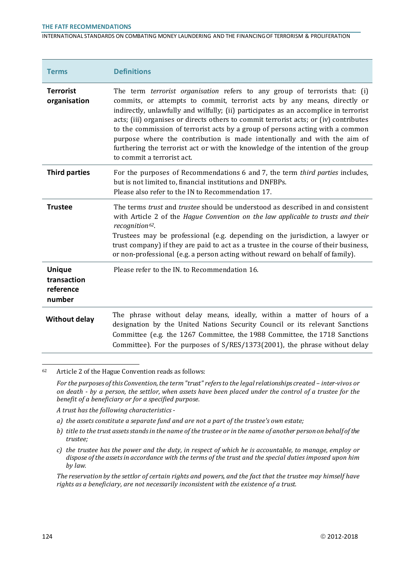| <b>Terms</b>                                        | <b>Definitions</b>                                                                                                                                                                                                                                                                                                                                                                                                                                                                                                                                                                                                              |  |
|-----------------------------------------------------|---------------------------------------------------------------------------------------------------------------------------------------------------------------------------------------------------------------------------------------------------------------------------------------------------------------------------------------------------------------------------------------------------------------------------------------------------------------------------------------------------------------------------------------------------------------------------------------------------------------------------------|--|
| <b>Terrorist</b><br>organisation                    | The term <i>terrorist organisation</i> refers to any group of terrorists that: (i)<br>commits, or attempts to commit, terrorist acts by any means, directly or<br>indirectly, unlawfully and wilfully; (ii) participates as an accomplice in terrorist<br>acts; (iii) organises or directs others to commit terrorist acts; or (iv) contributes<br>to the commission of terrorist acts by a group of persons acting with a common<br>purpose where the contribution is made intentionally and with the aim of<br>furthering the terrorist act or with the knowledge of the intention of the group<br>to commit a terrorist act. |  |
| <b>Third parties</b>                                | For the purposes of Recommendations 6 and 7, the term third parties includes,<br>but is not limited to, financial institutions and DNFBPs.<br>Please also refer to the IN to Recommendation 17.                                                                                                                                                                                                                                                                                                                                                                                                                                 |  |
| <b>Trustee</b>                                      | The terms <i>trust</i> and <i>trustee</i> should be understood as described in and consistent<br>with Article 2 of the Hague Convention on the law applicable to trusts and their<br>recognition $62$ .<br>Trustees may be professional (e.g. depending on the jurisdiction, a lawyer or<br>trust company) if they are paid to act as a trustee in the course of their business,<br>or non-professional (e.g. a person acting without reward on behalf of family).                                                                                                                                                              |  |
| <b>Unique</b><br>transaction<br>reference<br>number | Please refer to the IN. to Recommendation 16.                                                                                                                                                                                                                                                                                                                                                                                                                                                                                                                                                                                   |  |
| <b>Without delay</b>                                | The phrase without delay means, ideally, within a matter of hours of a<br>designation by the United Nations Security Council or its relevant Sanctions<br>Committee (e.g. the 1267 Committee, the 1988 Committee, the 1718 Sanctions<br>Committee). For the purposes of S/RES/1373(2001), the phrase without delay                                                                                                                                                                                                                                                                                                              |  |

<span id="page-124-0"></span> $\ddot{ }$ <sup>62</sup> Article 2 of the Hague Convention reads as follows:

*For the purposes of this Convention, the term "trust" refers to the legal relationships created – inter-vivos or on death - by a person, the settlor, when assets have been placed under the control of a trustee for the benefit of a beneficiary or for a specified purpose.* 

*A trust has the following characteristics -*

- *a) the assets constitute a separate fund and are not a part of the trustee's own estate;*
- *b*) title to the trust assets stands in the name of the trustee or in the name of another person on behalf of the *trustee;*
- *c) the trustee has the power and the duty, in respect of which he is accountable, to manage, employ or dispose of the assets in accordance with the terms of the trust and the special duties imposed upon him by law.*

*The reservation by the settlor of certain rights and powers, and the fact that the trustee may himself have rights as a beneficiary, are not necessarily inconsistent with the existence of a trust.*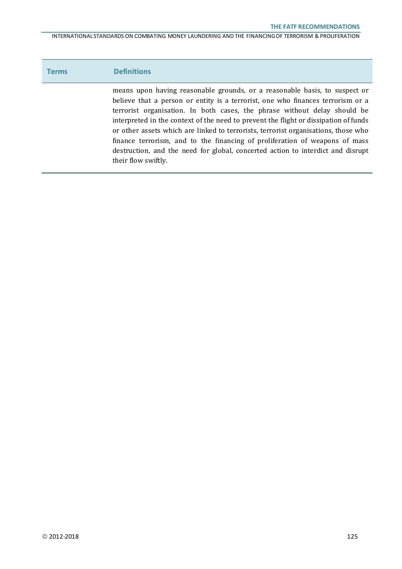| <b>Terms</b> | <b>Definitions</b>                                                                                                                                                                                                                                                                                                                                                                                                                                                                                                                                                                                                |
|--------------|-------------------------------------------------------------------------------------------------------------------------------------------------------------------------------------------------------------------------------------------------------------------------------------------------------------------------------------------------------------------------------------------------------------------------------------------------------------------------------------------------------------------------------------------------------------------------------------------------------------------|
|              | means upon having reasonable grounds, or a reasonable basis, to suspect or<br>believe that a person or entity is a terrorist, one who finances terrorism or a<br>terrorist organisation. In both cases, the phrase without delay should be<br>interpreted in the context of the need to prevent the flight or dissipation of funds<br>or other assets which are linked to terrorists, terrorist organisations, those who<br>finance terrorism, and to the financing of proliferation of weapons of mass<br>destruction, and the need for global, concerted action to interdict and disrupt<br>their flow swiftly. |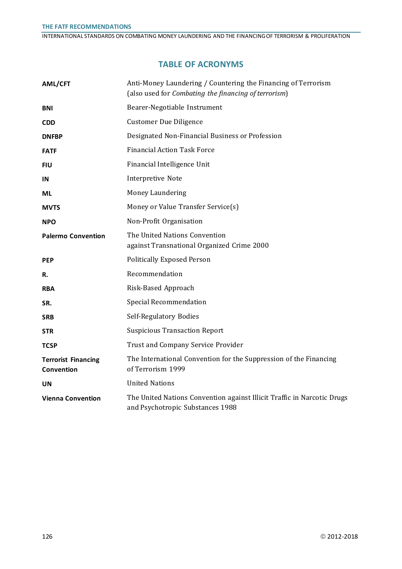## **TABLE OF ACRONYMS**

| <b>AML/CFT</b>                                                                                                                          | Anti-Money Laundering / Countering the Financing of Terrorism<br>(also used for Combating the financing of terrorism) |  |
|-----------------------------------------------------------------------------------------------------------------------------------------|-----------------------------------------------------------------------------------------------------------------------|--|
| <b>BNI</b>                                                                                                                              | Bearer-Negotiable Instrument                                                                                          |  |
| <b>CDD</b>                                                                                                                              | <b>Customer Due Diligence</b>                                                                                         |  |
| <b>DNFBP</b>                                                                                                                            | Designated Non-Financial Business or Profession                                                                       |  |
| <b>FATF</b>                                                                                                                             | <b>Financial Action Task Force</b>                                                                                    |  |
| <b>FIU</b>                                                                                                                              | Financial Intelligence Unit                                                                                           |  |
| IN                                                                                                                                      | Interpretive Note                                                                                                     |  |
| ML                                                                                                                                      | Money Laundering                                                                                                      |  |
| <b>MVTS</b>                                                                                                                             | Money or Value Transfer Service(s)                                                                                    |  |
| <b>NPO</b>                                                                                                                              | Non-Profit Organisation                                                                                               |  |
| <b>Palermo Convention</b>                                                                                                               | The United Nations Convention<br>against Transnational Organized Crime 2000                                           |  |
| <b>PEP</b>                                                                                                                              | Politically Exposed Person                                                                                            |  |
| R.                                                                                                                                      | Recommendation                                                                                                        |  |
| <b>RBA</b>                                                                                                                              | Risk-Based Approach                                                                                                   |  |
| SR.                                                                                                                                     | Special Recommendation                                                                                                |  |
| <b>SRB</b>                                                                                                                              | Self-Regulatory Bodies                                                                                                |  |
| <b>STR</b>                                                                                                                              | <b>Suspicious Transaction Report</b>                                                                                  |  |
| <b>TCSP</b>                                                                                                                             | Trust and Company Service Provider                                                                                    |  |
| <b>Terrorist Financing</b><br>Convention                                                                                                | The International Convention for the Suppression of the Financing<br>of Terrorism 1999                                |  |
| UN                                                                                                                                      | <b>United Nations</b>                                                                                                 |  |
| The United Nations Convention against Illicit Traffic in Narcotic Drugs<br><b>Vienna Convention</b><br>and Psychotropic Substances 1988 |                                                                                                                       |  |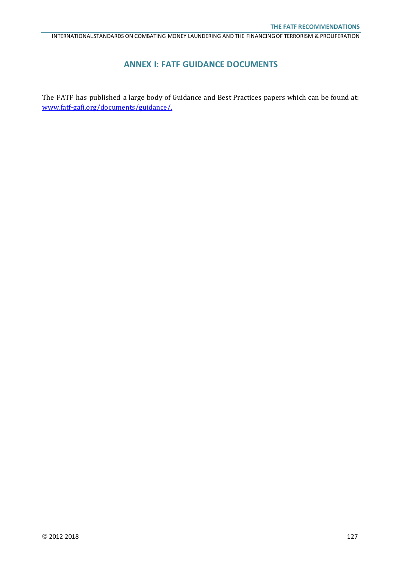# **ANNEX I: FATF GUIDANCE DOCUMENTS**

The FATF has published a large body of Guidance and Best Practices papers which can be found at: [www.fatf-gafi.org/documents/guidance/.](http://oecdshare.oecd.org/fatfportal/communications/FATF%20Website%20publications/FATF%20Recommendations/FATF%20Recommendations%20%5bJune%202017%5d/www.fatf-gafi.org/documents/guidance)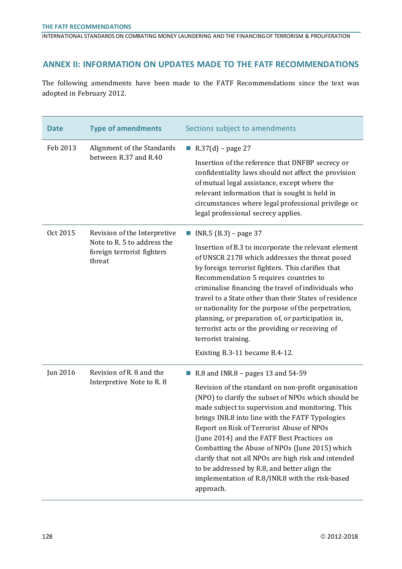## **ANNEX II: INFORMATION ON UPDATES MADE TO THE FATF RECOMMENDATIONS**

The following amendments have been made to the FATF Recommendations since the text was adopted in February 2012.

| <b>Date</b> | <b>Type of amendments</b>                                                                           | Sections subject to amendments                                                                                                                                                                                                                                                                                                                                                                                                                                                                                                                                                  |
|-------------|-----------------------------------------------------------------------------------------------------|---------------------------------------------------------------------------------------------------------------------------------------------------------------------------------------------------------------------------------------------------------------------------------------------------------------------------------------------------------------------------------------------------------------------------------------------------------------------------------------------------------------------------------------------------------------------------------|
| Feb 2013    | Alignment of the Standards<br>between R.37 and R.40                                                 | R.37(d) – page 27<br>Insertion of the reference that DNFBP secrecy or<br>confidentiality laws should not affect the provision<br>of mutual legal assistance, except where the<br>relevant information that is sought is held in<br>circumstances where legal professional privilege or<br>legal professional secrecy applies.                                                                                                                                                                                                                                                   |
| Oct 2015    | Revision of the Interpretive<br>Note to R. 5 to address the<br>foreign terrorist fighters<br>threat | <b>INR.5</b> (B.3) – page 37<br>Insertion of B.3 to incorporate the relevant element<br>of UNSCR 2178 which addresses the threat posed<br>by foreign terrorist fighters. This clarifies that<br>Recommendation 5 requires countries to<br>criminalise financing the travel of individuals who<br>travel to a State other than their States of residence<br>or nationality for the purpose of the perpetration,<br>planning, or preparation of, or participation in,<br>terrorist acts or the providing or receiving of<br>terrorist training.<br>Existing B.3-11 became B.4-12. |
| Jun 2016    | Revision of R. 8 and the<br>Interpretive Note to R. 8                                               | R.8 and INR.8 - pages 13 and $54-59$<br>Revision of the standard on non-profit organisation<br>(NPO) to clarify the subset of NPOs which should be<br>made subject to supervision and monitoring. This<br>brings INR.8 into line with the FATF Typologies<br>Report on Risk of Terrorist Abuse of NPOs<br>(June 2014) and the FATF Best Practices on<br>Combatting the Abuse of NPOs (June 2015) which<br>clarify that not all NPOs are high risk and intended<br>to be addressed by R.8, and better align the<br>implementation of R.8/INR.8 with the risk-based<br>approach.  |